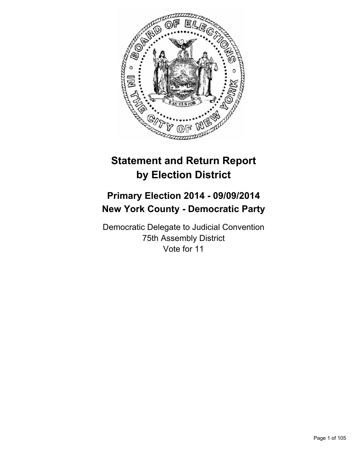

# **Statement and Return Report by Election District**

# **Primary Election 2014 - 09/09/2014 New York County - Democratic Party**

Democratic Delegate to Judicial Convention 75th Assembly District Vote for 11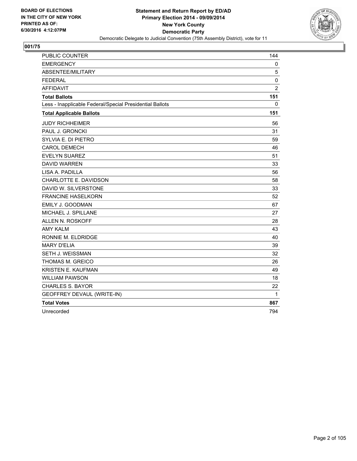

| <b>PUBLIC COUNTER</b>                                    | 144            |
|----------------------------------------------------------|----------------|
| <b>EMERGENCY</b>                                         | 0              |
| ABSENTEE/MILITARY                                        | 5              |
| <b>FEDERAL</b>                                           | $\mathbf 0$    |
| <b>AFFIDAVIT</b>                                         | $\overline{2}$ |
| <b>Total Ballots</b>                                     | 151            |
| Less - Inapplicable Federal/Special Presidential Ballots | 0              |
| <b>Total Applicable Ballots</b>                          | 151            |
| <b>JUDY RICHHEIMER</b>                                   | 56             |
| PAUL J. GRONCKI                                          | 31             |
| SYLVIA E. DI PIETRO                                      | 59             |
| <b>CAROL DEMECH</b>                                      | 46             |
| <b>EVELYN SUAREZ</b>                                     | 51             |
| <b>DAVID WARREN</b>                                      | 33             |
| LISA A. PADILLA                                          | 56             |
| CHARLOTTE E. DAVIDSON                                    | 58             |
| DAVID W. SILVERSTONE                                     | 33             |
| <b>FRANCINE HASELKORN</b>                                | 52             |
| EMILY J. GOODMAN                                         | 67             |
| MICHAEL J. SPILLANE                                      | 27             |
| ALLEN N. ROSKOFF                                         | 28             |
| <b>AMY KALM</b>                                          | 43             |
| RONNIE M. ELDRIDGE                                       | 40             |
| <b>MARY D'ELIA</b>                                       | 39             |
| SETH J. WEISSMAN                                         | 32             |
| THOMAS M. GREICO                                         | 26             |
| KRISTEN E. KAUFMAN                                       | 49             |
| <b>WILLIAM PAWSON</b>                                    | 18             |
| <b>CHARLES S. BAYOR</b>                                  | 22             |
| GEOFFREY DEVAUL (WRITE-IN)                               | 1              |
| <b>Total Votes</b>                                       | 867            |
| Unrecorded                                               | 794            |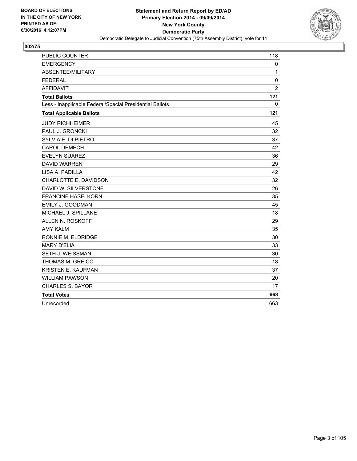

| <b>PUBLIC COUNTER</b>                                    | 118            |
|----------------------------------------------------------|----------------|
| <b>EMERGENCY</b>                                         | 0              |
| ABSENTEE/MILITARY                                        | 1              |
| <b>FEDERAL</b>                                           | 0              |
| <b>AFFIDAVIT</b>                                         | $\overline{2}$ |
| <b>Total Ballots</b>                                     | 121            |
| Less - Inapplicable Federal/Special Presidential Ballots | 0              |
| <b>Total Applicable Ballots</b>                          | 121            |
| <b>JUDY RICHHEIMER</b>                                   | 45             |
| PAUL J. GRONCKI                                          | 32             |
| SYLVIA E. DI PIETRO                                      | 37             |
| <b>CAROL DEMECH</b>                                      | 42             |
| <b>EVELYN SUAREZ</b>                                     | 36             |
| <b>DAVID WARREN</b>                                      | 29             |
| LISA A. PADILLA                                          | 42             |
| CHARLOTTE E. DAVIDSON                                    | 32             |
| DAVID W. SILVERSTONE                                     | 26             |
| <b>FRANCINE HASELKORN</b>                                | 35             |
| EMILY J. GOODMAN                                         | 45             |
| MICHAEL J. SPILLANE                                      | 18             |
| <b>ALLEN N. ROSKOFF</b>                                  | 29             |
| <b>AMY KALM</b>                                          | 35             |
| RONNIE M. ELDRIDGE                                       | 30             |
| <b>MARY D'ELIA</b>                                       | 33             |
| <b>SETH J. WEISSMAN</b>                                  | 30             |
| <b>THOMAS M. GREICO</b>                                  | 18             |
| KRISTEN E. KAUFMAN                                       | 37             |
| <b>WILLIAM PAWSON</b>                                    | 20             |
| <b>CHARLES S. BAYOR</b>                                  | 17             |
| <b>Total Votes</b>                                       | 668            |
| Unrecorded                                               | 663            |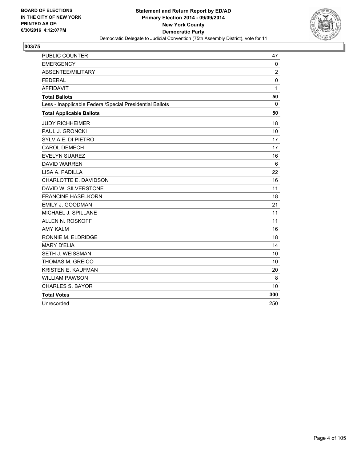

| PUBLIC COUNTER                                           | 47             |
|----------------------------------------------------------|----------------|
| <b>EMERGENCY</b>                                         | $\mathbf{0}$   |
| ABSENTEE/MILITARY                                        | $\overline{2}$ |
| <b>FEDERAL</b>                                           | 0              |
| <b>AFFIDAVIT</b>                                         | $\mathbf 1$    |
| <b>Total Ballots</b>                                     | 50             |
| Less - Inapplicable Federal/Special Presidential Ballots | 0              |
| <b>Total Applicable Ballots</b>                          | 50             |
| <b>JUDY RICHHEIMER</b>                                   | 18             |
| PAUL J. GRONCKI                                          | 10             |
| SYLVIA E. DI PIETRO                                      | 17             |
| <b>CAROL DEMECH</b>                                      | 17             |
| <b>EVELYN SUAREZ</b>                                     | 16             |
| <b>DAVID WARREN</b>                                      | 6              |
| LISA A. PADILLA                                          | 22             |
| CHARLOTTE E. DAVIDSON                                    | 16             |
| DAVID W. SILVERSTONE                                     | 11             |
| <b>FRANCINE HASELKORN</b>                                | 18             |
| EMILY J. GOODMAN                                         | 21             |
| MICHAEL J. SPILLANE                                      | 11             |
| <b>ALLEN N. ROSKOFF</b>                                  | 11             |
| <b>AMY KALM</b>                                          | 16             |
| RONNIE M. ELDRIDGE                                       | 18             |
| <b>MARY D'ELIA</b>                                       | 14             |
| SETH J. WEISSMAN                                         | 10             |
| THOMAS M. GREICO                                         | 10             |
| KRISTEN E. KAUFMAN                                       | 20             |
| <b>WILLIAM PAWSON</b>                                    | 8              |
| <b>CHARLES S. BAYOR</b>                                  | 10             |
| <b>Total Votes</b>                                       | 300            |
| Unrecorded                                               | 250            |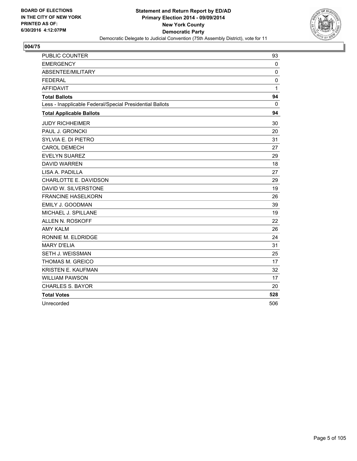

| PUBLIC COUNTER                                           | 93           |
|----------------------------------------------------------|--------------|
| <b>EMERGENCY</b>                                         | 0            |
| ABSENTEE/MILITARY                                        | $\mathbf 0$  |
| <b>FEDERAL</b>                                           | $\mathbf 0$  |
| <b>AFFIDAVIT</b>                                         | $\mathbf{1}$ |
| <b>Total Ballots</b>                                     | 94           |
| Less - Inapplicable Federal/Special Presidential Ballots | 0            |
| <b>Total Applicable Ballots</b>                          | 94           |
| <b>JUDY RICHHEIMER</b>                                   | 30           |
| PAUL J. GRONCKI                                          | 20           |
| SYLVIA E. DI PIETRO                                      | 31           |
| <b>CAROL DEMECH</b>                                      | 27           |
| <b>EVELYN SUAREZ</b>                                     | 29           |
| <b>DAVID WARREN</b>                                      | 18           |
| LISA A. PADILLA                                          | 27           |
| CHARLOTTE E. DAVIDSON                                    | 29           |
| DAVID W. SILVERSTONE                                     | 19           |
| <b>FRANCINE HASELKORN</b>                                | 26           |
| EMILY J. GOODMAN                                         | 39           |
| MICHAEL J. SPILLANE                                      | 19           |
| <b>ALLEN N. ROSKOFF</b>                                  | 22           |
| <b>AMY KALM</b>                                          | 26           |
| RONNIE M. ELDRIDGE                                       | 24           |
| <b>MARY D'ELIA</b>                                       | 31           |
| SETH J. WEISSMAN                                         | 25           |
| THOMAS M. GREICO                                         | 17           |
| KRISTEN E. KAUFMAN                                       | 32           |
| <b>WILLIAM PAWSON</b>                                    | 17           |
| <b>CHARLES S. BAYOR</b>                                  | 20           |
| <b>Total Votes</b>                                       | 528          |
| Unrecorded                                               | 506          |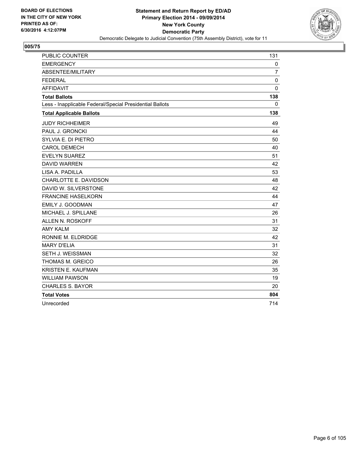

| <b>PUBLIC COUNTER</b>                                    | 131            |
|----------------------------------------------------------|----------------|
| <b>EMERGENCY</b>                                         | 0              |
| ABSENTEE/MILITARY                                        | $\overline{7}$ |
| <b>FEDERAL</b>                                           | 0              |
| <b>AFFIDAVIT</b>                                         | $\mathbf{0}$   |
| <b>Total Ballots</b>                                     | 138            |
| Less - Inapplicable Federal/Special Presidential Ballots | 0              |
| <b>Total Applicable Ballots</b>                          | 138            |
| <b>JUDY RICHHEIMER</b>                                   | 49             |
| PAUL J. GRONCKI                                          | 44             |
| SYLVIA E. DI PIETRO                                      | 50             |
| <b>CAROL DEMECH</b>                                      | 40             |
| <b>EVELYN SUAREZ</b>                                     | 51             |
| <b>DAVID WARREN</b>                                      | 42             |
| LISA A. PADILLA                                          | 53             |
| CHARLOTTE E. DAVIDSON                                    | 48             |
| DAVID W. SILVERSTONE                                     | 42             |
| <b>FRANCINE HASELKORN</b>                                | 44             |
| EMILY J. GOODMAN                                         | 47             |
| MICHAEL J. SPILLANE                                      | 26             |
| ALLEN N. ROSKOFF                                         | 31             |
| <b>AMY KALM</b>                                          | 32             |
| RONNIE M. ELDRIDGE                                       | 42             |
| <b>MARY D'ELIA</b>                                       | 31             |
| SETH J. WEISSMAN                                         | 32             |
| THOMAS M. GREICO                                         | 26             |
| KRISTEN E. KAUFMAN                                       | 35             |
| <b>WILLIAM PAWSON</b>                                    | 19             |
| <b>CHARLES S. BAYOR</b>                                  | 20             |
| <b>Total Votes</b>                                       | 804            |
| Unrecorded                                               | 714            |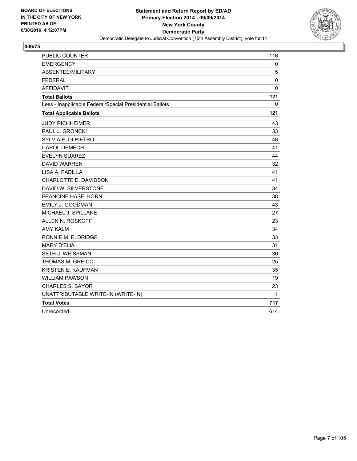

| <b>PUBLIC COUNTER</b>                                    | 116         |
|----------------------------------------------------------|-------------|
| <b>EMERGENCY</b>                                         | 0           |
| ABSENTEE/MILITARY                                        | 5           |
| <b>FEDERAL</b>                                           | $\mathbf 0$ |
| <b>AFFIDAVIT</b>                                         | $\mathbf 0$ |
| <b>Total Ballots</b>                                     | 121         |
| Less - Inapplicable Federal/Special Presidential Ballots | 0           |
| <b>Total Applicable Ballots</b>                          | 121         |
| <b>JUDY RICHHEIMER</b>                                   | 43          |
| PAUL J. GRONCKI                                          | 33          |
| SYLVIA E. DI PIETRO                                      | 46          |
| <b>CAROL DEMECH</b>                                      | 41          |
| <b>EVELYN SUAREZ</b>                                     | 44          |
| <b>DAVID WARREN</b>                                      | 32          |
| LISA A. PADILLA                                          | 41          |
| CHARLOTTE E. DAVIDSON                                    | 41          |
| DAVID W. SILVERSTONE                                     | 34          |
| <b>FRANCINE HASELKORN</b>                                | 38          |
| EMILY J. GOODMAN                                         | 43          |
| MICHAEL J. SPILLANE                                      | 27          |
| ALLEN N. ROSKOFF                                         | 23          |
| <b>AMY KALM</b>                                          | 34          |
| RONNIE M. ELDRIDGE                                       | 33          |
| <b>MARY D'ELIA</b>                                       | 31          |
| SETH J. WEISSMAN                                         | 30          |
| THOMAS M. GREICO                                         | 25          |
| KRISTEN E. KAUFMAN                                       | 35          |
| <b>WILLIAM PAWSON</b>                                    | 19          |
| <b>CHARLES S. BAYOR</b>                                  | 23          |
| UNATTRIBUTABLE WRITE-IN (WRITE-IN)                       | 1           |
| <b>Total Votes</b>                                       | 717         |
| Unrecorded                                               | 614         |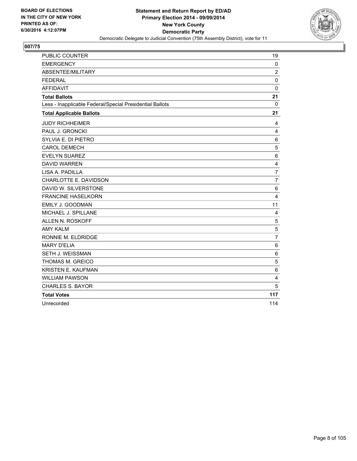

| PUBLIC COUNTER                                           | 19              |
|----------------------------------------------------------|-----------------|
| <b>EMERGENCY</b>                                         | 0               |
| ABSENTEE/MILITARY                                        | $\overline{2}$  |
| <b>FEDERAL</b>                                           | 0               |
| <b>AFFIDAVIT</b>                                         | $\mathbf 0$     |
| <b>Total Ballots</b>                                     | 21              |
| Less - Inapplicable Federal/Special Presidential Ballots | 0               |
| <b>Total Applicable Ballots</b>                          | 21              |
| <b>JUDY RICHHEIMER</b>                                   | 4               |
| PAUL J. GRONCKI                                          | 4               |
| SYLVIA E. DI PIETRO                                      | $6\phantom{1}6$ |
| <b>CAROL DEMECH</b>                                      | 5               |
| <b>EVELYN SUAREZ</b>                                     | 6               |
| <b>DAVID WARREN</b>                                      | 4               |
| LISA A. PADILLA                                          | $\overline{7}$  |
| CHARLOTTE E. DAVIDSON                                    | $\overline{7}$  |
| DAVID W. SILVERSTONE                                     | 6               |
| <b>FRANCINE HASELKORN</b>                                | 4               |
| EMILY J. GOODMAN                                         | 11              |
| MICHAEL J. SPILLANE                                      | 4               |
| ALLEN N. ROSKOFF                                         | 5               |
| <b>AMY KALM</b>                                          | 5               |
| RONNIE M. ELDRIDGE                                       | $\overline{7}$  |
| <b>MARY D'ELIA</b>                                       | 6               |
| SETH J. WEISSMAN                                         | $\,6$           |
| THOMAS M. GREICO                                         | 5               |
| <b>KRISTEN E. KAUFMAN</b>                                | 6               |
| <b>WILLIAM PAWSON</b>                                    | 4               |
| <b>CHARLES S. BAYOR</b>                                  | 5               |
| <b>Total Votes</b>                                       | 117             |
| Unrecorded                                               | 114             |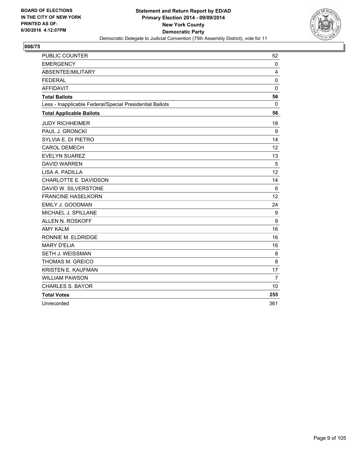

| PUBLIC COUNTER                                           | 52             |
|----------------------------------------------------------|----------------|
| <b>EMERGENCY</b>                                         | 0              |
| ABSENTEE/MILITARY                                        | 4              |
| <b>FEDERAL</b>                                           | 0              |
| <b>AFFIDAVIT</b>                                         | $\mathbf 0$    |
| <b>Total Ballots</b>                                     | 56             |
| Less - Inapplicable Federal/Special Presidential Ballots | 0              |
| <b>Total Applicable Ballots</b>                          | 56             |
| <b>JUDY RICHHEIMER</b>                                   | 18             |
| PAUL J. GRONCKI                                          | 9              |
| SYLVIA E. DI PIETRO                                      | 14             |
| <b>CAROL DEMECH</b>                                      | 12             |
| <b>EVELYN SUAREZ</b>                                     | 13             |
| <b>DAVID WARREN</b>                                      | 5              |
| LISA A. PADILLA                                          | 12             |
| CHARLOTTE E. DAVIDSON                                    | 14             |
| DAVID W. SILVERSTONE                                     | 6              |
| <b>FRANCINE HASELKORN</b>                                | 12             |
| EMILY J. GOODMAN                                         | 24             |
| MICHAEL J. SPILLANE                                      | 9              |
| <b>ALLEN N. ROSKOFF</b>                                  | 9              |
| <b>AMY KALM</b>                                          | 16             |
| RONNIE M. ELDRIDGE                                       | 16             |
| <b>MARY D'ELIA</b>                                       | 16             |
| SETH J. WEISSMAN                                         | 8              |
| THOMAS M. GREICO                                         | 8              |
| KRISTEN E. KAUFMAN                                       | 17             |
| <b>WILLIAM PAWSON</b>                                    | $\overline{7}$ |
| <b>CHARLES S. BAYOR</b>                                  | 10             |
| <b>Total Votes</b>                                       | 255            |
| Unrecorded                                               | 361            |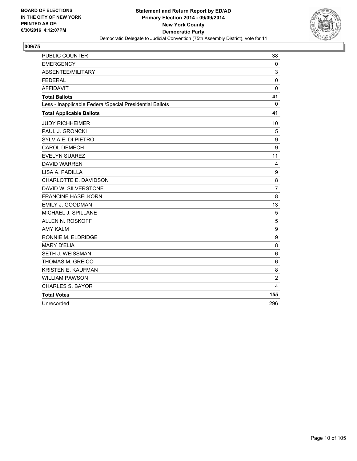

| <b>PUBLIC COUNTER</b>                                    | 38               |
|----------------------------------------------------------|------------------|
| <b>EMERGENCY</b>                                         | 0                |
| ABSENTEE/MILITARY                                        | 3                |
| <b>FEDERAL</b>                                           | 0                |
| <b>AFFIDAVIT</b>                                         | $\mathbf 0$      |
| <b>Total Ballots</b>                                     | 41               |
| Less - Inapplicable Federal/Special Presidential Ballots | 0                |
| <b>Total Applicable Ballots</b>                          | 41               |
| <b>JUDY RICHHEIMER</b>                                   | 10               |
| PAUL J. GRONCKI                                          | 5                |
| SYLVIA E. DI PIETRO                                      | 9                |
| <b>CAROL DEMECH</b>                                      | 9                |
| <b>EVELYN SUAREZ</b>                                     | 11               |
| <b>DAVID WARREN</b>                                      | 4                |
| LISA A. PADILLA                                          | 9                |
| CHARLOTTE E. DAVIDSON                                    | 8                |
| DAVID W. SILVERSTONE                                     | $\overline{7}$   |
| <b>FRANCINE HASELKORN</b>                                | 8                |
| EMILY J. GOODMAN                                         | 13               |
| MICHAEL J. SPILLANE                                      | 5                |
| ALLEN N. ROSKOFF                                         | 5                |
| <b>AMY KALM</b>                                          | $\boldsymbol{9}$ |
| RONNIE M. ELDRIDGE                                       | 9                |
| <b>MARY D'ELIA</b>                                       | 8                |
| SETH J. WEISSMAN                                         | 6                |
| THOMAS M. GREICO                                         | 6                |
| <b>KRISTEN E. KAUFMAN</b>                                | 8                |
| <b>WILLIAM PAWSON</b>                                    | 2                |
| <b>CHARLES S. BAYOR</b>                                  | 4                |
| <b>Total Votes</b>                                       | 155              |
| Unrecorded                                               | 296              |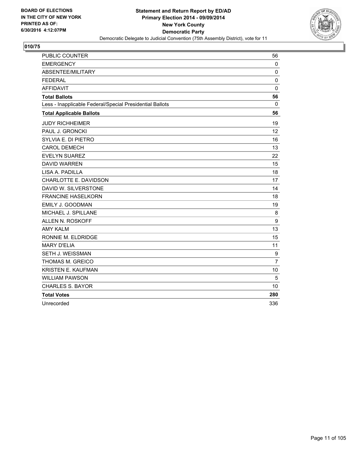

| <b>PUBLIC COUNTER</b>                                    | 56             |
|----------------------------------------------------------|----------------|
| <b>EMERGENCY</b>                                         | 0              |
| ABSENTEE/MILITARY                                        | $\mathbf 0$    |
| <b>FEDERAL</b>                                           | 0              |
| <b>AFFIDAVIT</b>                                         | $\mathbf 0$    |
| <b>Total Ballots</b>                                     | 56             |
| Less - Inapplicable Federal/Special Presidential Ballots | $\Omega$       |
| <b>Total Applicable Ballots</b>                          | 56             |
| <b>JUDY RICHHEIMER</b>                                   | 19             |
| PAUL J. GRONCKI                                          | 12             |
| SYLVIA E. DI PIETRO                                      | 16             |
| <b>CAROL DEMECH</b>                                      | 13             |
| <b>EVELYN SUAREZ</b>                                     | 22             |
| <b>DAVID WARREN</b>                                      | 15             |
| LISA A. PADILLA                                          | 18             |
| CHARLOTTE E. DAVIDSON                                    | 17             |
| DAVID W. SILVERSTONE                                     | 14             |
| <b>FRANCINE HASELKORN</b>                                | 18             |
| EMILY J. GOODMAN                                         | 19             |
| MICHAEL J. SPILLANE                                      | 8              |
| ALLEN N. ROSKOFF                                         | 9              |
| <b>AMY KALM</b>                                          | 13             |
| RONNIE M. ELDRIDGE                                       | 15             |
| <b>MARY D'ELIA</b>                                       | 11             |
| <b>SETH J. WEISSMAN</b>                                  | 9              |
| <b>THOMAS M. GREICO</b>                                  | $\overline{7}$ |
| KRISTEN E. KAUFMAN                                       | 10             |
| <b>WILLIAM PAWSON</b>                                    | 5              |
| <b>CHARLES S. BAYOR</b>                                  | 10             |
| <b>Total Votes</b>                                       | 280            |
| Unrecorded                                               | 336            |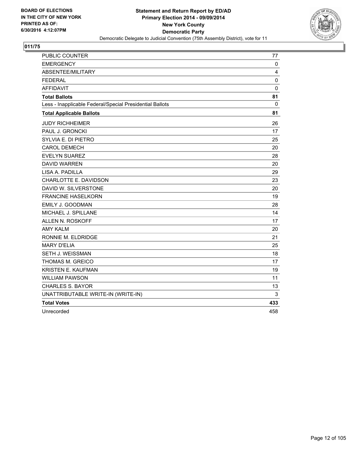

| PUBLIC COUNTER                                           | 77          |
|----------------------------------------------------------|-------------|
| <b>EMERGENCY</b>                                         | 0           |
| ABSENTEE/MILITARY                                        | 4           |
| <b>FEDERAL</b>                                           | $\mathbf 0$ |
| <b>AFFIDAVIT</b>                                         | $\mathbf 0$ |
| <b>Total Ballots</b>                                     | 81          |
| Less - Inapplicable Federal/Special Presidential Ballots | 0           |
| <b>Total Applicable Ballots</b>                          | 81          |
| <b>JUDY RICHHEIMER</b>                                   | 26          |
| PAUL J. GRONCKI                                          | 17          |
| SYLVIA E. DI PIETRO                                      | 25          |
| <b>CAROL DEMECH</b>                                      | 20          |
| <b>EVELYN SUAREZ</b>                                     | 28          |
| <b>DAVID WARREN</b>                                      | 20          |
| LISA A. PADILLA                                          | 29          |
| CHARLOTTE E. DAVIDSON                                    | 23          |
| DAVID W. SILVERSTONE                                     | 20          |
| <b>FRANCINE HASELKORN</b>                                | 19          |
| EMILY J. GOODMAN                                         | 28          |
| MICHAEL J. SPILLANE                                      | 14          |
| ALLEN N. ROSKOFF                                         | 17          |
| <b>AMY KALM</b>                                          | 20          |
| RONNIE M. ELDRIDGE                                       | 21          |
| <b>MARY D'ELIA</b>                                       | 25          |
| SETH J. WEISSMAN                                         | 18          |
| THOMAS M. GREICO                                         | 17          |
| <b>KRISTEN E. KAUFMAN</b>                                | 19          |
| <b>WILLIAM PAWSON</b>                                    | 11          |
| <b>CHARLES S. BAYOR</b>                                  | 13          |
| UNATTRIBUTABLE WRITE-IN (WRITE-IN)                       | 3           |
| <b>Total Votes</b>                                       | 433         |
| Unrecorded                                               | 458         |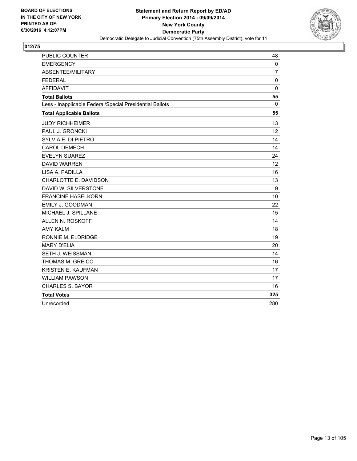

| PUBLIC COUNTER                                           | 48             |
|----------------------------------------------------------|----------------|
| <b>EMERGENCY</b>                                         | $\mathbf{0}$   |
| ABSENTEE/MILITARY                                        | $\overline{7}$ |
| <b>FEDERAL</b>                                           | $\mathbf 0$    |
| <b>AFFIDAVIT</b>                                         | $\mathbf 0$    |
| <b>Total Ballots</b>                                     | 55             |
| Less - Inapplicable Federal/Special Presidential Ballots | 0              |
| <b>Total Applicable Ballots</b>                          | 55             |
| <b>JUDY RICHHEIMER</b>                                   | 13             |
| PAUL J. GRONCKI                                          | 12             |
| SYLVIA E. DI PIETRO                                      | 14             |
| <b>CAROL DEMECH</b>                                      | 14             |
| <b>EVELYN SUAREZ</b>                                     | 24             |
| <b>DAVID WARREN</b>                                      | 12             |
| LISA A. PADILLA                                          | 16             |
| CHARLOTTE E. DAVIDSON                                    | 13             |
| DAVID W. SILVERSTONE                                     | 9              |
| <b>FRANCINE HASELKORN</b>                                | 10             |
| EMILY J. GOODMAN                                         | 22             |
| MICHAEL J. SPILLANE                                      | 15             |
| ALLEN N. ROSKOFF                                         | 14             |
| <b>AMY KALM</b>                                          | 18             |
| RONNIE M. ELDRIDGE                                       | 19             |
| <b>MARY D'ELIA</b>                                       | 20             |
| SETH J. WEISSMAN                                         | 14             |
| THOMAS M. GREICO                                         | 16             |
| <b>KRISTEN E. KAUFMAN</b>                                | 17             |
| <b>WILLIAM PAWSON</b>                                    | 17             |
| <b>CHARLES S. BAYOR</b>                                  | 16             |
| <b>Total Votes</b>                                       | 325            |
| Unrecorded                                               | 280            |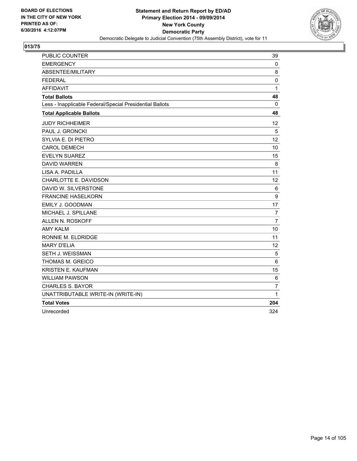

| PUBLIC COUNTER                                           | 39             |
|----------------------------------------------------------|----------------|
| <b>EMERGENCY</b>                                         | 0              |
| ABSENTEE/MILITARY                                        | 8              |
| <b>FEDERAL</b>                                           | $\mathbf 0$    |
| <b>AFFIDAVIT</b>                                         | 1              |
| <b>Total Ballots</b>                                     | 48             |
| Less - Inapplicable Federal/Special Presidential Ballots | 0              |
| <b>Total Applicable Ballots</b>                          | 48             |
| <b>JUDY RICHHEIMER</b>                                   | 12             |
| PAUL J. GRONCKI                                          | 5              |
| SYLVIA E. DI PIETRO                                      | 12             |
| <b>CAROL DEMECH</b>                                      | 10             |
| <b>EVELYN SUAREZ</b>                                     | 15             |
| <b>DAVID WARREN</b>                                      | 8              |
| LISA A. PADILLA                                          | 11             |
| CHARLOTTE E. DAVIDSON                                    | 12             |
| DAVID W. SILVERSTONE                                     | 6              |
| <b>FRANCINE HASELKORN</b>                                | 9              |
| EMILY J. GOODMAN                                         | 17             |
| MICHAEL J. SPILLANE                                      | $\overline{7}$ |
| ALLEN N. ROSKOFF                                         | $\overline{7}$ |
| <b>AMY KALM</b>                                          | 10             |
| RONNIE M. ELDRIDGE                                       | 11             |
| <b>MARY D'ELIA</b>                                       | 12             |
| SETH J. WEISSMAN                                         | 5              |
| THOMAS M. GREICO                                         | 6              |
| <b>KRISTEN E. KAUFMAN</b>                                | 15             |
| <b>WILLIAM PAWSON</b>                                    | 6              |
| CHARLES S. BAYOR                                         | $\overline{7}$ |
| UNATTRIBUTABLE WRITE-IN (WRITE-IN)                       | $\mathbf{1}$   |
| <b>Total Votes</b>                                       | 204            |
| Unrecorded                                               | 324            |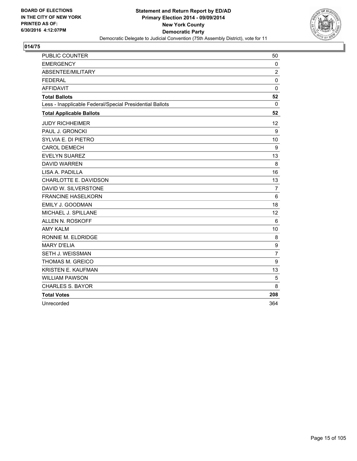

| PUBLIC COUNTER                                           | 50             |
|----------------------------------------------------------|----------------|
| <b>EMERGENCY</b>                                         | 0              |
| ABSENTEE/MILITARY                                        | $\overline{2}$ |
| <b>FEDERAL</b>                                           | $\mathbf 0$    |
| <b>AFFIDAVIT</b>                                         | $\mathbf 0$    |
| <b>Total Ballots</b>                                     | 52             |
| Less - Inapplicable Federal/Special Presidential Ballots | 0              |
| <b>Total Applicable Ballots</b>                          | 52             |
| <b>JUDY RICHHEIMER</b>                                   | 12             |
| PAUL J. GRONCKI                                          | 9              |
| SYLVIA E. DI PIETRO                                      | 10             |
| <b>CAROL DEMECH</b>                                      | 9              |
| <b>EVELYN SUAREZ</b>                                     | 13             |
| <b>DAVID WARREN</b>                                      | 8              |
| LISA A. PADILLA                                          | 16             |
| CHARLOTTE E. DAVIDSON                                    | 13             |
| DAVID W. SILVERSTONE                                     | $\overline{7}$ |
| <b>FRANCINE HASELKORN</b>                                | 6              |
| EMILY J. GOODMAN                                         | 18             |
| MICHAEL J. SPILLANE                                      | 12             |
| ALLEN N. ROSKOFF                                         | 6              |
| <b>AMY KALM</b>                                          | 10             |
| RONNIE M. ELDRIDGE                                       | 8              |
| <b>MARY D'ELIA</b>                                       | 9              |
| SETH J. WEISSMAN                                         | $\overline{7}$ |
| THOMAS M. GREICO                                         | 9              |
| <b>KRISTEN E. KAUFMAN</b>                                | 13             |
| <b>WILLIAM PAWSON</b>                                    | 5              |
| <b>CHARLES S. BAYOR</b>                                  | 8              |
| <b>Total Votes</b>                                       | 208            |
| Unrecorded                                               | 364            |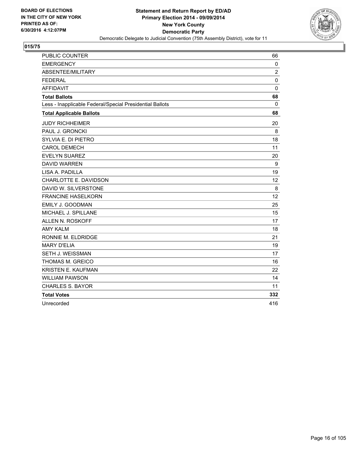

| PUBLIC COUNTER                                           | 66             |
|----------------------------------------------------------|----------------|
| <b>EMERGENCY</b>                                         | 0              |
| ABSENTEE/MILITARY                                        | $\overline{2}$ |
| <b>FEDERAL</b>                                           | $\mathbf 0$    |
| <b>AFFIDAVIT</b>                                         | $\mathbf 0$    |
| <b>Total Ballots</b>                                     | 68             |
| Less - Inapplicable Federal/Special Presidential Ballots | 0              |
| <b>Total Applicable Ballots</b>                          | 68             |
| <b>JUDY RICHHEIMER</b>                                   | 20             |
| PAUL J. GRONCKI                                          | 8              |
| SYLVIA E. DI PIETRO                                      | 18             |
| <b>CAROL DEMECH</b>                                      | 11             |
| <b>EVELYN SUAREZ</b>                                     | 20             |
| <b>DAVID WARREN</b>                                      | 9              |
| LISA A. PADILLA                                          | 19             |
| CHARLOTTE E. DAVIDSON                                    | 12             |
| DAVID W. SILVERSTONE                                     | 8              |
| <b>FRANCINE HASELKORN</b>                                | 12             |
| EMILY J. GOODMAN                                         | 25             |
| MICHAEL J. SPILLANE                                      | 15             |
| ALLEN N. ROSKOFF                                         | 17             |
| <b>AMY KALM</b>                                          | 18             |
| RONNIE M. ELDRIDGE                                       | 21             |
| <b>MARY D'ELIA</b>                                       | 19             |
| SETH J. WEISSMAN                                         | 17             |
| THOMAS M. GREICO                                         | 16             |
| <b>KRISTEN E. KAUFMAN</b>                                | 22             |
| <b>WILLIAM PAWSON</b>                                    | 14             |
| <b>CHARLES S. BAYOR</b>                                  | 11             |
| <b>Total Votes</b>                                       | 332            |
| Unrecorded                                               | 416            |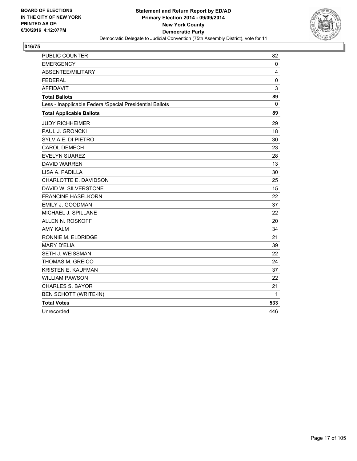

| <b>PUBLIC COUNTER</b>                                    | 82          |
|----------------------------------------------------------|-------------|
| <b>EMERGENCY</b>                                         | 0           |
| ABSENTEE/MILITARY                                        | 4           |
| <b>FEDERAL</b>                                           | $\mathbf 0$ |
| <b>AFFIDAVIT</b>                                         | 3           |
| <b>Total Ballots</b>                                     | 89          |
| Less - Inapplicable Federal/Special Presidential Ballots | 0           |
| <b>Total Applicable Ballots</b>                          | 89          |
| <b>JUDY RICHHEIMER</b>                                   | 29          |
| PAUL J. GRONCKI                                          | 18          |
| SYLVIA E. DI PIETRO                                      | 30          |
| <b>CAROL DEMECH</b>                                      | 23          |
| <b>EVELYN SUAREZ</b>                                     | 28          |
| <b>DAVID WARREN</b>                                      | 13          |
| LISA A. PADILLA                                          | 30          |
| CHARLOTTE E. DAVIDSON                                    | 25          |
| DAVID W. SILVERSTONE                                     | 15          |
| <b>FRANCINE HASELKORN</b>                                | 22          |
| EMILY J. GOODMAN                                         | 37          |
| MICHAEL J. SPILLANE                                      | 22          |
| ALLEN N. ROSKOFF                                         | 20          |
| <b>AMY KALM</b>                                          | 34          |
| RONNIE M. ELDRIDGE                                       | 21          |
| <b>MARY D'ELIA</b>                                       | 39          |
| SETH J. WEISSMAN                                         | 22          |
| THOMAS M. GREICO                                         | 24          |
| KRISTEN E. KAUFMAN                                       | 37          |
| <b>WILLIAM PAWSON</b>                                    | 22          |
| <b>CHARLES S. BAYOR</b>                                  | 21          |
| BEN SCHOTT (WRITE-IN)                                    | 1           |
| <b>Total Votes</b>                                       | 533         |
| Unrecorded                                               | 446         |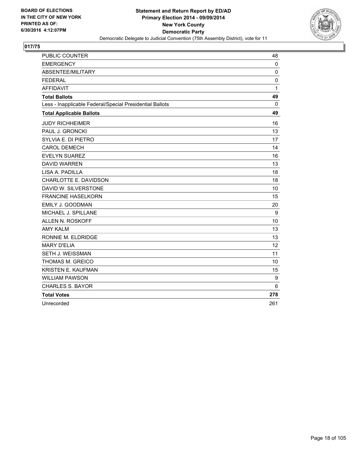

| <b>PUBLIC COUNTER</b>                                    | 48           |
|----------------------------------------------------------|--------------|
| <b>EMERGENCY</b>                                         | $\mathbf 0$  |
| ABSENTEE/MILITARY                                        | 0            |
| <b>FEDERAL</b>                                           | 0            |
| <b>AFFIDAVIT</b>                                         | $\mathbf{1}$ |
| <b>Total Ballots</b>                                     | 49           |
| Less - Inapplicable Federal/Special Presidential Ballots | $\Omega$     |
| <b>Total Applicable Ballots</b>                          | 49           |
| <b>JUDY RICHHEIMER</b>                                   | 16           |
| <b>PAUL J. GRONCKI</b>                                   | 13           |
| SYLVIA E. DI PIETRO                                      | 17           |
| <b>CAROL DEMECH</b>                                      | 14           |
| <b>EVELYN SUAREZ</b>                                     | 16           |
| <b>DAVID WARREN</b>                                      | 13           |
| LISA A. PADILLA                                          | 18           |
| CHARLOTTE E. DAVIDSON                                    | 18           |
| DAVID W. SILVERSTONE                                     | 10           |
| <b>FRANCINE HASELKORN</b>                                | 15           |
| EMILY J. GOODMAN                                         | 20           |
| MICHAEL J. SPILLANE                                      | 9            |
| ALLEN N. ROSKOFF                                         | 10           |
| <b>AMY KALM</b>                                          | 13           |
| RONNIE M. ELDRIDGE                                       | 13           |
| <b>MARY D'ELIA</b>                                       | 12           |
| SETH J. WEISSMAN                                         | 11           |
| THOMAS M. GREICO                                         | 10           |
| <b>KRISTEN E. KAUFMAN</b>                                | 15           |
| <b>WILLIAM PAWSON</b>                                    | 9            |
| <b>CHARLES S. BAYOR</b>                                  | 6            |
| <b>Total Votes</b>                                       | 278          |
| Unrecorded                                               | 261          |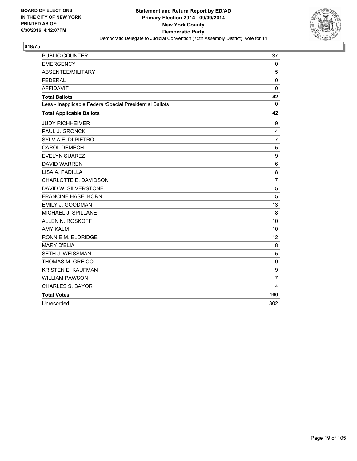

| PUBLIC COUNTER                                           | 37               |
|----------------------------------------------------------|------------------|
| <b>EMERGENCY</b>                                         | $\mathbf 0$      |
| ABSENTEE/MILITARY                                        | 5                |
| <b>FEDERAL</b>                                           | $\Omega$         |
| <b>AFFIDAVIT</b>                                         | $\mathbf 0$      |
| <b>Total Ballots</b>                                     | 42               |
| Less - Inapplicable Federal/Special Presidential Ballots | 0                |
| <b>Total Applicable Ballots</b>                          | 42               |
| <b>JUDY RICHHEIMER</b>                                   | 9                |
| PAUL J. GRONCKI                                          | 4                |
| SYLVIA E. DI PIETRO                                      | $\overline{7}$   |
| <b>CAROL DEMECH</b>                                      | 5                |
| <b>EVELYN SUAREZ</b>                                     | $\boldsymbol{9}$ |
| <b>DAVID WARREN</b>                                      | 6                |
| LISA A. PADILLA                                          | 8                |
| CHARLOTTE E. DAVIDSON                                    | $\overline{7}$   |
| DAVID W. SILVERSTONE                                     | 5                |
| <b>FRANCINE HASELKORN</b>                                | 5                |
| <b>EMILY J. GOODMAN</b>                                  | 13               |
| MICHAEL J. SPILLANE                                      | 8                |
| <b>ALLEN N. ROSKOFF</b>                                  | 10               |
| <b>AMY KALM</b>                                          | 10               |
| RONNIE M. ELDRIDGE                                       | 12               |
| <b>MARY D'ELIA</b>                                       | 8                |
| SETH J. WEISSMAN                                         | 5                |
| THOMAS M. GREICO                                         | 9                |
| KRISTEN E. KAUFMAN                                       | 9                |
| <b>WILLIAM PAWSON</b>                                    | $\overline{7}$   |
| <b>CHARLES S. BAYOR</b>                                  | $\overline{4}$   |
| <b>Total Votes</b>                                       | 160              |
| Unrecorded                                               | 302              |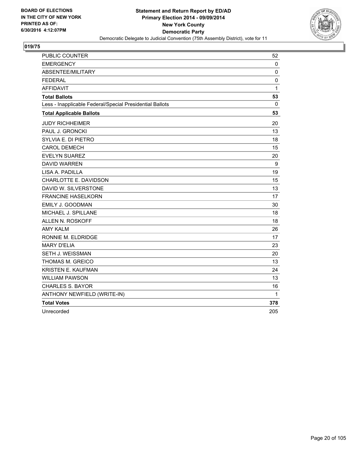

| PUBLIC COUNTER                                           | 52          |
|----------------------------------------------------------|-------------|
| <b>EMERGENCY</b>                                         | 0           |
| ABSENTEE/MILITARY                                        | $\mathbf 0$ |
| <b>FEDERAL</b>                                           | $\mathbf 0$ |
| <b>AFFIDAVIT</b>                                         | 1           |
| <b>Total Ballots</b>                                     | 53          |
| Less - Inapplicable Federal/Special Presidential Ballots | 0           |
| <b>Total Applicable Ballots</b>                          | 53          |
| <b>JUDY RICHHEIMER</b>                                   | 20          |
| PAUL J. GRONCKI                                          | 13          |
| SYLVIA E. DI PIETRO                                      | 18          |
| <b>CAROL DEMECH</b>                                      | 15          |
| <b>EVELYN SUAREZ</b>                                     | 20          |
| <b>DAVID WARREN</b>                                      | 9           |
| LISA A. PADILLA                                          | 19          |
| CHARLOTTE E. DAVIDSON                                    | 15          |
| DAVID W. SILVERSTONE                                     | 13          |
| <b>FRANCINE HASELKORN</b>                                | 17          |
| EMILY J. GOODMAN                                         | 30          |
| MICHAEL J. SPILLANE                                      | 18          |
| ALLEN N. ROSKOFF                                         | 18          |
| <b>AMY KALM</b>                                          | 26          |
| RONNIE M. ELDRIDGE                                       | 17          |
| <b>MARY D'ELIA</b>                                       | 23          |
| SETH J. WEISSMAN                                         | 20          |
| THOMAS M. GREICO                                         | 13          |
| <b>KRISTEN E. KAUFMAN</b>                                | 24          |
| <b>WILLIAM PAWSON</b>                                    | 13          |
| <b>CHARLES S. BAYOR</b>                                  | 16          |
| ANTHONY NEWFIELD (WRITE-IN)                              | 1           |
| <b>Total Votes</b>                                       | 378         |
| Unrecorded                                               | 205         |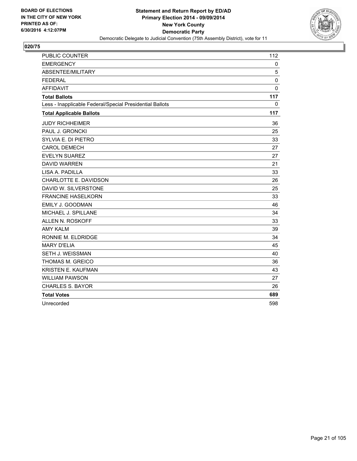

| PUBLIC COUNTER                                           | 112         |
|----------------------------------------------------------|-------------|
| <b>EMERGENCY</b>                                         | 0           |
| ABSENTEE/MILITARY                                        | 5           |
| <b>FEDERAL</b>                                           | $\mathbf 0$ |
| <b>AFFIDAVIT</b>                                         | $\mathbf 0$ |
| <b>Total Ballots</b>                                     | 117         |
| Less - Inapplicable Federal/Special Presidential Ballots | 0           |
| <b>Total Applicable Ballots</b>                          | 117         |
| <b>JUDY RICHHEIMER</b>                                   | 36          |
| PAUL J. GRONCKI                                          | 25          |
| SYLVIA E. DI PIETRO                                      | 33          |
| <b>CAROL DEMECH</b>                                      | 27          |
| <b>EVELYN SUAREZ</b>                                     | 27          |
| <b>DAVID WARREN</b>                                      | 21          |
| LISA A. PADILLA                                          | 33          |
| CHARLOTTE E. DAVIDSON                                    | 26          |
| DAVID W. SILVERSTONE                                     | 25          |
| <b>FRANCINE HASELKORN</b>                                | 33          |
| EMILY J. GOODMAN                                         | 46          |
| MICHAEL J. SPILLANE                                      | 34          |
| ALLEN N. ROSKOFF                                         | 33          |
| <b>AMY KALM</b>                                          | 39          |
| RONNIE M. ELDRIDGE                                       | 34          |
| <b>MARY D'ELIA</b>                                       | 45          |
| <b>SETH J. WEISSMAN</b>                                  | 40          |
| THOMAS M. GREICO                                         | 36          |
| KRISTEN E. KAUFMAN                                       | 43          |
| <b>WILLIAM PAWSON</b>                                    | 27          |
| <b>CHARLES S. BAYOR</b>                                  | 26          |
| <b>Total Votes</b>                                       | 689         |
| Unrecorded                                               | 598         |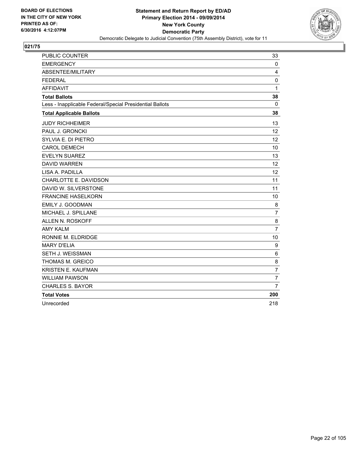

| PUBLIC COUNTER                                           | 33             |
|----------------------------------------------------------|----------------|
| <b>EMERGENCY</b>                                         | $\mathbf{0}$   |
| ABSENTEE/MILITARY                                        | 4              |
| <b>FEDERAL</b>                                           | 0              |
| <b>AFFIDAVIT</b>                                         | 1              |
| <b>Total Ballots</b>                                     | 38             |
| Less - Inapplicable Federal/Special Presidential Ballots | 0              |
| <b>Total Applicable Ballots</b>                          | 38             |
| <b>JUDY RICHHEIMER</b>                                   | 13             |
| PAUL J. GRONCKI                                          | 12             |
| SYLVIA E. DI PIETRO                                      | 12             |
| <b>CAROL DEMECH</b>                                      | 10             |
| <b>EVELYN SUAREZ</b>                                     | 13             |
| <b>DAVID WARREN</b>                                      | 12             |
| LISA A. PADILLA                                          | 12             |
| CHARLOTTE E. DAVIDSON                                    | 11             |
| DAVID W. SILVERSTONE                                     | 11             |
| <b>FRANCINE HASELKORN</b>                                | 10             |
| EMILY J. GOODMAN                                         | 8              |
| MICHAEL J. SPILLANE                                      | $\overline{7}$ |
| ALLEN N. ROSKOFF                                         | 8              |
| <b>AMY KALM</b>                                          | 7              |
| RONNIE M. ELDRIDGE                                       | 10             |
| <b>MARY D'ELIA</b>                                       | 9              |
| SETH J. WEISSMAN                                         | 6              |
| THOMAS M. GREICO                                         | 8              |
| <b>KRISTEN E. KAUFMAN</b>                                | $\overline{7}$ |
| <b>WILLIAM PAWSON</b>                                    | $\overline{7}$ |
| <b>CHARLES S. BAYOR</b>                                  | $\overline{7}$ |
| <b>Total Votes</b>                                       | 200            |
| Unrecorded                                               | 218            |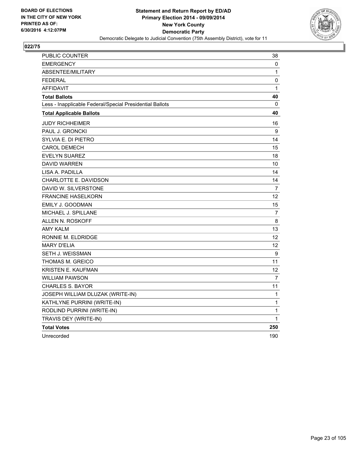

| PUBLIC COUNTER                                           | 38           |
|----------------------------------------------------------|--------------|
| <b>EMERGENCY</b>                                         | 0            |
| ABSENTEE/MILITARY                                        | 1            |
| <b>FEDERAL</b>                                           | 0            |
| <b>AFFIDAVIT</b>                                         | $\mathbf{1}$ |
| <b>Total Ballots</b>                                     | 40           |
| Less - Inapplicable Federal/Special Presidential Ballots | 0            |
| <b>Total Applicable Ballots</b>                          | 40           |
| <b>JUDY RICHHEIMER</b>                                   | 16           |
| PAUL J. GRONCKI                                          | 9            |
| SYLVIA E. DI PIETRO                                      | 14           |
| <b>CAROL DEMECH</b>                                      | 15           |
| <b>EVELYN SUAREZ</b>                                     | 18           |
| <b>DAVID WARREN</b>                                      | 10           |
| LISA A. PADILLA                                          | 14           |
| CHARLOTTE E. DAVIDSON                                    | 14           |
| DAVID W. SILVERSTONE                                     | 7            |
| <b>FRANCINE HASELKORN</b>                                | 12           |
| <b>EMILY J. GOODMAN</b>                                  | 15           |
| MICHAEL J. SPILLANE                                      | 7            |
| ALLEN N. ROSKOFF                                         | 8            |
| <b>AMY KALM</b>                                          | 13           |
| RONNIE M. ELDRIDGE                                       | 12           |
| <b>MARY D'ELIA</b>                                       | 12           |
| SETH J. WEISSMAN                                         | 9            |
| THOMAS M. GREICO                                         | 11           |
| <b>KRISTEN E. KAUFMAN</b>                                | 12           |
| <b>WILLIAM PAWSON</b>                                    | 7            |
| <b>CHARLES S. BAYOR</b>                                  | 11           |
| JOSEPH WILLIAM DLUZAK (WRITE-IN)                         | 1            |
| KATHLYNE PURRINI (WRITE-IN)                              | $\mathbf 1$  |
| RODLIND PURRINI (WRITE-IN)                               | 1            |
| TRAVIS DEY (WRITE-IN)                                    | $\mathbf{1}$ |
| <b>Total Votes</b>                                       | 250          |
| Unrecorded                                               | 190          |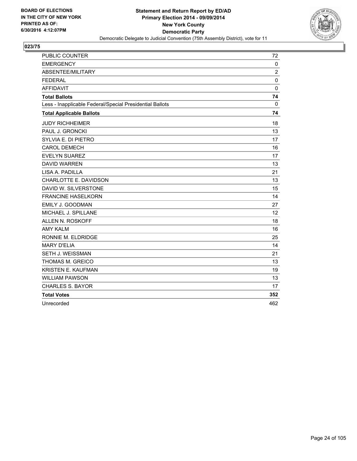

| PUBLIC COUNTER                                           | 72             |
|----------------------------------------------------------|----------------|
| <b>EMERGENCY</b>                                         | $\mathbf 0$    |
| ABSENTEE/MILITARY                                        | $\overline{c}$ |
| <b>FEDERAL</b>                                           | 0              |
| <b>AFFIDAVIT</b>                                         | $\mathbf 0$    |
| <b>Total Ballots</b>                                     | 74             |
| Less - Inapplicable Federal/Special Presidential Ballots | 0              |
| <b>Total Applicable Ballots</b>                          | 74             |
| <b>JUDY RICHHEIMER</b>                                   | 18             |
| PAUL J. GRONCKI                                          | 13             |
| SYLVIA E. DI PIETRO                                      | 17             |
| <b>CAROL DEMECH</b>                                      | 16             |
| <b>EVELYN SUAREZ</b>                                     | 17             |
| <b>DAVID WARREN</b>                                      | 13             |
| LISA A. PADILLA                                          | 21             |
| CHARLOTTE E. DAVIDSON                                    | 13             |
| DAVID W. SILVERSTONE                                     | 15             |
| <b>FRANCINE HASELKORN</b>                                | 14             |
| EMILY J. GOODMAN                                         | 27             |
| MICHAEL J. SPILLANE                                      | 12             |
| <b>ALLEN N. ROSKOFF</b>                                  | 18             |
| <b>AMY KALM</b>                                          | 16             |
| RONNIE M. ELDRIDGE                                       | 25             |
| <b>MARY D'ELIA</b>                                       | 14             |
| SETH J. WEISSMAN                                         | 21             |
| THOMAS M. GREICO                                         | 13             |
| KRISTEN E. KAUFMAN                                       | 19             |
| <b>WILLIAM PAWSON</b>                                    | 13             |
| <b>CHARLES S. BAYOR</b>                                  | 17             |
| <b>Total Votes</b>                                       | 352            |
| Unrecorded                                               | 462            |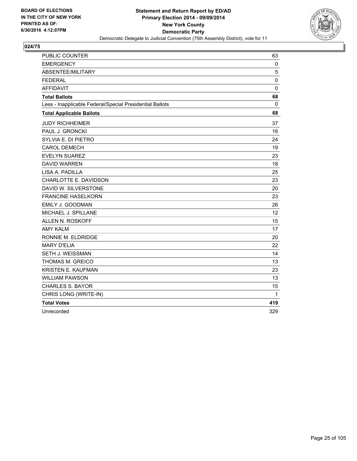

| PUBLIC COUNTER                                           | 63          |
|----------------------------------------------------------|-------------|
| <b>EMERGENCY</b>                                         | 0           |
| ABSENTEE/MILITARY                                        | 5           |
| <b>FEDERAL</b>                                           | $\mathbf 0$ |
| <b>AFFIDAVIT</b>                                         | $\mathbf 0$ |
| <b>Total Ballots</b>                                     | 68          |
| Less - Inapplicable Federal/Special Presidential Ballots | 0           |
| <b>Total Applicable Ballots</b>                          | 68          |
| <b>JUDY RICHHEIMER</b>                                   | 37          |
| PAUL J. GRONCKI                                          | 16          |
| SYLVIA E. DI PIETRO                                      | 24          |
| <b>CAROL DEMECH</b>                                      | 19          |
| <b>EVELYN SUAREZ</b>                                     | 23          |
| <b>DAVID WARREN</b>                                      | 18          |
| LISA A. PADILLA                                          | 25          |
| CHARLOTTE E. DAVIDSON                                    | 23          |
| DAVID W. SILVERSTONE                                     | 20          |
| <b>FRANCINE HASELKORN</b>                                | 23          |
| EMILY J. GOODMAN                                         | 26          |
| MICHAEL J. SPILLANE                                      | 12          |
| ALLEN N. ROSKOFF                                         | 15          |
| <b>AMY KALM</b>                                          | 17          |
| RONNIE M. ELDRIDGE                                       | 20          |
| <b>MARY D'ELIA</b>                                       | 22          |
| SETH J. WEISSMAN                                         | 14          |
| THOMAS M. GREICO                                         | 13          |
| KRISTEN E. KAUFMAN                                       | 23          |
| <b>WILLIAM PAWSON</b>                                    | 13          |
| <b>CHARLES S. BAYOR</b>                                  | 15          |
| CHRIS LONG (WRITE-IN)                                    | 1           |
| <b>Total Votes</b>                                       | 419         |
| Unrecorded                                               | 329         |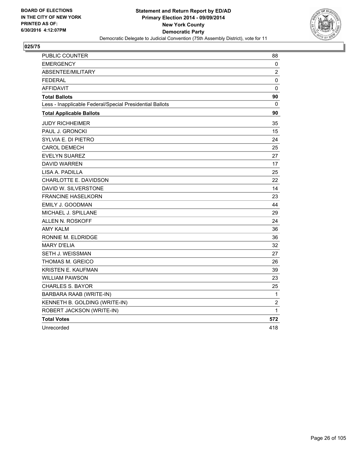

| PUBLIC COUNTER                                           | 88             |
|----------------------------------------------------------|----------------|
| <b>EMERGENCY</b>                                         | 0              |
| <b>ABSENTEE/MILITARY</b>                                 | $\overline{2}$ |
| <b>FEDERAL</b>                                           | $\pmb{0}$      |
| <b>AFFIDAVIT</b>                                         | 0              |
| <b>Total Ballots</b>                                     | 90             |
| Less - Inapplicable Federal/Special Presidential Ballots | 0              |
| <b>Total Applicable Ballots</b>                          | 90             |
| <b>JUDY RICHHEIMER</b>                                   | 35             |
| PAUL J. GRONCKI                                          | 15             |
| SYLVIA E. DI PIETRO                                      | 24             |
| <b>CAROL DEMECH</b>                                      | 25             |
| <b>EVELYN SUAREZ</b>                                     | 27             |
| <b>DAVID WARREN</b>                                      | 17             |
| LISA A. PADILLA                                          | 25             |
| CHARLOTTE E. DAVIDSON                                    | 22             |
| DAVID W. SILVERSTONE                                     | 14             |
| <b>FRANCINE HASELKORN</b>                                | 23             |
| EMILY J. GOODMAN                                         | 44             |
| MICHAEL J. SPILLANE                                      | 29             |
| ALLEN N. ROSKOFF                                         | 24             |
| <b>AMY KALM</b>                                          | 36             |
| RONNIE M. ELDRIDGE                                       | 36             |
| <b>MARY D'ELIA</b>                                       | 32             |
| SETH J. WEISSMAN                                         | 27             |
| THOMAS M. GREICO                                         | 26             |
| <b>KRISTEN E. KAUFMAN</b>                                | 39             |
| <b>WILLIAM PAWSON</b>                                    | 23             |
| <b>CHARLES S. BAYOR</b>                                  | 25             |
| BARBARA RAAB (WRITE-IN)                                  | 1              |
| KENNETH B. GOLDING (WRITE-IN)                            | $\overline{2}$ |
| ROBERT JACKSON (WRITE-IN)                                | $\mathbf 1$    |
| <b>Total Votes</b>                                       | 572            |
| Unrecorded                                               | 418            |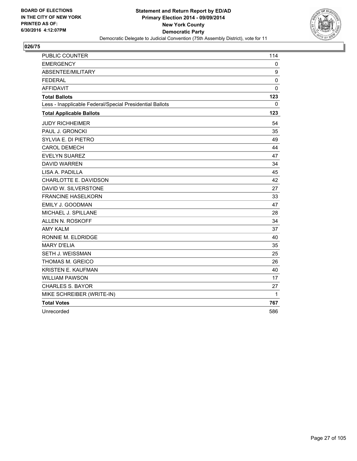

| <b>PUBLIC COUNTER</b>                                    | 114         |
|----------------------------------------------------------|-------------|
| <b>EMERGENCY</b>                                         | 0           |
| ABSENTEE/MILITARY                                        | 9           |
| <b>FEDERAL</b>                                           | $\mathbf 0$ |
| <b>AFFIDAVIT</b>                                         | 0           |
| <b>Total Ballots</b>                                     | 123         |
| Less - Inapplicable Federal/Special Presidential Ballots | 0           |
| <b>Total Applicable Ballots</b>                          | 123         |
| <b>JUDY RICHHEIMER</b>                                   | 54          |
| PAUL J. GRONCKI                                          | 35          |
| SYLVIA E. DI PIETRO                                      | 49          |
| <b>CAROL DEMECH</b>                                      | 44          |
| <b>EVELYN SUAREZ</b>                                     | 47          |
| <b>DAVID WARREN</b>                                      | 34          |
| LISA A. PADILLA                                          | 45          |
| CHARLOTTE E. DAVIDSON                                    | 42          |
| DAVID W. SILVERSTONE                                     | 27          |
| <b>FRANCINE HASELKORN</b>                                | 33          |
| EMILY J. GOODMAN                                         | 47          |
| MICHAEL J. SPILLANE                                      | 28          |
| ALLEN N. ROSKOFF                                         | 34          |
| <b>AMY KALM</b>                                          | 37          |
| RONNIE M. ELDRIDGE                                       | 40          |
| <b>MARY D'ELIA</b>                                       | 35          |
| SETH J. WEISSMAN                                         | 25          |
| THOMAS M. GREICO                                         | 26          |
| KRISTEN E. KAUFMAN                                       | 40          |
| <b>WILLIAM PAWSON</b>                                    | 17          |
| <b>CHARLES S. BAYOR</b>                                  | 27          |
| MIKE SCHREIBER (WRITE-IN)                                | 1           |
| <b>Total Votes</b>                                       | 767         |
| Unrecorded                                               | 586         |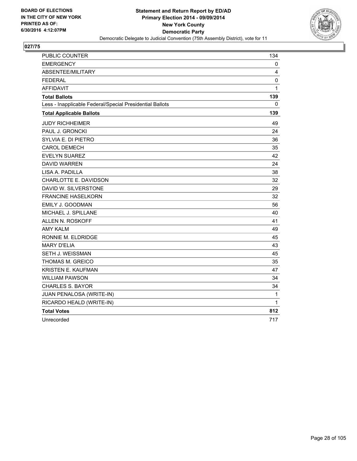

| <b>PUBLIC COUNTER</b>                                    | 134          |
|----------------------------------------------------------|--------------|
| <b>EMERGENCY</b>                                         | 0            |
| ABSENTEE/MILITARY                                        | 4            |
| <b>FEDERAL</b>                                           | 0            |
| <b>AFFIDAVIT</b>                                         | $\mathbf{1}$ |
| <b>Total Ballots</b>                                     | 139          |
| Less - Inapplicable Federal/Special Presidential Ballots | 0            |
| <b>Total Applicable Ballots</b>                          | 139          |
| <b>JUDY RICHHEIMER</b>                                   | 49           |
| <b>PAUL J. GRONCKI</b>                                   | 24           |
| SYLVIA E. DI PIETRO                                      | 36           |
| <b>CAROL DEMECH</b>                                      | 35           |
| <b>EVELYN SUAREZ</b>                                     | 42           |
| <b>DAVID WARREN</b>                                      | 24           |
| LISA A. PADILLA                                          | 38           |
| CHARLOTTE E. DAVIDSON                                    | 32           |
| DAVID W. SILVERSTONE                                     | 29           |
| <b>FRANCINE HASELKORN</b>                                | 32           |
| EMILY J. GOODMAN                                         | 56           |
| MICHAEL J. SPILLANE                                      | 40           |
| ALLEN N. ROSKOFF                                         | 41           |
| <b>AMY KALM</b>                                          | 49           |
| RONNIE M. ELDRIDGE                                       | 45           |
| <b>MARY D'ELIA</b>                                       | 43           |
| SETH J. WEISSMAN                                         | 45           |
| THOMAS M. GREICO                                         | 35           |
| KRISTEN E. KAUFMAN                                       | 47           |
| <b>WILLIAM PAWSON</b>                                    | 34           |
| <b>CHARLES S. BAYOR</b>                                  | 34           |
| JUAN PENALOSA (WRITE-IN)                                 | 1            |
| RICARDO HEALD (WRITE-IN)                                 | 1            |
| <b>Total Votes</b>                                       | 812          |
| Unrecorded                                               | 717          |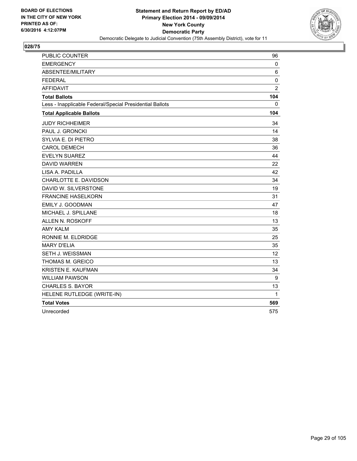

| <b>PUBLIC COUNTER</b>                                    | 96             |
|----------------------------------------------------------|----------------|
| <b>EMERGENCY</b>                                         | 0              |
| ABSENTEE/MILITARY                                        | 6              |
| <b>FEDERAL</b>                                           | $\mathbf 0$    |
| <b>AFFIDAVIT</b>                                         | $\overline{2}$ |
| <b>Total Ballots</b>                                     | 104            |
| Less - Inapplicable Federal/Special Presidential Ballots | 0              |
| <b>Total Applicable Ballots</b>                          | 104            |
| <b>JUDY RICHHEIMER</b>                                   | 34             |
| PAUL J. GRONCKI                                          | 14             |
| SYLVIA E. DI PIETRO                                      | 38             |
| <b>CAROL DEMECH</b>                                      | 36             |
| <b>EVELYN SUAREZ</b>                                     | 44             |
| <b>DAVID WARREN</b>                                      | 22             |
| LISA A. PADILLA                                          | 42             |
| CHARLOTTE E. DAVIDSON                                    | 34             |
| DAVID W. SILVERSTONE                                     | 19             |
| <b>FRANCINE HASELKORN</b>                                | 31             |
| EMILY J. GOODMAN                                         | 47             |
| MICHAEL J. SPILLANE                                      | 18             |
| ALLEN N. ROSKOFF                                         | 13             |
| <b>AMY KALM</b>                                          | 35             |
| RONNIE M. ELDRIDGE                                       | 25             |
| <b>MARY D'ELIA</b>                                       | 35             |
| SETH J. WEISSMAN                                         | 12             |
| THOMAS M. GREICO                                         | 13             |
| KRISTEN E. KAUFMAN                                       | 34             |
| <b>WILLIAM PAWSON</b>                                    | 9              |
| <b>CHARLES S. BAYOR</b>                                  | 13             |
| HELENE RUTLEDGE (WRITE-IN)                               | 1              |
| <b>Total Votes</b>                                       | 569            |
| Unrecorded                                               | 575            |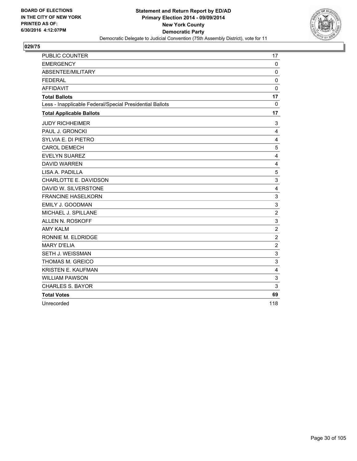

| PUBLIC COUNTER                                           | 17                      |
|----------------------------------------------------------|-------------------------|
| <b>EMERGENCY</b>                                         | 0                       |
| ABSENTEE/MILITARY                                        | $\mathbf 0$             |
| <b>FEDERAL</b>                                           | 0                       |
| <b>AFFIDAVIT</b>                                         | $\mathbf 0$             |
| <b>Total Ballots</b>                                     | 17                      |
| Less - Inapplicable Federal/Special Presidential Ballots | 0                       |
| <b>Total Applicable Ballots</b>                          | 17                      |
| <b>JUDY RICHHEIMER</b>                                   | 3                       |
| PAUL J. GRONCKI                                          | 4                       |
| SYLVIA E. DI PIETRO                                      | 4                       |
| <b>CAROL DEMECH</b>                                      | 5                       |
| <b>EVELYN SUAREZ</b>                                     | 4                       |
| <b>DAVID WARREN</b>                                      | 4                       |
| LISA A. PADILLA                                          | 5                       |
| CHARLOTTE E. DAVIDSON                                    | 3                       |
| DAVID W. SILVERSTONE                                     | 4                       |
| <b>FRANCINE HASELKORN</b>                                | 3                       |
| <b>EMILY J. GOODMAN</b>                                  | 3                       |
| MICHAEL J. SPILLANE                                      | $\overline{2}$          |
| ALLEN N. ROSKOFF                                         | 3                       |
| <b>AMY KALM</b>                                          | $\overline{2}$          |
| RONNIE M. ELDRIDGE                                       | $\overline{2}$          |
| <b>MARY D'ELIA</b>                                       | $\overline{c}$          |
| <b>SETH J. WEISSMAN</b>                                  | 3                       |
| THOMAS M. GREICO                                         | 3                       |
| <b>KRISTEN E. KAUFMAN</b>                                | $\overline{\mathbf{4}}$ |
| <b>WILLIAM PAWSON</b>                                    | 3                       |
| <b>CHARLES S. BAYOR</b>                                  | 3                       |
| <b>Total Votes</b>                                       | 69                      |
| Unrecorded                                               | 118                     |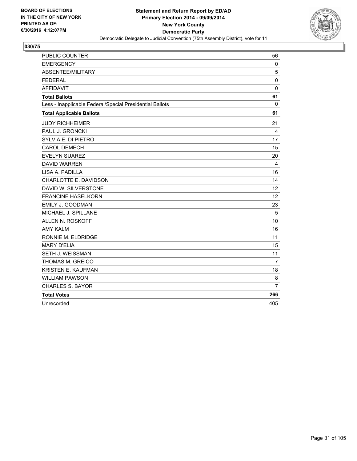

| PUBLIC COUNTER                                           | 56             |
|----------------------------------------------------------|----------------|
| <b>EMERGENCY</b>                                         | $\mathbf{0}$   |
| ABSENTEE/MILITARY                                        | 5              |
| <b>FEDERAL</b>                                           | 0              |
| <b>AFFIDAVIT</b>                                         | $\mathbf 0$    |
| <b>Total Ballots</b>                                     | 61             |
| Less - Inapplicable Federal/Special Presidential Ballots | 0              |
| <b>Total Applicable Ballots</b>                          | 61             |
| <b>JUDY RICHHEIMER</b>                                   | 21             |
| PAUL J. GRONCKI                                          | 4              |
| SYLVIA E. DI PIETRO                                      | 17             |
| <b>CAROL DEMECH</b>                                      | 15             |
| <b>EVELYN SUAREZ</b>                                     | 20             |
| <b>DAVID WARREN</b>                                      | 4              |
| LISA A. PADILLA                                          | 16             |
| CHARLOTTE E. DAVIDSON                                    | 14             |
| DAVID W. SILVERSTONE                                     | 12             |
| <b>FRANCINE HASELKORN</b>                                | 12             |
| EMILY J. GOODMAN                                         | 23             |
| MICHAEL J. SPILLANE                                      | 5              |
| ALLEN N. ROSKOFF                                         | 10             |
| <b>AMY KALM</b>                                          | 16             |
| RONNIE M. ELDRIDGE                                       | 11             |
| <b>MARY D'ELIA</b>                                       | 15             |
| SETH J. WEISSMAN                                         | 11             |
| THOMAS M. GREICO                                         | $\overline{7}$ |
| <b>KRISTEN E. KAUFMAN</b>                                | 18             |
| <b>WILLIAM PAWSON</b>                                    | 8              |
| <b>CHARLES S. BAYOR</b>                                  | $\overline{7}$ |
| <b>Total Votes</b>                                       | 266            |
| Unrecorded                                               | 405            |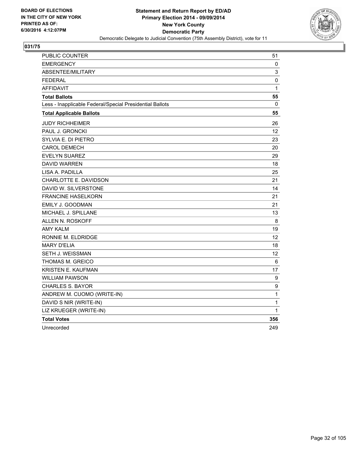

| PUBLIC COUNTER                                           | 51               |
|----------------------------------------------------------|------------------|
| <b>EMERGENCY</b>                                         | 0                |
| <b>ABSENTEE/MILITARY</b>                                 | 3                |
| <b>FEDERAL</b>                                           | $\pmb{0}$        |
| <b>AFFIDAVIT</b>                                         | 1                |
| <b>Total Ballots</b>                                     | 55               |
| Less - Inapplicable Federal/Special Presidential Ballots | 0                |
| <b>Total Applicable Ballots</b>                          | 55               |
| <b>JUDY RICHHEIMER</b>                                   | 26               |
| PAUL J. GRONCKI                                          | 12               |
| SYLVIA E. DI PIETRO                                      | 23               |
| <b>CAROL DEMECH</b>                                      | 20               |
| EVELYN SUAREZ                                            | 29               |
| <b>DAVID WARREN</b>                                      | 18               |
| LISA A. PADILLA                                          | 25               |
| CHARLOTTE E. DAVIDSON                                    | 21               |
| DAVID W. SILVERSTONE                                     | 14               |
| <b>FRANCINE HASELKORN</b>                                | 21               |
| EMILY J. GOODMAN                                         | 21               |
| MICHAEL J. SPILLANE                                      | 13               |
| ALLEN N. ROSKOFF                                         | 8                |
| <b>AMY KALM</b>                                          | 19               |
| RONNIE M. ELDRIDGE                                       | 12               |
| <b>MARY D'ELIA</b>                                       | 18               |
| SETH J. WEISSMAN                                         | 12               |
| THOMAS M. GREICO                                         | 6                |
| KRISTEN E. KAUFMAN                                       | 17               |
| <b>WILLIAM PAWSON</b>                                    | $\boldsymbol{9}$ |
| <b>CHARLES S. BAYOR</b>                                  | 9                |
| ANDREW M. CUOMO (WRITE-IN)                               | $\mathbf 1$      |
| DAVID S NIR (WRITE-IN)                                   | 1                |
| LIZ KRUEGER (WRITE-IN)                                   | 1                |
| <b>Total Votes</b>                                       | 356              |
| Unrecorded                                               | 249              |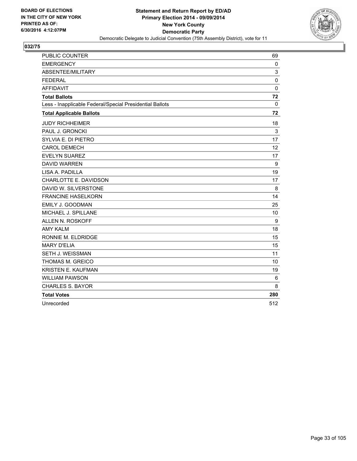

| PUBLIC COUNTER                                           | 69           |
|----------------------------------------------------------|--------------|
| <b>EMERGENCY</b>                                         | $\mathbf{0}$ |
| ABSENTEE/MILITARY                                        | 3            |
| <b>FEDERAL</b>                                           | $\mathbf 0$  |
| <b>AFFIDAVIT</b>                                         | $\mathbf 0$  |
| <b>Total Ballots</b>                                     | 72           |
| Less - Inapplicable Federal/Special Presidential Ballots | 0            |
| <b>Total Applicable Ballots</b>                          | 72           |
| <b>JUDY RICHHEIMER</b>                                   | 18           |
| PAUL J. GRONCKI                                          | 3            |
| SYLVIA E. DI PIETRO                                      | 17           |
| <b>CAROL DEMECH</b>                                      | 12           |
| <b>EVELYN SUAREZ</b>                                     | 17           |
| <b>DAVID WARREN</b>                                      | 9            |
| LISA A. PADILLA                                          | 19           |
| CHARLOTTE E. DAVIDSON                                    | 17           |
| DAVID W. SILVERSTONE                                     | 8            |
| <b>FRANCINE HASELKORN</b>                                | 14           |
| EMILY J. GOODMAN                                         | 25           |
| MICHAEL J. SPILLANE                                      | 10           |
| ALLEN N. ROSKOFF                                         | 9            |
| <b>AMY KALM</b>                                          | 18           |
| RONNIE M. ELDRIDGE                                       | 15           |
| <b>MARY D'ELIA</b>                                       | 15           |
| SETH J. WEISSMAN                                         | 11           |
| THOMAS M. GREICO                                         | 10           |
| <b>KRISTEN E. KAUFMAN</b>                                | 19           |
| <b>WILLIAM PAWSON</b>                                    | 6            |
| <b>CHARLES S. BAYOR</b>                                  | 8            |
| <b>Total Votes</b>                                       | 280          |
| Unrecorded                                               | 512          |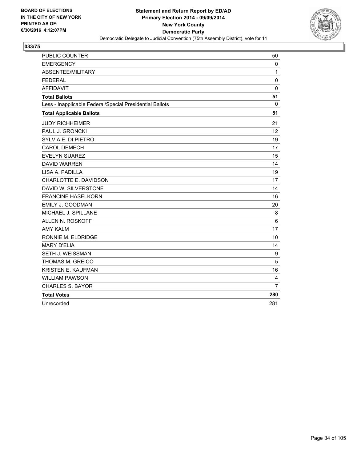

| PUBLIC COUNTER                                           | 50             |
|----------------------------------------------------------|----------------|
| <b>EMERGENCY</b>                                         | $\mathbf{0}$   |
| ABSENTEE/MILITARY                                        | 1              |
| <b>FEDERAL</b>                                           | 0              |
| <b>AFFIDAVIT</b>                                         | $\mathbf 0$    |
| <b>Total Ballots</b>                                     | 51             |
| Less - Inapplicable Federal/Special Presidential Ballots | 0              |
| <b>Total Applicable Ballots</b>                          | 51             |
| <b>JUDY RICHHEIMER</b>                                   | 21             |
| PAUL J. GRONCKI                                          | 12             |
| SYLVIA E. DI PIETRO                                      | 19             |
| <b>CAROL DEMECH</b>                                      | 17             |
| <b>EVELYN SUAREZ</b>                                     | 15             |
| <b>DAVID WARREN</b>                                      | 14             |
| LISA A. PADILLA                                          | 19             |
| CHARLOTTE E. DAVIDSON                                    | 17             |
| DAVID W. SILVERSTONE                                     | 14             |
| <b>FRANCINE HASELKORN</b>                                | 16             |
| EMILY J. GOODMAN                                         | 20             |
| MICHAEL J. SPILLANE                                      | 8              |
| ALLEN N. ROSKOFF                                         | 6              |
| <b>AMY KALM</b>                                          | 17             |
| RONNIE M. ELDRIDGE                                       | 10             |
| <b>MARY D'ELIA</b>                                       | 14             |
| SETH J. WEISSMAN                                         | 9              |
| THOMAS M. GREICO                                         | 5              |
| <b>KRISTEN E. KAUFMAN</b>                                | 16             |
| <b>WILLIAM PAWSON</b>                                    | 4              |
| <b>CHARLES S. BAYOR</b>                                  | $\overline{7}$ |
| <b>Total Votes</b>                                       | 280            |
| Unrecorded                                               | 281            |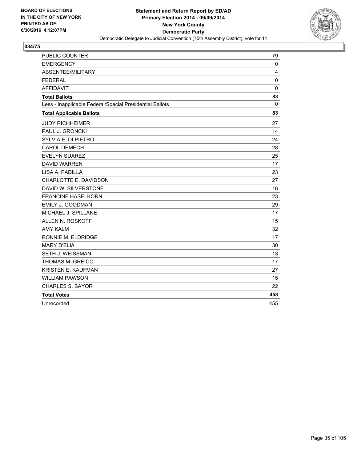

| PUBLIC COUNTER                                           | 79           |
|----------------------------------------------------------|--------------|
| <b>EMERGENCY</b>                                         | $\mathbf{0}$ |
| ABSENTEE/MILITARY                                        | 4            |
| <b>FEDERAL</b>                                           | 0            |
| <b>AFFIDAVIT</b>                                         | $\mathbf 0$  |
| <b>Total Ballots</b>                                     | 83           |
| Less - Inapplicable Federal/Special Presidential Ballots | 0            |
| <b>Total Applicable Ballots</b>                          | 83           |
| <b>JUDY RICHHEIMER</b>                                   | 27           |
| PAUL J. GRONCKI                                          | 14           |
| SYLVIA E. DI PIETRO                                      | 24           |
| <b>CAROL DEMECH</b>                                      | 28           |
| <b>EVELYN SUAREZ</b>                                     | 25           |
| <b>DAVID WARREN</b>                                      | 17           |
| LISA A. PADILLA                                          | 23           |
| CHARLOTTE E. DAVIDSON                                    | 27           |
| DAVID W. SILVERSTONE                                     | 16           |
| <b>FRANCINE HASELKORN</b>                                | 23           |
| EMILY J. GOODMAN                                         | 29           |
| MICHAEL J. SPILLANE                                      | 17           |
| ALLEN N. ROSKOFF                                         | 15           |
| <b>AMY KALM</b>                                          | 32           |
| RONNIE M. ELDRIDGE                                       | 17           |
| <b>MARY D'ELIA</b>                                       | 30           |
| SETH J. WEISSMAN                                         | 13           |
| <b>THOMAS M. GREICO</b>                                  | 17           |
| <b>KRISTEN E. KAUFMAN</b>                                | 27           |
| <b>WILLIAM PAWSON</b>                                    | 15           |
| <b>CHARLES S. BAYOR</b>                                  | 22           |
| <b>Total Votes</b>                                       | 458          |
| Unrecorded                                               | 455          |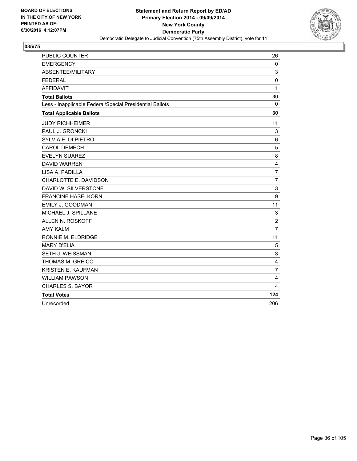

| PUBLIC COUNTER                                           | 26             |
|----------------------------------------------------------|----------------|
| <b>EMERGENCY</b>                                         | $\mathbf{0}$   |
| ABSENTEE/MILITARY                                        | 3              |
| <b>FEDERAL</b>                                           | $\pmb{0}$      |
| <b>AFFIDAVIT</b>                                         | 1              |
| <b>Total Ballots</b>                                     | 30             |
| Less - Inapplicable Federal/Special Presidential Ballots | 0              |
| <b>Total Applicable Ballots</b>                          | 30             |
| <b>JUDY RICHHEIMER</b>                                   | 11             |
| PAUL J. GRONCKI                                          | 3              |
| SYLVIA E. DI PIETRO                                      | 6              |
| <b>CAROL DEMECH</b>                                      | 5              |
| <b>EVELYN SUAREZ</b>                                     | 8              |
| <b>DAVID WARREN</b>                                      | 4              |
| LISA A. PADILLA                                          | $\overline{7}$ |
| CHARLOTTE E. DAVIDSON                                    | $\overline{7}$ |
| DAVID W. SILVERSTONE                                     | 3              |
| <b>FRANCINE HASELKORN</b>                                | 9              |
| EMILY J. GOODMAN                                         | 11             |
| MICHAEL J. SPILLANE                                      | 3              |
| ALLEN N. ROSKOFF                                         | $\overline{2}$ |
| <b>AMY KALM</b>                                          | 7              |
| RONNIE M. ELDRIDGE                                       | 11             |
| <b>MARY D'ELIA</b>                                       | 5              |
| SETH J. WEISSMAN                                         | 3              |
| THOMAS M. GREICO                                         | 4              |
| <b>KRISTEN E. KAUFMAN</b>                                | $\overline{7}$ |
| <b>WILLIAM PAWSON</b>                                    | 4              |
| <b>CHARLES S. BAYOR</b>                                  | 4              |
| <b>Total Votes</b>                                       | 124            |
| Unrecorded                                               | 206            |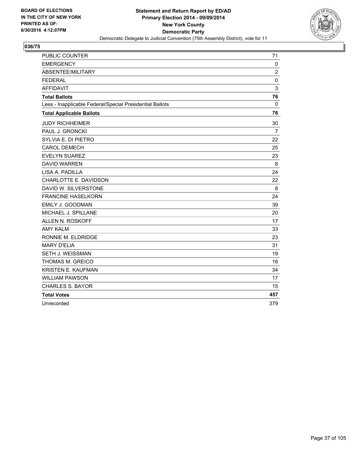

| PUBLIC COUNTER                                           | 71             |
|----------------------------------------------------------|----------------|
| <b>EMERGENCY</b>                                         | $\mathbf{0}$   |
| ABSENTEE/MILITARY                                        | $\overline{2}$ |
| <b>FEDERAL</b>                                           | $\mathbf 0$    |
| <b>AFFIDAVIT</b>                                         | 3              |
| <b>Total Ballots</b>                                     | 76             |
| Less - Inapplicable Federal/Special Presidential Ballots | 0              |
| <b>Total Applicable Ballots</b>                          | 76             |
| <b>JUDY RICHHEIMER</b>                                   | 30             |
| PAUL J. GRONCKI                                          | $\overline{7}$ |
| SYLVIA E. DI PIETRO                                      | 22             |
| <b>CAROL DEMECH</b>                                      | 25             |
| <b>EVELYN SUAREZ</b>                                     | 23             |
| <b>DAVID WARREN</b>                                      | 8              |
| LISA A. PADILLA                                          | 24             |
| CHARLOTTE E. DAVIDSON                                    | 22             |
| DAVID W. SILVERSTONE                                     | 8              |
| <b>FRANCINE HASELKORN</b>                                | 24             |
| EMILY J. GOODMAN                                         | 39             |
| MICHAEL J. SPILLANE                                      | 20             |
| ALLEN N. ROSKOFF                                         | 17             |
| <b>AMY KALM</b>                                          | 33             |
| RONNIE M. ELDRIDGE                                       | 23             |
| <b>MARY D'ELIA</b>                                       | 31             |
| SETH J. WEISSMAN                                         | 19             |
| THOMAS M. GREICO                                         | 16             |
| <b>KRISTEN E. KAUFMAN</b>                                | 34             |
| <b>WILLIAM PAWSON</b>                                    | 17             |
| <b>CHARLES S. BAYOR</b>                                  | 15             |
| <b>Total Votes</b>                                       | 457            |
| Unrecorded                                               | 379            |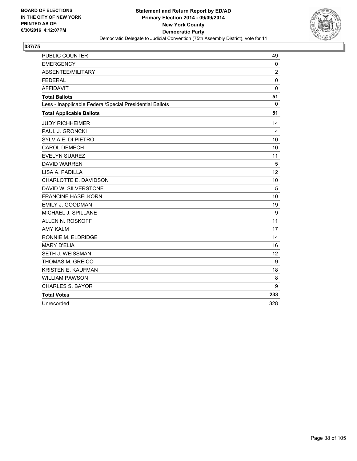

| <b>PUBLIC COUNTER</b>                                    | 49             |
|----------------------------------------------------------|----------------|
| <b>EMERGENCY</b>                                         | 0              |
| ABSENTEE/MILITARY                                        | $\overline{2}$ |
| <b>FEDERAL</b>                                           | 0              |
| <b>AFFIDAVIT</b>                                         | $\mathbf 0$    |
| <b>Total Ballots</b>                                     | 51             |
| Less - Inapplicable Federal/Special Presidential Ballots | $\Omega$       |
| <b>Total Applicable Ballots</b>                          | 51             |
| <b>JUDY RICHHEIMER</b>                                   | 14             |
| PAUL J. GRONCKI                                          | 4              |
| SYLVIA E. DI PIETRO                                      | 10             |
| <b>CAROL DEMECH</b>                                      | 10             |
| <b>EVELYN SUAREZ</b>                                     | 11             |
| <b>DAVID WARREN</b>                                      | 5              |
| LISA A. PADILLA                                          | 12             |
| CHARLOTTE E. DAVIDSON                                    | 10             |
| DAVID W. SILVERSTONE                                     | 5              |
| <b>FRANCINE HASELKORN</b>                                | 10             |
| EMILY J. GOODMAN                                         | 19             |
| MICHAEL J. SPILLANE                                      | 9              |
| ALLEN N. ROSKOFF                                         | 11             |
| <b>AMY KALM</b>                                          | 17             |
| RONNIE M. ELDRIDGE                                       | 14             |
| <b>MARY D'ELIA</b>                                       | 16             |
| <b>SETH J. WEISSMAN</b>                                  | 12             |
| <b>THOMAS M. GREICO</b>                                  | 9              |
| KRISTEN E. KAUFMAN                                       | 18             |
| <b>WILLIAM PAWSON</b>                                    | 8              |
| <b>CHARLES S. BAYOR</b>                                  | 9              |
| <b>Total Votes</b>                                       | 233            |
| Unrecorded                                               | 328            |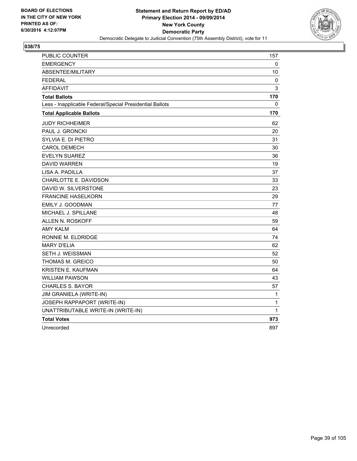

| PUBLIC COUNTER                                           | 157          |
|----------------------------------------------------------|--------------|
| <b>EMERGENCY</b>                                         | 0            |
| ABSENTEE/MILITARY                                        | 10           |
| <b>FEDERAL</b>                                           | 0            |
| <b>AFFIDAVIT</b>                                         | 3            |
| <b>Total Ballots</b>                                     | 170          |
| Less - Inapplicable Federal/Special Presidential Ballots | $\mathbf{0}$ |
| <b>Total Applicable Ballots</b>                          | 170          |
| <b>JUDY RICHHEIMER</b>                                   | 62           |
| PAUL J. GRONCKI                                          | 20           |
| SYLVIA E. DI PIETRO                                      | 31           |
| <b>CAROL DEMECH</b>                                      | 30           |
| EVELYN SUAREZ                                            | 36           |
| <b>DAVID WARREN</b>                                      | 19           |
| LISA A. PADILLA                                          | 37           |
| CHARLOTTE E. DAVIDSON                                    | 33           |
| DAVID W. SILVERSTONE                                     | 23           |
| <b>FRANCINE HASELKORN</b>                                | 29           |
| EMILY J. GOODMAN                                         | 77           |
| MICHAEL J. SPILLANE                                      | 48           |
| ALLEN N. ROSKOFF                                         | 59           |
| <b>AMY KALM</b>                                          | 64           |
| RONNIE M. ELDRIDGE                                       | 74           |
| <b>MARY D'ELIA</b>                                       | 62           |
| SETH J. WEISSMAN                                         | 52           |
| THOMAS M. GREICO                                         | 50           |
| <b>KRISTEN E. KAUFMAN</b>                                | 64           |
| <b>WILLIAM PAWSON</b>                                    | 43           |
| <b>CHARLES S. BAYOR</b>                                  | 57           |
| JIM GRANIELA (WRITE-IN)                                  | 1            |
| JOSEPH RAPPAPORT (WRITE-IN)                              | $\mathbf{1}$ |
| UNATTRIBUTABLE WRITE-IN (WRITE-IN)                       | 1            |
| <b>Total Votes</b>                                       | 973          |
| Unrecorded                                               | 897          |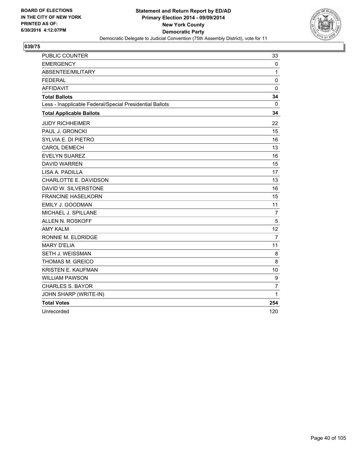

| PUBLIC COUNTER                                           | 33             |
|----------------------------------------------------------|----------------|
| <b>EMERGENCY</b>                                         | 0              |
| ABSENTEE/MILITARY                                        | $\mathbf{1}$   |
| <b>FEDERAL</b>                                           | $\mathbf 0$    |
| <b>AFFIDAVIT</b>                                         | $\mathbf 0$    |
| <b>Total Ballots</b>                                     | 34             |
| Less - Inapplicable Federal/Special Presidential Ballots | 0              |
| <b>Total Applicable Ballots</b>                          | 34             |
| <b>JUDY RICHHEIMER</b>                                   | 22             |
| PAUL J. GRONCKI                                          | 15             |
| SYLVIA E. DI PIETRO                                      | 16             |
| <b>CAROL DEMECH</b>                                      | 13             |
| <b>EVELYN SUAREZ</b>                                     | 16             |
| <b>DAVID WARREN</b>                                      | 15             |
| LISA A. PADILLA                                          | 17             |
| CHARLOTTE E. DAVIDSON                                    | 13             |
| DAVID W. SILVERSTONE                                     | 16             |
| <b>FRANCINE HASELKORN</b>                                | 15             |
| EMILY J. GOODMAN                                         | 11             |
| MICHAEL J. SPILLANE                                      | $\overline{7}$ |
| ALLEN N. ROSKOFF                                         | 5              |
| <b>AMY KALM</b>                                          | 12             |
| RONNIE M. ELDRIDGE                                       | 7              |
| <b>MARY D'ELIA</b>                                       | 11             |
| SETH J. WEISSMAN                                         | 8              |
| THOMAS M. GREICO                                         | 8              |
| KRISTEN E. KAUFMAN                                       | 10             |
| <b>WILLIAM PAWSON</b>                                    | 9              |
| <b>CHARLES S. BAYOR</b>                                  | $\overline{7}$ |
| JOHN SHARP (WRITE-IN)                                    | 1              |
| <b>Total Votes</b>                                       | 254            |
| Unrecorded                                               | 120            |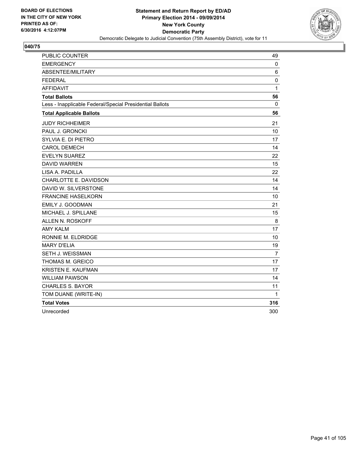

| PUBLIC COUNTER                                           | 49             |
|----------------------------------------------------------|----------------|
| <b>EMERGENCY</b>                                         | 0              |
| ABSENTEE/MILITARY                                        | 6              |
| <b>FEDERAL</b>                                           | $\mathbf 0$    |
| <b>AFFIDAVIT</b>                                         | 1              |
| <b>Total Ballots</b>                                     | 56             |
| Less - Inapplicable Federal/Special Presidential Ballots | 0              |
| <b>Total Applicable Ballots</b>                          | 56             |
| <b>JUDY RICHHEIMER</b>                                   | 21             |
| PAUL J. GRONCKI                                          | 10             |
| SYLVIA E. DI PIETRO                                      | 17             |
| <b>CAROL DEMECH</b>                                      | 14             |
| <b>EVELYN SUAREZ</b>                                     | 22             |
| <b>DAVID WARREN</b>                                      | 15             |
| LISA A. PADILLA                                          | 22             |
| CHARLOTTE E. DAVIDSON                                    | 14             |
| DAVID W. SILVERSTONE                                     | 14             |
| <b>FRANCINE HASELKORN</b>                                | 10             |
| EMILY J. GOODMAN                                         | 21             |
| MICHAEL J. SPILLANE                                      | 15             |
| ALLEN N. ROSKOFF                                         | 8              |
| <b>AMY KALM</b>                                          | 17             |
| RONNIE M. ELDRIDGE                                       | 10             |
| <b>MARY D'ELIA</b>                                       | 19             |
| SETH J. WEISSMAN                                         | $\overline{7}$ |
| THOMAS M. GREICO                                         | 17             |
| KRISTEN E. KAUFMAN                                       | 17             |
| <b>WILLIAM PAWSON</b>                                    | 14             |
| <b>CHARLES S. BAYOR</b>                                  | 11             |
| TOM DUANE (WRITE-IN)                                     | 1              |
| <b>Total Votes</b>                                       | 316            |
| Unrecorded                                               | 300            |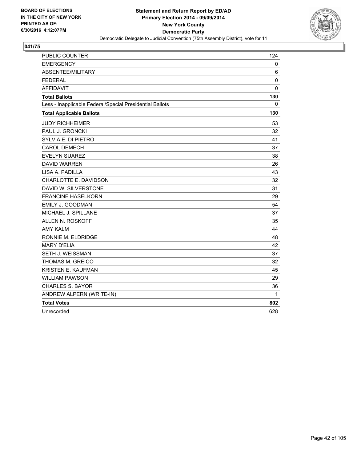

| PUBLIC COUNTER                                           | 124         |
|----------------------------------------------------------|-------------|
| <b>EMERGENCY</b>                                         | 0           |
| ABSENTEE/MILITARY                                        | 6           |
| <b>FEDERAL</b>                                           | $\mathbf 0$ |
| <b>AFFIDAVIT</b>                                         | $\mathbf 0$ |
| <b>Total Ballots</b>                                     | 130         |
| Less - Inapplicable Federal/Special Presidential Ballots | 0           |
| <b>Total Applicable Ballots</b>                          | 130         |
| <b>JUDY RICHHEIMER</b>                                   | 53          |
| PAUL J. GRONCKI                                          | 32          |
| SYLVIA E. DI PIETRO                                      | 41          |
| <b>CAROL DEMECH</b>                                      | 37          |
| <b>EVELYN SUAREZ</b>                                     | 38          |
| <b>DAVID WARREN</b>                                      | 26          |
| LISA A. PADILLA                                          | 43          |
| CHARLOTTE E. DAVIDSON                                    | 32          |
| DAVID W. SILVERSTONE                                     | 31          |
| <b>FRANCINE HASELKORN</b>                                | 29          |
| EMILY J. GOODMAN                                         | 54          |
| MICHAEL J. SPILLANE                                      | 37          |
| ALLEN N. ROSKOFF                                         | 35          |
| <b>AMY KALM</b>                                          | 44          |
| RONNIE M. ELDRIDGE                                       | 48          |
| <b>MARY D'ELIA</b>                                       | 42          |
| SETH J. WEISSMAN                                         | 37          |
| THOMAS M. GREICO                                         | 32          |
| <b>KRISTEN E. KAUFMAN</b>                                | 45          |
| <b>WILLIAM PAWSON</b>                                    | 29          |
| <b>CHARLES S. BAYOR</b>                                  | 36          |
| ANDREW ALPERN (WRITE-IN)                                 | 1           |
| <b>Total Votes</b>                                       | 802         |
| Unrecorded                                               | 628         |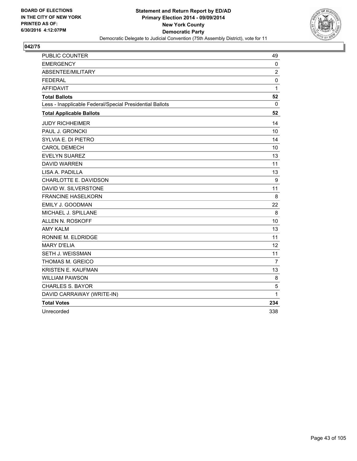

| PUBLIC COUNTER                                           | 49             |
|----------------------------------------------------------|----------------|
| <b>EMERGENCY</b>                                         | 0              |
| ABSENTEE/MILITARY                                        | $\overline{2}$ |
| <b>FEDERAL</b>                                           | $\mathbf 0$    |
| <b>AFFIDAVIT</b>                                         | $\mathbf{1}$   |
| <b>Total Ballots</b>                                     | 52             |
| Less - Inapplicable Federal/Special Presidential Ballots | 0              |
| <b>Total Applicable Ballots</b>                          | 52             |
| <b>JUDY RICHHEIMER</b>                                   | 14             |
| PAUL J. GRONCKI                                          | 10             |
| SYLVIA E. DI PIETRO                                      | 14             |
| <b>CAROL DEMECH</b>                                      | 10             |
| <b>EVELYN SUAREZ</b>                                     | 13             |
| <b>DAVID WARREN</b>                                      | 11             |
| LISA A. PADILLA                                          | 13             |
| CHARLOTTE E. DAVIDSON                                    | 9              |
| DAVID W. SILVERSTONE                                     | 11             |
| <b>FRANCINE HASELKORN</b>                                | 8              |
| EMILY J. GOODMAN                                         | 22             |
| MICHAEL J. SPILLANE                                      | 8              |
| ALLEN N. ROSKOFF                                         | 10             |
| <b>AMY KALM</b>                                          | 13             |
| RONNIE M. ELDRIDGE                                       | 11             |
| <b>MARY D'ELIA</b>                                       | 12             |
| SETH J. WEISSMAN                                         | 11             |
| THOMAS M. GREICO                                         | $\overline{7}$ |
| KRISTEN E. KAUFMAN                                       | 13             |
| <b>WILLIAM PAWSON</b>                                    | 8              |
| <b>CHARLES S. BAYOR</b>                                  | 5              |
| DAVID CARRAWAY (WRITE-IN)                                | 1              |
| <b>Total Votes</b>                                       | 234            |
| Unrecorded                                               | 338            |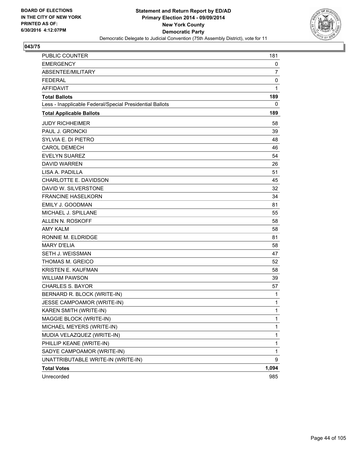

| <b>PUBLIC COUNTER</b>                                    | 181   |
|----------------------------------------------------------|-------|
| <b>EMERGENCY</b>                                         | 0     |
| ABSENTEE/MILITARY                                        | 7     |
| <b>FEDERAL</b>                                           | 0     |
| <b>AFFIDAVIT</b>                                         | 1     |
| <b>Total Ballots</b>                                     | 189   |
| Less - Inapplicable Federal/Special Presidential Ballots | 0     |
| <b>Total Applicable Ballots</b>                          | 189   |
| <b>JUDY RICHHEIMER</b>                                   | 58    |
| PAUL J. GRONCKI                                          | 39    |
| SYLVIA E. DI PIETRO                                      | 48    |
| <b>CAROL DEMECH</b>                                      | 46    |
| <b>EVELYN SUAREZ</b>                                     | 54    |
| <b>DAVID WARREN</b>                                      | 26    |
| LISA A. PADILLA                                          | 51    |
| CHARLOTTE E. DAVIDSON                                    | 45    |
| DAVID W. SILVERSTONE                                     | 32    |
| <b>FRANCINE HASELKORN</b>                                | 34    |
| EMILY J. GOODMAN                                         | 81    |
| MICHAEL J. SPILLANE                                      | 55    |
| ALLEN N. ROSKOFF                                         | 58    |
| <b>AMY KALM</b>                                          | 58    |
| RONNIE M. ELDRIDGE                                       | 81    |
| <b>MARY D'ELIA</b>                                       | 58    |
| <b>SETH J. WEISSMAN</b>                                  | 47    |
| THOMAS M. GREICO                                         | 52    |
| KRISTEN E. KAUFMAN                                       | 58    |
| <b>WILLIAM PAWSON</b>                                    | 39    |
| <b>CHARLES S. BAYOR</b>                                  | 57    |
| BERNARD R. BLOCK (WRITE-IN)                              | 1     |
| JESSE CAMPOAMOR (WRITE-IN)                               | 1     |
| KAREN SMITH (WRITE-IN)                                   | 1     |
| MAGGIE BLOCK (WRITE-IN)                                  | 1     |
| MICHAEL MEYERS (WRITE-IN)                                | 1     |
| MUDIA VELAZQUEZ (WRITE-IN)                               | 1     |
| PHILLIP KEANE (WRITE-IN)                                 | 1     |
| SADYE CAMPOAMOR (WRITE-IN)                               | 1     |
| UNATTRIBUTABLE WRITE-IN (WRITE-IN)                       | 9     |
| <b>Total Votes</b>                                       | 1,094 |
| Unrecorded                                               | 985   |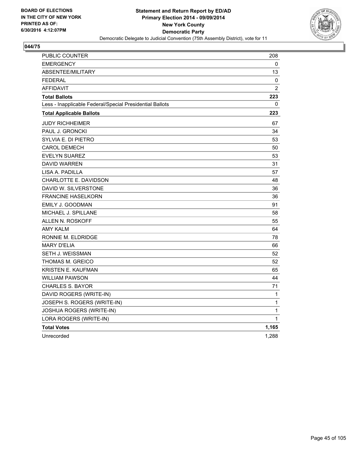

| PUBLIC COUNTER                                           | 208   |
|----------------------------------------------------------|-------|
| <b>EMERGENCY</b>                                         | 0     |
| ABSENTEE/MILITARY                                        | 13    |
| <b>FEDERAL</b>                                           | 0     |
| <b>AFFIDAVIT</b>                                         | 2     |
| <b>Total Ballots</b>                                     | 223   |
| Less - Inapplicable Federal/Special Presidential Ballots | 0     |
| <b>Total Applicable Ballots</b>                          | 223   |
| <b>JUDY RICHHEIMER</b>                                   | 67    |
| PAUL J. GRONCKI                                          | 34    |
| SYLVIA E. DI PIETRO                                      | 53    |
| <b>CAROL DEMECH</b>                                      | 50    |
| <b>EVELYN SUAREZ</b>                                     | 53    |
| <b>DAVID WARREN</b>                                      | 31    |
| LISA A. PADILLA                                          | 57    |
| CHARLOTTE E. DAVIDSON                                    | 48    |
| DAVID W. SILVERSTONE                                     | 36    |
| <b>FRANCINE HASELKORN</b>                                | 36    |
| EMILY J. GOODMAN                                         | 91    |
| MICHAEL J. SPILLANE                                      | 58    |
| ALLEN N. ROSKOFF                                         | 55    |
| AMY KALM                                                 | 64    |
| RONNIE M. ELDRIDGE                                       | 78    |
| <b>MARY D'ELIA</b>                                       | 66    |
| SETH J. WEISSMAN                                         | 52    |
| THOMAS M. GREICO                                         | 52    |
| <b>KRISTEN E. KAUFMAN</b>                                | 65    |
| <b>WILLIAM PAWSON</b>                                    | 44    |
| <b>CHARLES S. BAYOR</b>                                  | 71    |
| DAVID ROGERS (WRITE-IN)                                  | 1     |
| JOSEPH S. ROGERS (WRITE-IN)                              | 1     |
| JOSHUA ROGERS (WRITE-IN)                                 | 1     |
| LORA ROGERS (WRITE-IN)                                   | 1     |
| <b>Total Votes</b>                                       | 1,165 |
| Unrecorded                                               | 1,288 |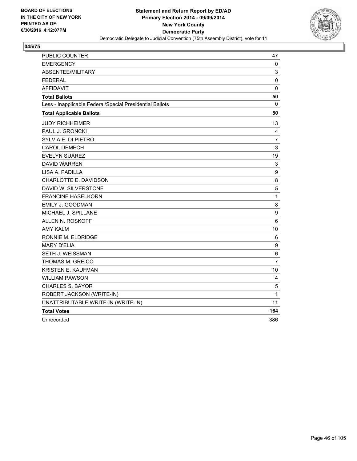

| PUBLIC COUNTER                                           | 47               |
|----------------------------------------------------------|------------------|
| <b>EMERGENCY</b>                                         | 0                |
| ABSENTEE/MILITARY                                        | 3                |
| <b>FEDERAL</b>                                           | 0                |
| <b>AFFIDAVIT</b>                                         | $\mathbf 0$      |
| <b>Total Ballots</b>                                     | 50               |
| Less - Inapplicable Federal/Special Presidential Ballots | 0                |
| <b>Total Applicable Ballots</b>                          | 50               |
| <b>JUDY RICHHEIMER</b>                                   | 13               |
| PAUL J. GRONCKI                                          | 4                |
| SYLVIA E. DI PIETRO                                      | $\overline{7}$   |
| <b>CAROL DEMECH</b>                                      | 3                |
| <b>EVELYN SUAREZ</b>                                     | 19               |
| <b>DAVID WARREN</b>                                      | 3                |
| LISA A. PADILLA                                          | 9                |
| CHARLOTTE E. DAVIDSON                                    | 8                |
| DAVID W. SILVERSTONE                                     | 5                |
| <b>FRANCINE HASELKORN</b>                                | $\mathbf 1$      |
| <b>EMILY J. GOODMAN</b>                                  | 8                |
| MICHAEL J. SPILLANE                                      | $\boldsymbol{9}$ |
| ALLEN N. ROSKOFF                                         | 6                |
| <b>AMY KALM</b>                                          | 10               |
| RONNIE M. ELDRIDGE                                       | 6                |
| <b>MARY D'ELIA</b>                                       | 9                |
| SETH J. WEISSMAN                                         | 6                |
| THOMAS M. GREICO                                         | $\overline{7}$   |
| <b>KRISTEN E. KAUFMAN</b>                                | 10               |
| <b>WILLIAM PAWSON</b>                                    | 4                |
| <b>CHARLES S. BAYOR</b>                                  | 5                |
| ROBERT JACKSON (WRITE-IN)                                | 1                |
| UNATTRIBUTABLE WRITE-IN (WRITE-IN)                       | 11               |
| <b>Total Votes</b>                                       | 164              |
| Unrecorded                                               | 386              |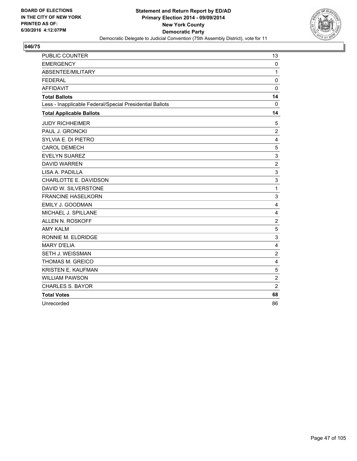

| PUBLIC COUNTER                                           | 13             |
|----------------------------------------------------------|----------------|
| <b>EMERGENCY</b>                                         | $\mathbf 0$    |
| ABSENTEE/MILITARY                                        | $\mathbf{1}$   |
| <b>FEDERAL</b>                                           | $\mathbf 0$    |
| <b>AFFIDAVIT</b>                                         | $\Omega$       |
| <b>Total Ballots</b>                                     | 14             |
| Less - Inapplicable Federal/Special Presidential Ballots | $\mathbf 0$    |
| <b>Total Applicable Ballots</b>                          | 14             |
| <b>JUDY RICHHEIMER</b>                                   | 5              |
| PAUL J. GRONCKI                                          | $\overline{2}$ |
| SYLVIA E. DI PIETRO                                      | 4              |
| <b>CAROL DEMECH</b>                                      | 5              |
| <b>EVELYN SUAREZ</b>                                     | 3              |
| <b>DAVID WARREN</b>                                      | $\overline{2}$ |
| LISA A. PADILLA                                          | 3              |
| CHARLOTTE E. DAVIDSON                                    | 3              |
| DAVID W. SILVERSTONE                                     | $\mathbf 1$    |
| <b>FRANCINE HASELKORN</b>                                | 3              |
| EMILY J. GOODMAN                                         | 4              |
| MICHAEL J. SPILLANE                                      | 4              |
| ALLEN N. ROSKOFF                                         | $\overline{2}$ |
| <b>AMY KALM</b>                                          | 5              |
| RONNIE M. ELDRIDGE                                       | 3              |
| <b>MARY D'ELIA</b>                                       | 4              |
| SETH J. WEISSMAN                                         | $\overline{2}$ |
| THOMAS M. GREICO                                         | 4              |
| KRISTEN E. KAUFMAN                                       | 5              |
| <b>WILLIAM PAWSON</b>                                    | $\overline{2}$ |
| <b>CHARLES S. BAYOR</b>                                  | $\overline{2}$ |
| <b>Total Votes</b>                                       | 68             |
| Unrecorded                                               | 86             |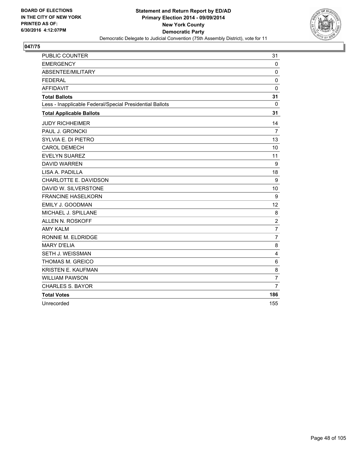

| PUBLIC COUNTER                                           | 31             |
|----------------------------------------------------------|----------------|
| <b>EMERGENCY</b>                                         | $\mathbf{0}$   |
| ABSENTEE/MILITARY                                        | $\mathbf 0$    |
| <b>FEDERAL</b>                                           | $\mathbf 0$    |
| <b>AFFIDAVIT</b>                                         | $\mathbf 0$    |
| <b>Total Ballots</b>                                     | 31             |
| Less - Inapplicable Federal/Special Presidential Ballots | 0              |
| <b>Total Applicable Ballots</b>                          | 31             |
| <b>JUDY RICHHEIMER</b>                                   | 14             |
| PAUL J. GRONCKI                                          | 7              |
| SYLVIA E. DI PIETRO                                      | 13             |
| <b>CAROL DEMECH</b>                                      | 10             |
| <b>EVELYN SUAREZ</b>                                     | 11             |
| <b>DAVID WARREN</b>                                      | 9              |
| LISA A. PADILLA                                          | 18             |
| CHARLOTTE E. DAVIDSON                                    | 9              |
| DAVID W. SILVERSTONE                                     | 10             |
| <b>FRANCINE HASELKORN</b>                                | 9              |
| EMILY J. GOODMAN                                         | 12             |
| MICHAEL J. SPILLANE                                      | 8              |
| ALLEN N. ROSKOFF                                         | $\overline{2}$ |
| <b>AMY KALM</b>                                          | 7              |
| RONNIE M. ELDRIDGE                                       | $\overline{7}$ |
| <b>MARY D'ELIA</b>                                       | 8              |
| SETH J. WEISSMAN                                         | 4              |
| THOMAS M. GREICO                                         | 6              |
| <b>KRISTEN E. KAUFMAN</b>                                | 8              |
| <b>WILLIAM PAWSON</b>                                    | $\overline{7}$ |
| <b>CHARLES S. BAYOR</b>                                  | $\overline{7}$ |
| <b>Total Votes</b>                                       | 186            |
| Unrecorded                                               | 155            |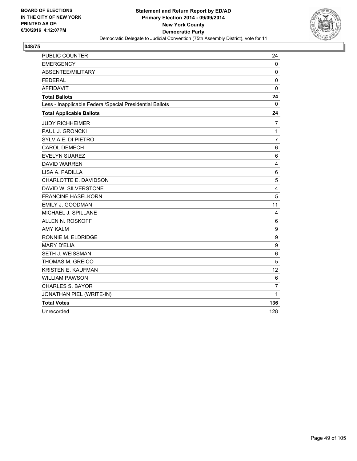

| PUBLIC COUNTER                                           | 24             |
|----------------------------------------------------------|----------------|
| <b>EMERGENCY</b>                                         | 0              |
| ABSENTEE/MILITARY                                        | $\mathbf 0$    |
| <b>FEDERAL</b>                                           | $\mathbf 0$    |
| <b>AFFIDAVIT</b>                                         | 0              |
| <b>Total Ballots</b>                                     | 24             |
| Less - Inapplicable Federal/Special Presidential Ballots | $\mathbf{0}$   |
| <b>Total Applicable Ballots</b>                          | 24             |
| <b>JUDY RICHHEIMER</b>                                   | 7              |
| PAUL J. GRONCKI                                          | $\mathbf{1}$   |
| SYLVIA E. DI PIETRO                                      | $\overline{7}$ |
| <b>CAROL DEMECH</b>                                      | 6              |
| <b>EVELYN SUAREZ</b>                                     | 6              |
| <b>DAVID WARREN</b>                                      | 4              |
| LISA A. PADILLA                                          | 6              |
| CHARLOTTE E. DAVIDSON                                    | 5              |
| DAVID W. SILVERSTONE                                     | 4              |
| <b>FRANCINE HASELKORN</b>                                | 5              |
| EMILY J. GOODMAN                                         | 11             |
| MICHAEL J. SPILLANE                                      | 4              |
| ALLEN N. ROSKOFF                                         | 6              |
| <b>AMY KALM</b>                                          | 9              |
| RONNIE M. ELDRIDGE                                       | 9              |
| <b>MARY D'ELIA</b>                                       | 9              |
| SETH J. WEISSMAN                                         | 6              |
| THOMAS M. GREICO                                         | 5              |
| <b>KRISTEN E. KAUFMAN</b>                                | 12             |
| <b>WILLIAM PAWSON</b>                                    | 6              |
| <b>CHARLES S. BAYOR</b>                                  | $\overline{7}$ |
| JONATHAN PIEL (WRITE-IN)                                 | $\mathbf{1}$   |
| <b>Total Votes</b>                                       | 136            |
| Unrecorded                                               | 128            |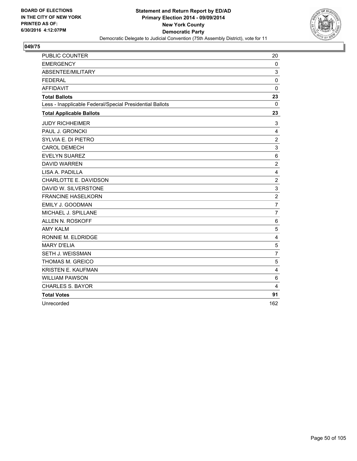

| PUBLIC COUNTER                                           | 20               |
|----------------------------------------------------------|------------------|
| <b>EMERGENCY</b>                                         | 0                |
| ABSENTEE/MILITARY                                        | 3                |
| <b>FEDERAL</b>                                           | $\mathbf 0$      |
| <b>AFFIDAVIT</b>                                         | $\mathbf 0$      |
| <b>Total Ballots</b>                                     | 23               |
| Less - Inapplicable Federal/Special Presidential Ballots | 0                |
| <b>Total Applicable Ballots</b>                          | 23               |
| <b>JUDY RICHHEIMER</b>                                   | 3                |
| PAUL J. GRONCKI                                          | 4                |
| SYLVIA E. DI PIETRO                                      | $\boldsymbol{2}$ |
| <b>CAROL DEMECH</b>                                      | 3                |
| <b>EVELYN SUAREZ</b>                                     | 6                |
| <b>DAVID WARREN</b>                                      | $\overline{2}$   |
| LISA A. PADILLA                                          | 4                |
| CHARLOTTE E. DAVIDSON                                    | $\overline{2}$   |
| DAVID W. SILVERSTONE                                     | 3                |
| <b>FRANCINE HASELKORN</b>                                | $\overline{2}$   |
| EMILY J. GOODMAN                                         | $\overline{7}$   |
| MICHAEL J. SPILLANE                                      | $\overline{7}$   |
| ALLEN N. ROSKOFF                                         | $\,6$            |
| <b>AMY KALM</b>                                          | 5                |
| RONNIE M. ELDRIDGE                                       | 4                |
| <b>MARY D'ELIA</b>                                       | 5                |
| SETH J. WEISSMAN                                         | $\overline{7}$   |
| THOMAS M. GREICO                                         | 5                |
| <b>KRISTEN E. KAUFMAN</b>                                | 4                |
| <b>WILLIAM PAWSON</b>                                    | 6                |
| <b>CHARLES S. BAYOR</b>                                  | 4                |
| <b>Total Votes</b>                                       | 91               |
| Unrecorded                                               | 162              |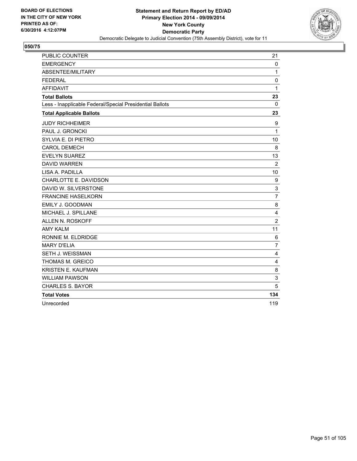

| PUBLIC COUNTER                                           | 21             |
|----------------------------------------------------------|----------------|
| <b>EMERGENCY</b>                                         | 0              |
| ABSENTEE/MILITARY                                        | $\mathbf{1}$   |
| <b>FEDERAL</b>                                           | 0              |
| <b>AFFIDAVIT</b>                                         | 1              |
| <b>Total Ballots</b>                                     | 23             |
| Less - Inapplicable Federal/Special Presidential Ballots | 0              |
| <b>Total Applicable Ballots</b>                          | 23             |
| <b>JUDY RICHHEIMER</b>                                   | 9              |
| PAUL J. GRONCKI                                          | $\mathbf{1}$   |
| SYLVIA E. DI PIETRO                                      | 10             |
| <b>CAROL DEMECH</b>                                      | 8              |
| <b>EVELYN SUAREZ</b>                                     | 13             |
| <b>DAVID WARREN</b>                                      | $\overline{2}$ |
| LISA A. PADILLA                                          | 10             |
| CHARLOTTE E. DAVIDSON                                    | 9              |
| DAVID W. SILVERSTONE                                     | 3              |
| <b>FRANCINE HASELKORN</b>                                | $\overline{7}$ |
| EMILY J. GOODMAN                                         | 8              |
| MICHAEL J. SPILLANE                                      | 4              |
| ALLEN N. ROSKOFF                                         | $\overline{2}$ |
| <b>AMY KALM</b>                                          | 11             |
| RONNIE M. ELDRIDGE                                       | 6              |
| <b>MARY D'ELIA</b>                                       | $\overline{7}$ |
| <b>SETH J. WEISSMAN</b>                                  | 4              |
| THOMAS M. GREICO                                         | 4              |
| <b>KRISTEN E. KAUFMAN</b>                                | 8              |
| <b>WILLIAM PAWSON</b>                                    | 3              |
| <b>CHARLES S. BAYOR</b>                                  | 5              |
| <b>Total Votes</b>                                       | 134            |
| Unrecorded                                               | 119            |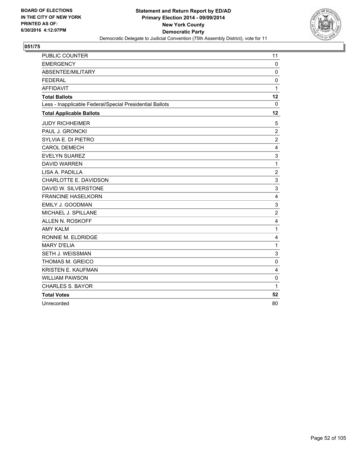

| PUBLIC COUNTER                                           | 11             |
|----------------------------------------------------------|----------------|
| <b>EMERGENCY</b>                                         | $\mathbf 0$    |
| ABSENTEE/MILITARY                                        | 0              |
| <b>FEDERAL</b>                                           | $\Omega$       |
| <b>AFFIDAVIT</b>                                         | 1              |
| <b>Total Ballots</b>                                     | 12             |
| Less - Inapplicable Federal/Special Presidential Ballots | 0              |
| <b>Total Applicable Ballots</b>                          | 12             |
| <b>JUDY RICHHEIMER</b>                                   | 5              |
| PAUL J. GRONCKI                                          | $\overline{2}$ |
| SYLVIA E. DI PIETRO                                      | $\overline{2}$ |
| <b>CAROL DEMECH</b>                                      | 4              |
| <b>EVELYN SUAREZ</b>                                     | 3              |
| <b>DAVID WARREN</b>                                      | 1              |
| LISA A. PADILLA                                          | 2              |
| CHARLOTTE E. DAVIDSON                                    | 3              |
| DAVID W. SILVERSTONE                                     | 3              |
| <b>FRANCINE HASELKORN</b>                                | 4              |
| <b>EMILY J. GOODMAN</b>                                  | 3              |
| MICHAEL J. SPILLANE                                      | $\overline{2}$ |
| <b>ALLEN N. ROSKOFF</b>                                  | 4              |
| <b>AMY KALM</b>                                          | 1              |
| RONNIE M. ELDRIDGE                                       | $\overline{4}$ |
| <b>MARY D'ELIA</b>                                       | 1              |
| SETH J. WEISSMAN                                         | 3              |
| THOMAS M. GREICO                                         | $\mathbf 0$    |
| KRISTEN E. KAUFMAN                                       | 4              |
| <b>WILLIAM PAWSON</b>                                    | $\mathbf 0$    |
| <b>CHARLES S. BAYOR</b>                                  | 1              |
| <b>Total Votes</b>                                       | 52             |
| Unrecorded                                               | 80             |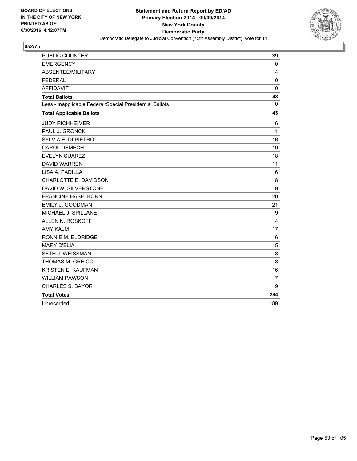

| <b>PUBLIC COUNTER</b>                                    | 39             |
|----------------------------------------------------------|----------------|
| <b>EMERGENCY</b>                                         | 0              |
| ABSENTEE/MILITARY                                        | 4              |
| <b>FEDERAL</b>                                           | 0              |
| <b>AFFIDAVIT</b>                                         | $\mathbf 0$    |
| <b>Total Ballots</b>                                     | 43             |
| Less - Inapplicable Federal/Special Presidential Ballots | $\Omega$       |
| <b>Total Applicable Ballots</b>                          | 43             |
| <b>JUDY RICHHEIMER</b>                                   | 16             |
| PAUL J. GRONCKI                                          | 11             |
| SYLVIA E. DI PIETRO                                      | 16             |
| <b>CAROL DEMECH</b>                                      | 19             |
| <b>EVELYN SUAREZ</b>                                     | 18             |
| <b>DAVID WARREN</b>                                      | 11             |
| LISA A. PADILLA                                          | 16             |
| CHARLOTTE E. DAVIDSON                                    | 18             |
| DAVID W. SILVERSTONE                                     | 9              |
| <b>FRANCINE HASELKORN</b>                                | 20             |
| EMILY J. GOODMAN                                         | 21             |
| MICHAEL J. SPILLANE                                      | 9              |
| ALLEN N. ROSKOFF                                         | 4              |
| <b>AMY KALM</b>                                          | 17             |
| RONNIE M. ELDRIDGE                                       | 16             |
| <b>MARY D'ELIA</b>                                       | 15             |
| <b>SETH J. WEISSMAN</b>                                  | 8              |
| <b>THOMAS M. GREICO</b>                                  | 8              |
| KRISTEN E. KAUFMAN                                       | 16             |
| <b>WILLIAM PAWSON</b>                                    | $\overline{7}$ |
| <b>CHARLES S. BAYOR</b>                                  | 9              |
| <b>Total Votes</b>                                       | 284            |
| Unrecorded                                               | 189            |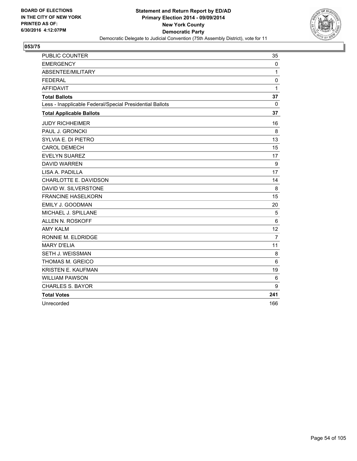

| <b>PUBLIC COUNTER</b>                                    | 35             |
|----------------------------------------------------------|----------------|
| <b>EMERGENCY</b>                                         | 0              |
| ABSENTEE/MILITARY                                        | 1              |
| <b>FEDERAL</b>                                           | 0              |
| <b>AFFIDAVIT</b>                                         | 1              |
| <b>Total Ballots</b>                                     | 37             |
| Less - Inapplicable Federal/Special Presidential Ballots | $\Omega$       |
| <b>Total Applicable Ballots</b>                          | 37             |
| <b>JUDY RICHHEIMER</b>                                   | 16             |
| PAUL J. GRONCKI                                          | 8              |
| SYLVIA E. DI PIETRO                                      | 13             |
| <b>CAROL DEMECH</b>                                      | 15             |
| <b>EVELYN SUAREZ</b>                                     | 17             |
| <b>DAVID WARREN</b>                                      | 9              |
| LISA A. PADILLA                                          | 17             |
| CHARLOTTE E. DAVIDSON                                    | 14             |
| DAVID W. SILVERSTONE                                     | 8              |
| <b>FRANCINE HASELKORN</b>                                | 15             |
| EMILY J. GOODMAN                                         | 20             |
| MICHAEL J. SPILLANE                                      | 5              |
| ALLEN N. ROSKOFF                                         | 6              |
| <b>AMY KALM</b>                                          | 12             |
| RONNIE M. ELDRIDGE                                       | $\overline{7}$ |
| <b>MARY D'ELIA</b>                                       | 11             |
| <b>SETH J. WEISSMAN</b>                                  | 8              |
| <b>THOMAS M. GREICO</b>                                  | 6              |
| KRISTEN E. KAUFMAN                                       | 19             |
| <b>WILLIAM PAWSON</b>                                    | 6              |
| <b>CHARLES S. BAYOR</b>                                  | 9              |
| <b>Total Votes</b>                                       | 241            |
| Unrecorded                                               | 166            |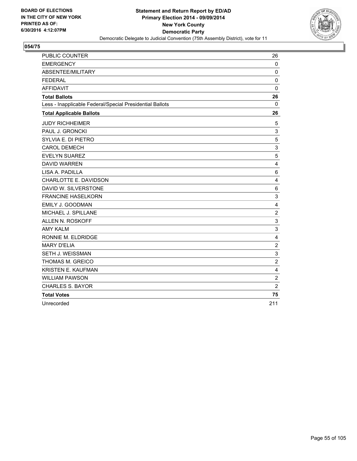

| <b>PUBLIC COUNTER</b>                                    | 26                      |
|----------------------------------------------------------|-------------------------|
| <b>EMERGENCY</b>                                         | 0                       |
| ABSENTEE/MILITARY                                        | $\mathbf 0$             |
| <b>FEDERAL</b>                                           | 0                       |
| <b>AFFIDAVIT</b>                                         | $\mathbf 0$             |
| <b>Total Ballots</b>                                     | 26                      |
| Less - Inapplicable Federal/Special Presidential Ballots | 0                       |
| <b>Total Applicable Ballots</b>                          | 26                      |
| <b>JUDY RICHHEIMER</b>                                   | 5                       |
| PAUL J. GRONCKI                                          | 3                       |
| SYLVIA E. DI PIETRO                                      | 5                       |
| <b>CAROL DEMECH</b>                                      | 3                       |
| <b>EVELYN SUAREZ</b>                                     | 5                       |
| <b>DAVID WARREN</b>                                      | 4                       |
| LISA A. PADILLA                                          | 6                       |
| CHARLOTTE E. DAVIDSON                                    | 4                       |
| DAVID W. SILVERSTONE                                     | $\,6$                   |
| <b>FRANCINE HASELKORN</b>                                | 3                       |
| EMILY J. GOODMAN                                         | 4                       |
| MICHAEL J. SPILLANE                                      | $\overline{2}$          |
| ALLEN N. ROSKOFF                                         | 3                       |
| <b>AMY KALM</b>                                          | 3                       |
| RONNIE M. ELDRIDGE                                       | $\overline{\mathbf{4}}$ |
| <b>MARY D'ELIA</b>                                       | $\overline{2}$          |
| SETH J. WEISSMAN                                         | 3                       |
| THOMAS M. GREICO                                         | $\overline{2}$          |
| <b>KRISTEN E. KAUFMAN</b>                                | 4                       |
| <b>WILLIAM PAWSON</b>                                    | $\boldsymbol{2}$        |
| <b>CHARLES S. BAYOR</b>                                  | $\overline{2}$          |
| <b>Total Votes</b>                                       | 75                      |
| Unrecorded                                               | 211                     |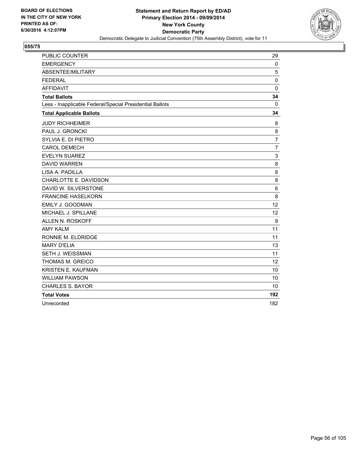

| PUBLIC COUNTER                                           | 29             |
|----------------------------------------------------------|----------------|
| <b>EMERGENCY</b>                                         | $\mathbf{0}$   |
| ABSENTEE/MILITARY                                        | 5              |
| <b>FEDERAL</b>                                           | $\mathbf 0$    |
| <b>AFFIDAVIT</b>                                         | $\mathbf 0$    |
| <b>Total Ballots</b>                                     | 34             |
| Less - Inapplicable Federal/Special Presidential Ballots | 0              |
| <b>Total Applicable Ballots</b>                          | 34             |
| <b>JUDY RICHHEIMER</b>                                   | 8              |
| PAUL J. GRONCKI                                          | 8              |
| SYLVIA E. DI PIETRO                                      | $\overline{7}$ |
| <b>CAROL DEMECH</b>                                      | $\overline{7}$ |
| <b>EVELYN SUAREZ</b>                                     | 3              |
| <b>DAVID WARREN</b>                                      | 8              |
| LISA A. PADILLA                                          | 8              |
| CHARLOTTE E. DAVIDSON                                    | 8              |
| DAVID W. SILVERSTONE                                     | 6              |
| <b>FRANCINE HASELKORN</b>                                | 8              |
| EMILY J. GOODMAN                                         | 12             |
| MICHAEL J. SPILLANE                                      | 12             |
| ALLEN N. ROSKOFF                                         | 9              |
| <b>AMY KALM</b>                                          | 11             |
| RONNIE M. ELDRIDGE                                       | 11             |
| <b>MARY D'ELIA</b>                                       | 13             |
| SETH J. WEISSMAN                                         | 11             |
| THOMAS M. GREICO                                         | 12             |
| <b>KRISTEN E. KAUFMAN</b>                                | 10             |
| <b>WILLIAM PAWSON</b>                                    | 10             |
| <b>CHARLES S. BAYOR</b>                                  | 10             |
| <b>Total Votes</b>                                       | 192            |
| Unrecorded                                               | 182            |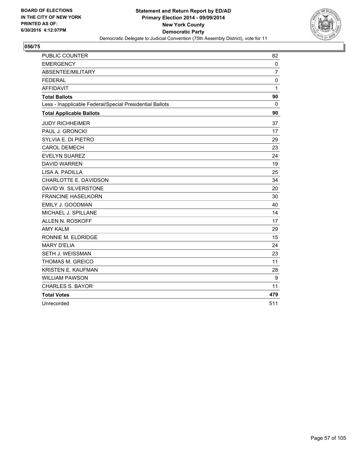

| PUBLIC COUNTER                                           | 82             |
|----------------------------------------------------------|----------------|
| <b>EMERGENCY</b>                                         | $\mathbf{0}$   |
| ABSENTEE/MILITARY                                        | $\overline{7}$ |
| <b>FEDERAL</b>                                           | 0              |
| <b>AFFIDAVIT</b>                                         | $\mathbf 1$    |
| <b>Total Ballots</b>                                     | 90             |
| Less - Inapplicable Federal/Special Presidential Ballots | 0              |
| <b>Total Applicable Ballots</b>                          | 90             |
| <b>JUDY RICHHEIMER</b>                                   | 37             |
| PAUL J. GRONCKI                                          | 17             |
| SYLVIA E. DI PIETRO                                      | 29             |
| <b>CAROL DEMECH</b>                                      | 23             |
| <b>EVELYN SUAREZ</b>                                     | 24             |
| <b>DAVID WARREN</b>                                      | 19             |
| LISA A. PADILLA                                          | 25             |
| CHARLOTTE E. DAVIDSON                                    | 34             |
| DAVID W. SILVERSTONE                                     | 20             |
| <b>FRANCINE HASELKORN</b>                                | 30             |
| EMILY J. GOODMAN                                         | 40             |
| MICHAEL J. SPILLANE                                      | 14             |
| ALLEN N. ROSKOFF                                         | 17             |
| <b>AMY KALM</b>                                          | 29             |
| RONNIE M. ELDRIDGE                                       | 15             |
| <b>MARY D'ELIA</b>                                       | 24             |
| SETH J. WEISSMAN                                         | 23             |
| THOMAS M. GREICO                                         | 11             |
| <b>KRISTEN E. KAUFMAN</b>                                | 28             |
| <b>WILLIAM PAWSON</b>                                    | 9              |
| <b>CHARLES S. BAYOR</b>                                  | 11             |
| <b>Total Votes</b>                                       | 479            |
| Unrecorded                                               | 511            |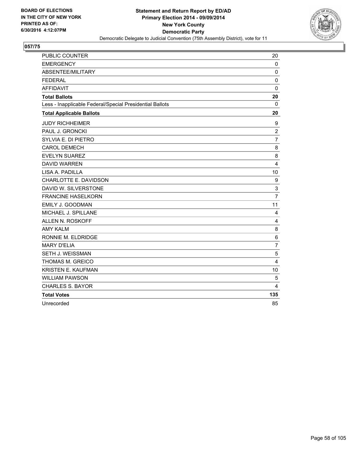

| PUBLIC COUNTER                                           | 20             |
|----------------------------------------------------------|----------------|
| <b>EMERGENCY</b>                                         | 0              |
| ABSENTEE/MILITARY                                        | 0              |
| <b>FEDERAL</b>                                           | $\mathbf 0$    |
| <b>AFFIDAVIT</b>                                         | $\mathbf 0$    |
| <b>Total Ballots</b>                                     | 20             |
| Less - Inapplicable Federal/Special Presidential Ballots | 0              |
| <b>Total Applicable Ballots</b>                          | 20             |
| <b>JUDY RICHHEIMER</b>                                   | 9              |
| PAUL J. GRONCKI                                          | $\overline{2}$ |
| SYLVIA E. DI PIETRO                                      | $\overline{7}$ |
| <b>CAROL DEMECH</b>                                      | 8              |
| <b>EVELYN SUAREZ</b>                                     | 8              |
| <b>DAVID WARREN</b>                                      | $\overline{4}$ |
| LISA A. PADILLA                                          | 10             |
| CHARLOTTE E. DAVIDSON                                    | 9              |
| DAVID W. SILVERSTONE                                     | 3              |
| <b>FRANCINE HASELKORN</b>                                | $\overline{7}$ |
| EMILY J. GOODMAN                                         | 11             |
| MICHAEL J. SPILLANE                                      | 4              |
| <b>ALLEN N. ROSKOFF</b>                                  | $\overline{4}$ |
| <b>AMY KALM</b>                                          | 8              |
| RONNIE M. ELDRIDGE                                       | 6              |
| <b>MARY D'ELIA</b>                                       | $\overline{7}$ |
| SETH J. WEISSMAN                                         | 5              |
| THOMAS M. GREICO                                         | $\overline{4}$ |
| KRISTEN E. KAUFMAN                                       | 10             |
| <b>WILLIAM PAWSON</b>                                    | 5              |
| <b>CHARLES S. BAYOR</b>                                  | 4              |
| <b>Total Votes</b>                                       | 135            |
| Unrecorded                                               | 85             |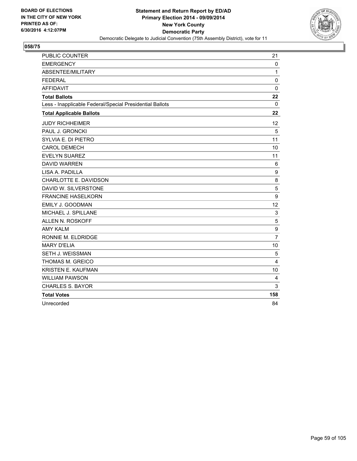

| PUBLIC COUNTER                                           | 21             |
|----------------------------------------------------------|----------------|
| <b>EMERGENCY</b>                                         | 0              |
| ABSENTEE/MILITARY                                        | $\mathbf{1}$   |
| <b>FEDERAL</b>                                           | 0              |
| <b>AFFIDAVIT</b>                                         | $\mathbf 0$    |
| <b>Total Ballots</b>                                     | 22             |
| Less - Inapplicable Federal/Special Presidential Ballots | 0              |
| <b>Total Applicable Ballots</b>                          | 22             |
| <b>JUDY RICHHEIMER</b>                                   | 12             |
| PAUL J. GRONCKI                                          | 5              |
| SYLVIA E. DI PIETRO                                      | 11             |
| <b>CAROL DEMECH</b>                                      | 10             |
| <b>EVELYN SUAREZ</b>                                     | 11             |
| <b>DAVID WARREN</b>                                      | 6              |
| LISA A. PADILLA                                          | 9              |
| CHARLOTTE E. DAVIDSON                                    | 8              |
| DAVID W. SILVERSTONE                                     | 5              |
| <b>FRANCINE HASELKORN</b>                                | 9              |
| EMILY J. GOODMAN                                         | 12             |
| MICHAEL J. SPILLANE                                      | 3              |
| ALLEN N. ROSKOFF                                         | 5              |
| <b>AMY KALM</b>                                          | 9              |
| RONNIE M. ELDRIDGE                                       | $\overline{7}$ |
| <b>MARY D'ELIA</b>                                       | 10             |
| SETH J. WEISSMAN                                         | 5              |
| THOMAS M. GREICO                                         | 4              |
| <b>KRISTEN E. KAUFMAN</b>                                | 10             |
| <b>WILLIAM PAWSON</b>                                    | 4              |
| <b>CHARLES S. BAYOR</b>                                  | 3              |
| <b>Total Votes</b>                                       | 158            |
| Unrecorded                                               | 84             |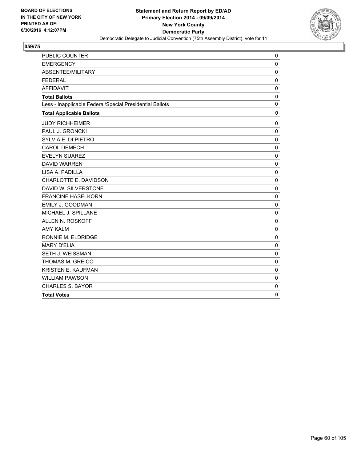

| <b>PUBLIC COUNTER</b>                                    | 0            |
|----------------------------------------------------------|--------------|
| <b>EMERGENCY</b>                                         | $\mathbf 0$  |
| <b>ABSENTEE/MILITARY</b>                                 | $\mathbf 0$  |
| <b>FEDERAL</b>                                           | 0            |
| <b>AFFIDAVIT</b>                                         | 0            |
| <b>Total Ballots</b>                                     | $\mathbf 0$  |
| Less - Inapplicable Federal/Special Presidential Ballots | $\mathbf 0$  |
| <b>Total Applicable Ballots</b>                          | $\mathbf 0$  |
| <b>JUDY RICHHEIMER</b>                                   | 0            |
| PAUL J. GRONCKI                                          | $\mathbf 0$  |
| SYLVIA E. DI PIETRO                                      | $\mathbf 0$  |
| <b>CAROL DEMECH</b>                                      | $\mathbf 0$  |
| <b>EVELYN SUAREZ</b>                                     | $\mathbf 0$  |
| <b>DAVID WARREN</b>                                      | $\mathbf 0$  |
| LISA A. PADILLA                                          | $\mathbf 0$  |
| CHARLOTTE E. DAVIDSON                                    | $\mathbf 0$  |
| DAVID W. SILVERSTONE                                     | $\mathbf 0$  |
| <b>FRANCINE HASELKORN</b>                                | $\mathbf 0$  |
| EMILY J. GOODMAN                                         | $\mathbf 0$  |
| MICHAEL J. SPILLANE                                      | $\mathbf 0$  |
| ALLEN N. ROSKOFF                                         | $\mathbf 0$  |
| <b>AMY KALM</b>                                          | $\mathbf 0$  |
| RONNIE M. ELDRIDGE                                       | $\mathbf 0$  |
| <b>MARY D'ELIA</b>                                       | $\mathbf 0$  |
| SETH J. WEISSMAN                                         | $\mathbf 0$  |
| THOMAS M. GREICO                                         | $\mathbf 0$  |
| <b>KRISTEN E. KAUFMAN</b>                                | $\mathbf 0$  |
| <b>WILLIAM PAWSON</b>                                    | $\mathbf 0$  |
| <b>CHARLES S. BAYOR</b>                                  | $\mathbf 0$  |
| <b>Total Votes</b>                                       | $\mathbf{0}$ |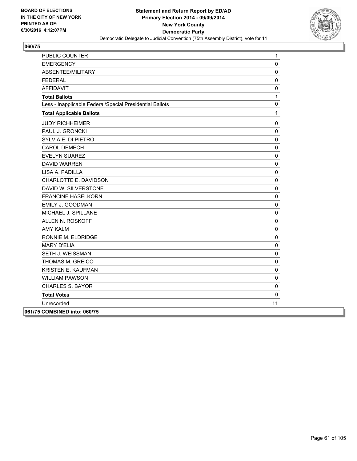

| PUBLIC COUNTER                                           | 1                   |
|----------------------------------------------------------|---------------------|
| <b>EMERGENCY</b>                                         | 0                   |
| ABSENTEE/MILITARY                                        | 0                   |
| <b>FEDERAL</b>                                           | $\mathsf{O}\xspace$ |
| <b>AFFIDAVIT</b>                                         | 0                   |
| <b>Total Ballots</b>                                     | 1                   |
| Less - Inapplicable Federal/Special Presidential Ballots | 0                   |
| <b>Total Applicable Ballots</b>                          | 1                   |
| <b>JUDY RICHHEIMER</b>                                   | 0                   |
| PAUL J. GRONCKI                                          | 0                   |
| SYLVIA E. DI PIETRO                                      | 0                   |
| <b>CAROL DEMECH</b>                                      | 0                   |
| <b>EVELYN SUAREZ</b>                                     | 0                   |
| <b>DAVID WARREN</b>                                      | 0                   |
| LISA A. PADILLA                                          | 0                   |
| CHARLOTTE E. DAVIDSON                                    | 0                   |
| DAVID W. SILVERSTONE                                     | 0                   |
| <b>FRANCINE HASELKORN</b>                                | 0                   |
| <b>EMILY J. GOODMAN</b>                                  | 0                   |
| MICHAEL J. SPILLANE                                      | 0                   |
| ALLEN N. ROSKOFF                                         | 0                   |
| <b>AMY KALM</b>                                          | $\pmb{0}$           |
| RONNIE M. ELDRIDGE                                       | 0                   |
| <b>MARY D'ELIA</b>                                       | $\mathbf 0$         |
| <b>SETH J. WEISSMAN</b>                                  | 0                   |
| THOMAS M. GREICO                                         | 0                   |
| KRISTEN E. KAUFMAN                                       | 0                   |
| <b>WILLIAM PAWSON</b>                                    | 0                   |
| <b>CHARLES S. BAYOR</b>                                  | $\mathsf{O}\xspace$ |
| <b>Total Votes</b>                                       | $\mathbf 0$         |
| Unrecorded                                               | 11                  |
| 061/75 COMBINED into: 060/75                             |                     |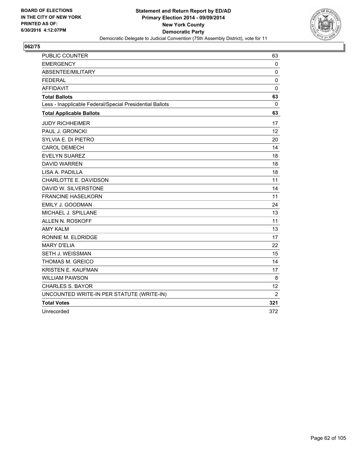

| PUBLIC COUNTER                                           | 63             |
|----------------------------------------------------------|----------------|
| <b>EMERGENCY</b>                                         | 0              |
| ABSENTEE/MILITARY                                        | $\mathbf 0$    |
| <b>FEDERAL</b>                                           | $\mathbf 0$    |
| <b>AFFIDAVIT</b>                                         | $\mathbf 0$    |
| <b>Total Ballots</b>                                     | 63             |
| Less - Inapplicable Federal/Special Presidential Ballots | 0              |
| <b>Total Applicable Ballots</b>                          | 63             |
| <b>JUDY RICHHEIMER</b>                                   | 17             |
| PAUL J. GRONCKI                                          | 12             |
| SYLVIA E. DI PIETRO                                      | 20             |
| <b>CAROL DEMECH</b>                                      | 14             |
| <b>EVELYN SUAREZ</b>                                     | 18             |
| <b>DAVID WARREN</b>                                      | 18             |
| LISA A. PADILLA                                          | 18             |
| CHARLOTTE E. DAVIDSON                                    | 11             |
| DAVID W. SILVERSTONE                                     | 14             |
| <b>FRANCINE HASELKORN</b>                                | 11             |
| EMILY J. GOODMAN                                         | 24             |
| MICHAEL J. SPILLANE                                      | 13             |
| <b>ALLEN N. ROSKOFF</b>                                  | 11             |
| <b>AMY KALM</b>                                          | 13             |
| RONNIE M. ELDRIDGE                                       | 17             |
| <b>MARY D'ELIA</b>                                       | 22             |
| SETH J. WEISSMAN                                         | 15             |
| THOMAS M. GREICO                                         | 14             |
| KRISTEN E. KAUFMAN                                       | 17             |
| <b>WILLIAM PAWSON</b>                                    | 8              |
| <b>CHARLES S. BAYOR</b>                                  | 12             |
| UNCOUNTED WRITE-IN PER STATUTE (WRITE-IN)                | $\overline{2}$ |
| <b>Total Votes</b>                                       | 321            |
| Unrecorded                                               | 372            |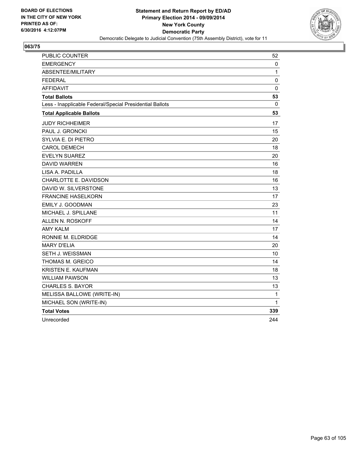

| PUBLIC COUNTER                                           | 52  |
|----------------------------------------------------------|-----|
| <b>EMERGENCY</b>                                         | 0   |
| ABSENTEE/MILITARY                                        | 1   |
| <b>FEDERAL</b>                                           | 0   |
| <b>AFFIDAVIT</b>                                         | 0   |
| <b>Total Ballots</b>                                     | 53  |
| Less - Inapplicable Federal/Special Presidential Ballots | 0   |
| <b>Total Applicable Ballots</b>                          | 53  |
| <b>JUDY RICHHEIMER</b>                                   | 17  |
| PAUL J. GRONCKI                                          | 15  |
| SYLVIA E. DI PIETRO                                      | 20  |
| <b>CAROL DEMECH</b>                                      | 18  |
| <b>EVELYN SUAREZ</b>                                     | 20  |
| <b>DAVID WARREN</b>                                      | 16  |
| LISA A. PADILLA                                          | 18  |
| CHARLOTTE E. DAVIDSON                                    | 16  |
| DAVID W. SILVERSTONE                                     | 13  |
| <b>FRANCINE HASELKORN</b>                                | 17  |
| <b>EMILY J. GOODMAN</b>                                  | 23  |
| MICHAEL J. SPILLANE                                      | 11  |
| ALLEN N. ROSKOFF                                         | 14  |
| <b>AMY KALM</b>                                          | 17  |
| RONNIE M. ELDRIDGE                                       | 14  |
| <b>MARY D'ELIA</b>                                       | 20  |
| SETH J. WEISSMAN                                         | 10  |
| THOMAS M. GREICO                                         | 14  |
| KRISTEN E. KAUFMAN                                       | 18  |
| WILLIAM PAWSON                                           | 13  |
| <b>CHARLES S. BAYOR</b>                                  | 13  |
| MELISSA BALLOWE (WRITE-IN)                               | 1   |
| MICHAEL SON (WRITE-IN)                                   | 1   |
| <b>Total Votes</b>                                       | 339 |
| Unrecorded                                               | 244 |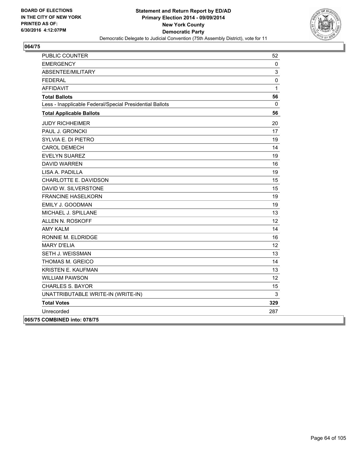

| PUBLIC COUNTER                                           | 52              |
|----------------------------------------------------------|-----------------|
| <b>EMERGENCY</b>                                         | 0               |
| ABSENTEE/MILITARY                                        | 3               |
| <b>FEDERAL</b>                                           | $\pmb{0}$       |
| <b>AFFIDAVIT</b>                                         | $\mathbf{1}$    |
| <b>Total Ballots</b>                                     | 56              |
| Less - Inapplicable Federal/Special Presidential Ballots | 0               |
| <b>Total Applicable Ballots</b>                          | 56              |
| <b>JUDY RICHHEIMER</b>                                   | 20              |
| PAUL J. GRONCKI                                          | 17              |
| SYLVIA E. DI PIETRO                                      | 19              |
| CAROL DEMECH                                             | 14              |
| <b>EVELYN SUAREZ</b>                                     | 19              |
| <b>DAVID WARREN</b>                                      | 16              |
| LISA A. PADILLA                                          | 19              |
| CHARLOTTE E. DAVIDSON                                    | 15              |
| DAVID W. SILVERSTONE                                     | 15              |
| <b>FRANCINE HASELKORN</b>                                | 19              |
| EMILY J. GOODMAN                                         | 19              |
| MICHAEL J. SPILLANE                                      | 13              |
| ALLEN N. ROSKOFF                                         | 12              |
| <b>AMY KALM</b>                                          | 14              |
| RONNIE M. ELDRIDGE                                       | 16              |
| <b>MARY D'ELIA</b>                                       | 12 <sub>2</sub> |
| SETH J. WEISSMAN                                         | 13              |
| THOMAS M. GREICO                                         | 14              |
| <b>KRISTEN E. KAUFMAN</b>                                | 13              |
| <b>WILLIAM PAWSON</b>                                    | 12              |
| <b>CHARLES S. BAYOR</b>                                  | 15              |
| UNATTRIBUTABLE WRITE-IN (WRITE-IN)                       | 3               |
| <b>Total Votes</b>                                       | 329             |
| Unrecorded                                               | 287             |
| 065/75 COMBINED into: 078/75                             |                 |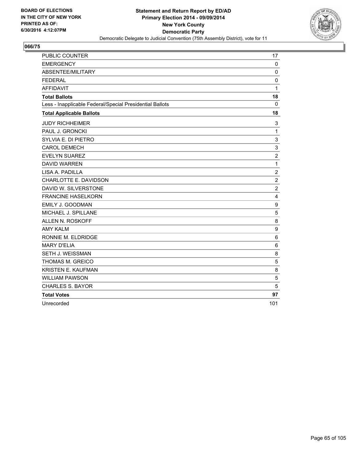

| PUBLIC COUNTER                                           | 17              |
|----------------------------------------------------------|-----------------|
| <b>EMERGENCY</b>                                         | $\mathbf 0$     |
| ABSENTEE/MILITARY                                        | 0               |
| <b>FEDERAL</b>                                           | $\mathbf 0$     |
| <b>AFFIDAVIT</b>                                         | $\mathbf{1}$    |
| <b>Total Ballots</b>                                     | 18              |
| Less - Inapplicable Federal/Special Presidential Ballots | 0               |
| <b>Total Applicable Ballots</b>                          | 18              |
| <b>JUDY RICHHEIMER</b>                                   | 3               |
| PAUL J. GRONCKI                                          | $\mathbf{1}$    |
| SYLVIA E. DI PIETRO                                      | 3               |
| <b>CAROL DEMECH</b>                                      | 3               |
| <b>EVELYN SUAREZ</b>                                     | $\overline{2}$  |
| <b>DAVID WARREN</b>                                      | $\mathbf{1}$    |
| LISA A. PADILLA                                          | $\overline{c}$  |
| CHARLOTTE E. DAVIDSON                                    | $\overline{2}$  |
| DAVID W. SILVERSTONE                                     | $\overline{2}$  |
| <b>FRANCINE HASELKORN</b>                                | 4               |
| EMILY J. GOODMAN                                         | 9               |
| MICHAEL J. SPILLANE                                      | 5               |
| <b>ALLEN N. ROSKOFF</b>                                  | 8               |
| <b>AMY KALM</b>                                          | 9               |
| RONNIE M. ELDRIDGE                                       | 6               |
| <b>MARY D'ELIA</b>                                       | $6\phantom{1}6$ |
| SETH J. WEISSMAN                                         | 8               |
| THOMAS M. GREICO                                         | 5               |
| KRISTEN E. KAUFMAN                                       | 8               |
| <b>WILLIAM PAWSON</b>                                    | 5               |
| <b>CHARLES S. BAYOR</b>                                  | 5               |
| <b>Total Votes</b>                                       | 97              |
| Unrecorded                                               | 101             |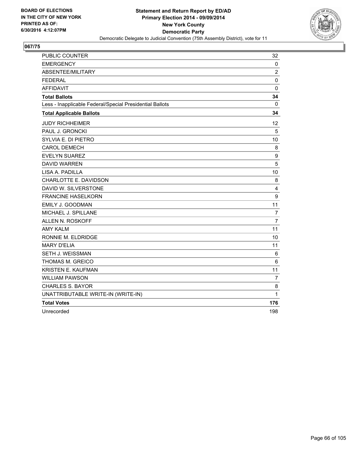

| PUBLIC COUNTER                                           | 32               |
|----------------------------------------------------------|------------------|
| <b>EMERGENCY</b>                                         | 0                |
| ABSENTEE/MILITARY                                        | $\overline{2}$   |
| <b>FEDERAL</b>                                           | $\mathbf 0$      |
| <b>AFFIDAVIT</b>                                         | $\mathbf 0$      |
| <b>Total Ballots</b>                                     | 34               |
| Less - Inapplicable Federal/Special Presidential Ballots | 0                |
| <b>Total Applicable Ballots</b>                          | 34               |
| <b>JUDY RICHHEIMER</b>                                   | 12               |
| PAUL J. GRONCKI                                          | 5                |
| SYLVIA E. DI PIETRO                                      | 10               |
| <b>CAROL DEMECH</b>                                      | 8                |
| <b>EVELYN SUAREZ</b>                                     | $\boldsymbol{9}$ |
| <b>DAVID WARREN</b>                                      | 5                |
| LISA A. PADILLA                                          | 10               |
| CHARLOTTE E. DAVIDSON                                    | 8                |
| DAVID W. SILVERSTONE                                     | 4                |
| <b>FRANCINE HASELKORN</b>                                | 9                |
| EMILY J. GOODMAN                                         | 11               |
| MICHAEL J. SPILLANE                                      | 7                |
| ALLEN N. ROSKOFF                                         | $\overline{7}$   |
| <b>AMY KALM</b>                                          | 11               |
| RONNIE M. ELDRIDGE                                       | 10               |
| <b>MARY D'ELIA</b>                                       | 11               |
| <b>SETH J. WEISSMAN</b>                                  | 6                |
| THOMAS M. GREICO                                         | $\,6$            |
| <b>KRISTEN E. KAUFMAN</b>                                | 11               |
| <b>WILLIAM PAWSON</b>                                    | $\overline{7}$   |
| <b>CHARLES S. BAYOR</b>                                  | 8                |
| UNATTRIBUTABLE WRITE-IN (WRITE-IN)                       | 1                |
| <b>Total Votes</b>                                       | 176              |
| Unrecorded                                               | 198              |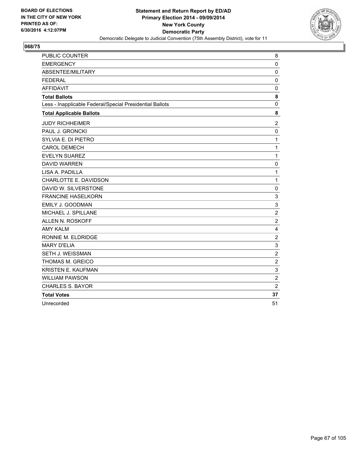

| PUBLIC COUNTER                                           | 8              |
|----------------------------------------------------------|----------------|
| <b>EMERGENCY</b>                                         | $\mathbf 0$    |
| ABSENTEE/MILITARY                                        | $\mathbf 0$    |
| <b>FEDERAL</b>                                           | 0              |
| <b>AFFIDAVIT</b>                                         | $\Omega$       |
| <b>Total Ballots</b>                                     | 8              |
| Less - Inapplicable Federal/Special Presidential Ballots | 0              |
| <b>Total Applicable Ballots</b>                          | 8              |
| <b>JUDY RICHHEIMER</b>                                   | 2              |
| PAUL J. GRONCKI                                          | 0              |
| SYLVIA E. DI PIETRO                                      | $\mathbf{1}$   |
| <b>CAROL DEMECH</b>                                      | $\mathbf{1}$   |
| <b>EVELYN SUAREZ</b>                                     | $\mathbf{1}$   |
| <b>DAVID WARREN</b>                                      | 0              |
| LISA A. PADILLA                                          | $\mathbf 1$    |
| CHARLOTTE E. DAVIDSON                                    | $\mathbf{1}$   |
| DAVID W. SILVERSTONE                                     | 0              |
| <b>FRANCINE HASELKORN</b>                                | 3              |
| EMILY J. GOODMAN                                         | 3              |
| MICHAEL J. SPILLANE                                      | $\overline{2}$ |
| ALLEN N. ROSKOFF                                         | $\overline{2}$ |
| <b>AMY KALM</b>                                          | 4              |
| RONNIE M. ELDRIDGE                                       | $\overline{c}$ |
| <b>MARY D'ELIA</b>                                       | 3              |
| SETH J. WEISSMAN                                         | $\overline{2}$ |
| THOMAS M. GREICO                                         | $\overline{c}$ |
| <b>KRISTEN E. KAUFMAN</b>                                | 3              |
| <b>WILLIAM PAWSON</b>                                    | $\overline{2}$ |
| <b>CHARLES S. BAYOR</b>                                  | $\overline{2}$ |
| <b>Total Votes</b>                                       | 37             |
| Unrecorded                                               | 51             |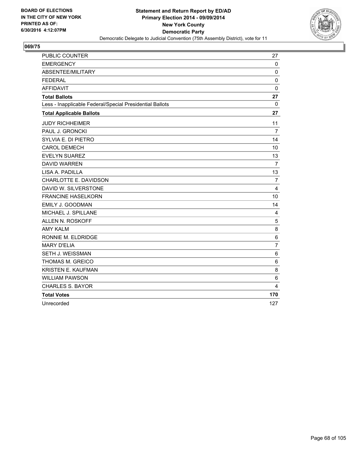

| PUBLIC COUNTER                                           | 27             |
|----------------------------------------------------------|----------------|
| <b>EMERGENCY</b>                                         | $\mathbf 0$    |
| ABSENTEE/MILITARY                                        | 0              |
| <b>FEDERAL</b>                                           | $\mathbf 0$    |
| <b>AFFIDAVIT</b>                                         | $\mathbf 0$    |
| <b>Total Ballots</b>                                     | 27             |
| Less - Inapplicable Federal/Special Presidential Ballots | 0              |
| <b>Total Applicable Ballots</b>                          | 27             |
| <b>JUDY RICHHEIMER</b>                                   | 11             |
| PAUL J. GRONCKI                                          | 7              |
| SYLVIA E. DI PIETRO                                      | 14             |
| <b>CAROL DEMECH</b>                                      | 10             |
| <b>EVELYN SUAREZ</b>                                     | 13             |
| <b>DAVID WARREN</b>                                      | $\overline{7}$ |
| LISA A. PADILLA                                          | 13             |
| CHARLOTTE E. DAVIDSON                                    | $\overline{7}$ |
| DAVID W. SILVERSTONE                                     | 4              |
| <b>FRANCINE HASELKORN</b>                                | 10             |
| EMILY J. GOODMAN                                         | 14             |
| MICHAEL J. SPILLANE                                      | 4              |
| <b>ALLEN N. ROSKOFF</b>                                  | 5              |
| <b>AMY KALM</b>                                          | 8              |
| RONNIE M. ELDRIDGE                                       | 6              |
| <b>MARY D'ELIA</b>                                       | $\overline{7}$ |
| SETH J. WEISSMAN                                         | 6              |
| THOMAS M. GREICO                                         | 6              |
| KRISTEN E. KAUFMAN                                       | 8              |
| <b>WILLIAM PAWSON</b>                                    | 6              |
| <b>CHARLES S. BAYOR</b>                                  | 4              |
| <b>Total Votes</b>                                       | 170            |
| Unrecorded                                               | 127            |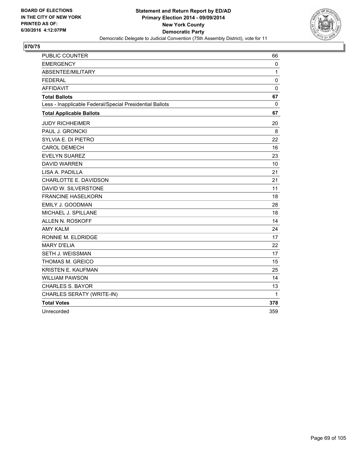

| PUBLIC COUNTER                                           | 66           |
|----------------------------------------------------------|--------------|
| <b>EMERGENCY</b>                                         | 0            |
| ABSENTEE/MILITARY                                        | $\mathbf{1}$ |
| <b>FEDERAL</b>                                           | $\mathbf 0$  |
| <b>AFFIDAVIT</b>                                         | $\mathbf 0$  |
| <b>Total Ballots</b>                                     | 67           |
| Less - Inapplicable Federal/Special Presidential Ballots | 0            |
| <b>Total Applicable Ballots</b>                          | 67           |
| <b>JUDY RICHHEIMER</b>                                   | 20           |
| PAUL J. GRONCKI                                          | 8            |
| SYLVIA E. DI PIETRO                                      | 22           |
| <b>CAROL DEMECH</b>                                      | 16           |
| <b>EVELYN SUAREZ</b>                                     | 23           |
| <b>DAVID WARREN</b>                                      | 10           |
| LISA A. PADILLA                                          | 21           |
| CHARLOTTE E. DAVIDSON                                    | 21           |
| DAVID W. SILVERSTONE                                     | 11           |
| <b>FRANCINE HASELKORN</b>                                | 18           |
| EMILY J. GOODMAN                                         | 28           |
| MICHAEL J. SPILLANE                                      | 18           |
| ALLEN N. ROSKOFF                                         | 14           |
| <b>AMY KALM</b>                                          | 24           |
| RONNIE M. ELDRIDGE                                       | 17           |
| <b>MARY D'ELIA</b>                                       | 22           |
| SETH J. WEISSMAN                                         | 17           |
| THOMAS M. GREICO                                         | 15           |
| <b>KRISTEN E. KAUFMAN</b>                                | 25           |
| <b>WILLIAM PAWSON</b>                                    | 14           |
| <b>CHARLES S. BAYOR</b>                                  | 13           |
| CHARLES SERATY (WRITE-IN)                                | 1            |
| <b>Total Votes</b>                                       | 378          |
| Unrecorded                                               | 359          |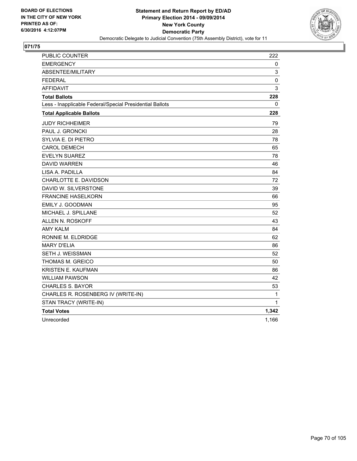

| PUBLIC COUNTER                                           | 222   |
|----------------------------------------------------------|-------|
| <b>EMERGENCY</b>                                         | 0     |
| ABSENTEE/MILITARY                                        | 3     |
| <b>FEDERAL</b>                                           | 0     |
| <b>AFFIDAVIT</b>                                         | 3     |
| <b>Total Ballots</b>                                     | 228   |
| Less - Inapplicable Federal/Special Presidential Ballots | 0     |
| <b>Total Applicable Ballots</b>                          | 228   |
| <b>JUDY RICHHEIMER</b>                                   | 79    |
| PAUL J. GRONCKI                                          | 28    |
| SYLVIA E. DI PIETRO                                      | 78    |
| <b>CAROL DEMECH</b>                                      | 65    |
| <b>EVELYN SUAREZ</b>                                     | 78    |
| <b>DAVID WARREN</b>                                      | 46    |
| LISA A. PADILLA                                          | 84    |
| CHARLOTTE E. DAVIDSON                                    | 72    |
| DAVID W. SILVERSTONE                                     | 39    |
| <b>FRANCINE HASELKORN</b>                                | 66    |
| EMILY J. GOODMAN                                         | 95    |
| MICHAEL J. SPILLANE                                      | 52    |
| ALLEN N. ROSKOFF                                         | 43    |
| AMY KALM                                                 | 84    |
| RONNIE M. ELDRIDGE                                       | 62    |
| <b>MARY D'ELIA</b>                                       | 86    |
| SETH J. WEISSMAN                                         | 52    |
| THOMAS M. GREICO                                         | 50    |
| <b>KRISTEN E. KAUFMAN</b>                                | 86    |
| WILLIAM PAWSON                                           | 42    |
| <b>CHARLES S. BAYOR</b>                                  | 53    |
| CHARLES R. ROSENBERG IV (WRITE-IN)                       | 1     |
| STAN TRACY (WRITE-IN)                                    | 1     |
| <b>Total Votes</b>                                       | 1,342 |
| Unrecorded                                               | 1,166 |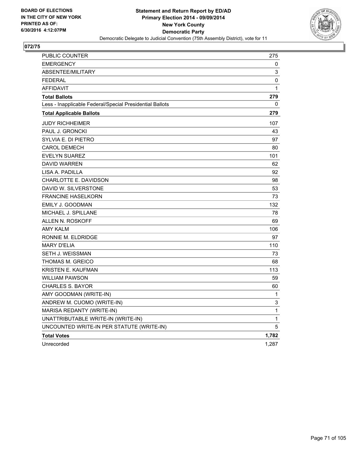

| <b>PUBLIC COUNTER</b>                                    | 275          |
|----------------------------------------------------------|--------------|
| <b>EMERGENCY</b>                                         | 0            |
| <b>ABSENTEE/MILITARY</b>                                 | 3            |
| <b>FEDERAL</b>                                           | 0            |
| <b>AFFIDAVIT</b>                                         | $\mathbf{1}$ |
| <b>Total Ballots</b>                                     | 279          |
| Less - Inapplicable Federal/Special Presidential Ballots | 0            |
| <b>Total Applicable Ballots</b>                          | 279          |
| <b>JUDY RICHHEIMER</b>                                   | 107          |
| PAUL J. GRONCKI                                          | 43           |
| SYLVIA E. DI PIETRO                                      | 97           |
| <b>CAROL DEMECH</b>                                      | 80           |
| <b>EVELYN SUAREZ</b>                                     | 101          |
| <b>DAVID WARREN</b>                                      | 62           |
| LISA A. PADILLA                                          | 92           |
| CHARLOTTE E. DAVIDSON                                    | 98           |
| DAVID W. SILVERSTONE                                     | 53           |
| <b>FRANCINE HASELKORN</b>                                | 73           |
| EMILY J. GOODMAN                                         | 132          |
| MICHAEL J. SPILLANE                                      | 78           |
| ALLEN N. ROSKOFF                                         | 69           |
| <b>AMY KALM</b>                                          | 106          |
| RONNIE M. ELDRIDGE                                       | 97           |
| <b>MARY D'ELIA</b>                                       | 110          |
| SETH J. WEISSMAN                                         | 73           |
| THOMAS M. GREICO                                         | 68           |
| <b>KRISTEN E. KAUFMAN</b>                                | 113          |
| WILLIAM PAWSON                                           | 59           |
| <b>CHARLES S. BAYOR</b>                                  | 60           |
| AMY GOODMAN (WRITE-IN)                                   | 1            |
| ANDREW M. CUOMO (WRITE-IN)                               | 3            |
| MARISA REDANTY (WRITE-IN)                                | $\mathbf{1}$ |
| UNATTRIBUTABLE WRITE-IN (WRITE-IN)                       | 1            |
| UNCOUNTED WRITE-IN PER STATUTE (WRITE-IN)                | 5            |
| <b>Total Votes</b>                                       | 1,782        |
| Unrecorded                                               | 1,287        |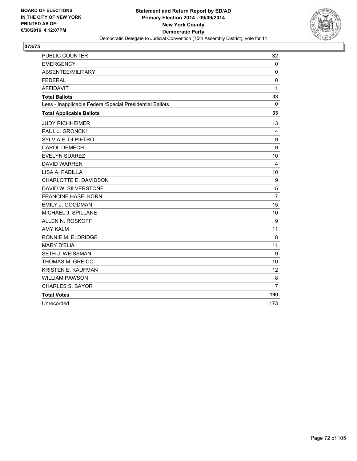

| PUBLIC COUNTER                                           | 32             |
|----------------------------------------------------------|----------------|
| <b>EMERGENCY</b>                                         | $\mathbf{0}$   |
| ABSENTEE/MILITARY                                        | $\mathbf 0$    |
| <b>FEDERAL</b>                                           | 0              |
| <b>AFFIDAVIT</b>                                         | 1              |
| <b>Total Ballots</b>                                     | 33             |
| Less - Inapplicable Federal/Special Presidential Ballots | 0              |
| <b>Total Applicable Ballots</b>                          | 33             |
| <b>JUDY RICHHEIMER</b>                                   | 13             |
| PAUL J. GRONCKI                                          | 4              |
| SYLVIA E. DI PIETRO                                      | 9              |
| <b>CAROL DEMECH</b>                                      | 9              |
| <b>EVELYN SUAREZ</b>                                     | 10             |
| <b>DAVID WARREN</b>                                      | 4              |
| LISA A. PADILLA                                          | 10             |
| CHARLOTTE E. DAVIDSON                                    | 9              |
| DAVID W. SILVERSTONE                                     | 5              |
| <b>FRANCINE HASELKORN</b>                                | $\overline{7}$ |
| EMILY J. GOODMAN                                         | 15             |
| MICHAEL J. SPILLANE                                      | 10             |
| ALLEN N. ROSKOFF                                         | 9              |
| <b>AMY KALM</b>                                          | 11             |
| RONNIE M. ELDRIDGE                                       | 8              |
| <b>MARY D'ELIA</b>                                       | 11             |
| SETH J. WEISSMAN                                         | 9              |
| THOMAS M. GREICO                                         | 10             |
| <b>KRISTEN E. KAUFMAN</b>                                | 12             |
| <b>WILLIAM PAWSON</b>                                    | 8              |
| <b>CHARLES S. BAYOR</b>                                  | $\overline{7}$ |
| <b>Total Votes</b>                                       | 190            |
| Unrecorded                                               | 173            |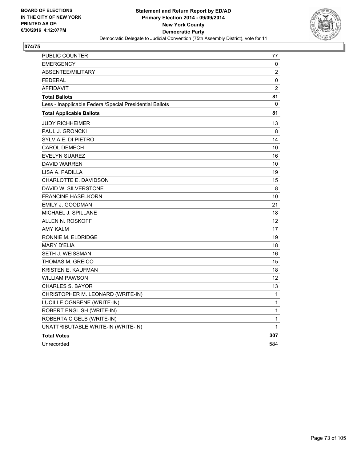

| <b>PUBLIC COUNTER</b>                                    | 77             |
|----------------------------------------------------------|----------------|
| <b>EMERGENCY</b>                                         | 0              |
| ABSENTEE/MILITARY                                        | 2              |
| <b>FEDERAL</b>                                           | 0              |
| <b>AFFIDAVIT</b>                                         | $\overline{2}$ |
| <b>Total Ballots</b>                                     | 81             |
| Less - Inapplicable Federal/Special Presidential Ballots | 0              |
| <b>Total Applicable Ballots</b>                          | 81             |
| <b>JUDY RICHHEIMER</b>                                   | 13             |
| PAUL J. GRONCKI                                          | 8              |
| SYLVIA E. DI PIETRO                                      | 14             |
| <b>CAROL DEMECH</b>                                      | 10             |
| <b>EVELYN SUAREZ</b>                                     | 16             |
| <b>DAVID WARREN</b>                                      | 10             |
| LISA A. PADILLA                                          | 19             |
| CHARLOTTE E. DAVIDSON                                    | 15             |
| DAVID W. SILVERSTONE                                     | 8              |
| <b>FRANCINE HASELKORN</b>                                | 10             |
| EMILY J. GOODMAN                                         | 21             |
| MICHAEL J. SPILLANE                                      | 18             |
| ALLEN N. ROSKOFF                                         | 12             |
| <b>AMY KALM</b>                                          | 17             |
| RONNIE M. ELDRIDGE                                       | 19             |
| <b>MARY D'ELIA</b>                                       | 18             |
| SETH J. WEISSMAN                                         | 16             |
| THOMAS M. GREICO                                         | 15             |
| KRISTEN E. KAUFMAN                                       | 18             |
| WILLIAM PAWSON                                           | 12             |
| <b>CHARLES S. BAYOR</b>                                  | 13             |
| CHRISTOPHER M. LEONARD (WRITE-IN)                        | 1              |
| LUCILLE OGNBENE (WRITE-IN)                               | $\mathbf{1}$   |
| ROBERT ENGLISH (WRITE-IN)                                | 1              |
| ROBERTA C GELB (WRITE-IN)                                | 1              |
| UNATTRIBUTABLE WRITE-IN (WRITE-IN)                       | $\mathbf{1}$   |
| <b>Total Votes</b>                                       | 307            |
| Unrecorded                                               | 584            |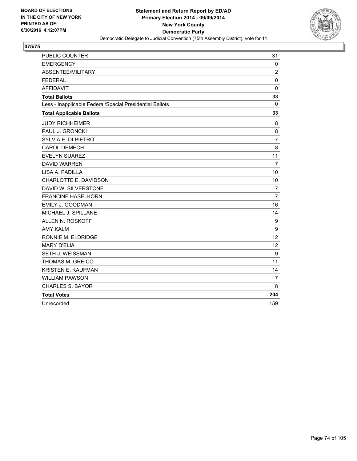

| PUBLIC COUNTER                                           | 31             |
|----------------------------------------------------------|----------------|
| <b>EMERGENCY</b>                                         | $\mathbf 0$    |
| ABSENTEE/MILITARY                                        | 2              |
| <b>FEDERAL</b>                                           | $\mathbf 0$    |
| <b>AFFIDAVIT</b>                                         | $\mathbf 0$    |
| <b>Total Ballots</b>                                     | 33             |
| Less - Inapplicable Federal/Special Presidential Ballots | 0              |
| <b>Total Applicable Ballots</b>                          | 33             |
| <b>JUDY RICHHEIMER</b>                                   | 8              |
| PAUL J. GRONCKI                                          | 8              |
| SYLVIA E. DI PIETRO                                      | $\overline{7}$ |
| <b>CAROL DEMECH</b>                                      | 8              |
| <b>EVELYN SUAREZ</b>                                     | 11             |
| <b>DAVID WARREN</b>                                      | $\overline{7}$ |
| LISA A. PADILLA                                          | 10             |
| CHARLOTTE E. DAVIDSON                                    | 10             |
| DAVID W. SILVERSTONE                                     | $\overline{7}$ |
| <b>FRANCINE HASELKORN</b>                                | $\overline{7}$ |
| EMILY J. GOODMAN                                         | 16             |
| MICHAEL J. SPILLANE                                      | 14             |
| <b>ALLEN N. ROSKOFF</b>                                  | 9              |
| <b>AMY KALM</b>                                          | 9              |
| RONNIE M. ELDRIDGE                                       | 12             |
| <b>MARY D'ELIA</b>                                       | 12             |
| SETH J. WEISSMAN                                         | 9              |
| THOMAS M. GREICO                                         | 11             |
| KRISTEN E. KAUFMAN                                       | 14             |
| <b>WILLIAM PAWSON</b>                                    | 7              |
| <b>CHARLES S. BAYOR</b>                                  | 8              |
| <b>Total Votes</b>                                       | 204            |
| Unrecorded                                               | 159            |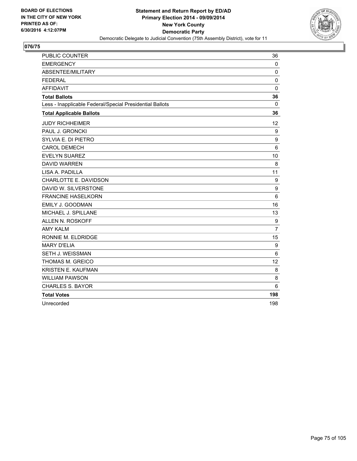

| PUBLIC COUNTER                                           | 36             |
|----------------------------------------------------------|----------------|
| <b>EMERGENCY</b>                                         | $\mathbf{0}$   |
| ABSENTEE/MILITARY                                        | $\mathbf 0$    |
| <b>FEDERAL</b>                                           | 0              |
| <b>AFFIDAVIT</b>                                         | $\mathbf 0$    |
| <b>Total Ballots</b>                                     | 36             |
| Less - Inapplicable Federal/Special Presidential Ballots | 0              |
| <b>Total Applicable Ballots</b>                          | 36             |
| <b>JUDY RICHHEIMER</b>                                   | 12             |
| PAUL J. GRONCKI                                          | 9              |
| SYLVIA E. DI PIETRO                                      | 9              |
| <b>CAROL DEMECH</b>                                      | 6              |
| <b>EVELYN SUAREZ</b>                                     | 10             |
| <b>DAVID WARREN</b>                                      | 8              |
| LISA A. PADILLA                                          | 11             |
| CHARLOTTE E. DAVIDSON                                    | 9              |
| DAVID W. SILVERSTONE                                     | 9              |
| <b>FRANCINE HASELKORN</b>                                | 6              |
| EMILY J. GOODMAN                                         | 16             |
| MICHAEL J. SPILLANE                                      | 13             |
| ALLEN N. ROSKOFF                                         | 9              |
| <b>AMY KALM</b>                                          | $\overline{7}$ |
| RONNIE M. ELDRIDGE                                       | 15             |
| <b>MARY D'ELIA</b>                                       | 9              |
| SETH J. WEISSMAN                                         | 6              |
| THOMAS M. GREICO                                         | 12             |
| <b>KRISTEN E. KAUFMAN</b>                                | 8              |
| <b>WILLIAM PAWSON</b>                                    | 8              |
| <b>CHARLES S. BAYOR</b>                                  | 6              |
| <b>Total Votes</b>                                       | 198            |
| Unrecorded                                               | 198            |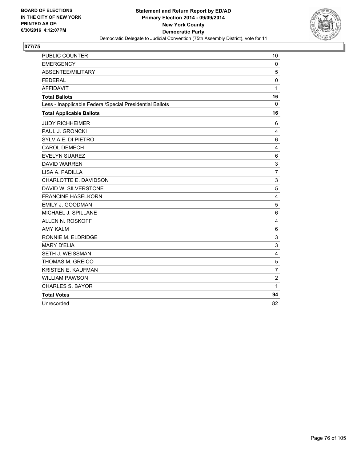

| PUBLIC COUNTER                                           | 10             |
|----------------------------------------------------------|----------------|
| <b>EMERGENCY</b>                                         | $\mathbf 0$    |
| ABSENTEE/MILITARY                                        | 5              |
| <b>FEDERAL</b>                                           | 0              |
| <b>AFFIDAVIT</b>                                         | $\mathbf{1}$   |
| <b>Total Ballots</b>                                     | 16             |
| Less - Inapplicable Federal/Special Presidential Ballots | 0              |
| <b>Total Applicable Ballots</b>                          | 16             |
| <b>JUDY RICHHEIMER</b>                                   | 6              |
| PAUL J. GRONCKI                                          | 4              |
| SYLVIA E. DI PIETRO                                      | 6              |
| <b>CAROL DEMECH</b>                                      | 4              |
| <b>EVELYN SUAREZ</b>                                     | 6              |
| <b>DAVID WARREN</b>                                      | 3              |
| LISA A. PADILLA                                          | $\overline{7}$ |
| CHARLOTTE E. DAVIDSON                                    | 3              |
| DAVID W. SILVERSTONE                                     | 5              |
| <b>FRANCINE HASELKORN</b>                                | 4              |
| EMILY J. GOODMAN                                         | 5              |
| MICHAEL J. SPILLANE                                      | 6              |
| ALLEN N. ROSKOFF                                         | 4              |
| <b>AMY KALM</b>                                          | 6              |
| RONNIE M. ELDRIDGE                                       | 3              |
| <b>MARY D'ELIA</b>                                       | 3              |
| SETH J. WEISSMAN                                         | 4              |
| <b>THOMAS M. GREICO</b>                                  | 5              |
| <b>KRISTEN E. KAUFMAN</b>                                | $\overline{7}$ |
| <b>WILLIAM PAWSON</b>                                    | $\overline{c}$ |
| <b>CHARLES S. BAYOR</b>                                  | $\mathbf{1}$   |
| <b>Total Votes</b>                                       | 94             |
| Unrecorded                                               | 82             |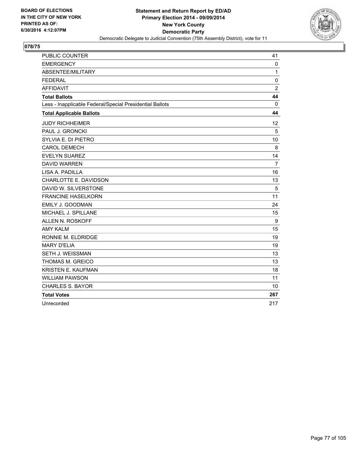

| PUBLIC COUNTER                                           | 41             |
|----------------------------------------------------------|----------------|
| <b>EMERGENCY</b>                                         | $\mathbf{0}$   |
| ABSENTEE/MILITARY                                        | 1              |
| <b>FEDERAL</b>                                           | 0              |
| <b>AFFIDAVIT</b>                                         | $\overline{2}$ |
| <b>Total Ballots</b>                                     | 44             |
| Less - Inapplicable Federal/Special Presidential Ballots | 0              |
| <b>Total Applicable Ballots</b>                          | 44             |
| <b>JUDY RICHHEIMER</b>                                   | 12             |
| PAUL J. GRONCKI                                          | 5              |
| SYLVIA E. DI PIETRO                                      | 10             |
| <b>CAROL DEMECH</b>                                      | 8              |
| <b>EVELYN SUAREZ</b>                                     | 14             |
| <b>DAVID WARREN</b>                                      | $\overline{7}$ |
| LISA A. PADILLA                                          | 16             |
| CHARLOTTE E. DAVIDSON                                    | 13             |
| DAVID W. SILVERSTONE                                     | 5              |
| <b>FRANCINE HASELKORN</b>                                | 11             |
| EMILY J. GOODMAN                                         | 24             |
| MICHAEL J. SPILLANE                                      | 15             |
| ALLEN N. ROSKOFF                                         | 9              |
| <b>AMY KALM</b>                                          | 15             |
| RONNIE M. ELDRIDGE                                       | 19             |
| <b>MARY D'ELIA</b>                                       | 19             |
| <b>SETH J. WEISSMAN</b>                                  | 13             |
| THOMAS M. GREICO                                         | 13             |
| <b>KRISTEN E. KAUFMAN</b>                                | 18             |
| <b>WILLIAM PAWSON</b>                                    | 11             |
| <b>CHARLES S. BAYOR</b>                                  | 10             |
| <b>Total Votes</b>                                       | 267            |
| Unrecorded                                               | 217            |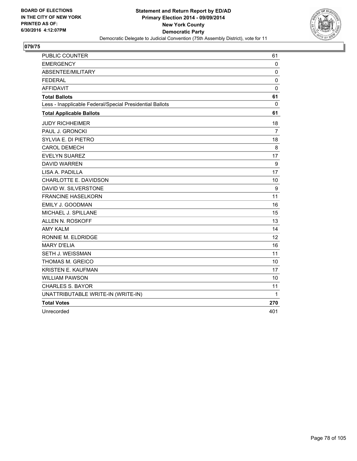

| PUBLIC COUNTER                                           | 61             |
|----------------------------------------------------------|----------------|
| <b>EMERGENCY</b>                                         | 0              |
| ABSENTEE/MILITARY                                        | 0              |
| <b>FEDERAL</b>                                           | $\mathbf 0$    |
| <b>AFFIDAVIT</b>                                         | $\mathbf 0$    |
| <b>Total Ballots</b>                                     | 61             |
| Less - Inapplicable Federal/Special Presidential Ballots | 0              |
| <b>Total Applicable Ballots</b>                          | 61             |
| <b>JUDY RICHHEIMER</b>                                   | 18             |
| PAUL J. GRONCKI                                          | $\overline{7}$ |
| SYLVIA E. DI PIETRO                                      | 18             |
| <b>CAROL DEMECH</b>                                      | 8              |
| <b>EVELYN SUAREZ</b>                                     | 17             |
| <b>DAVID WARREN</b>                                      | 9              |
| LISA A. PADILLA                                          | 17             |
| CHARLOTTE E. DAVIDSON                                    | 10             |
| DAVID W. SILVERSTONE                                     | 9              |
| <b>FRANCINE HASELKORN</b>                                | 11             |
| EMILY J. GOODMAN                                         | 16             |
| MICHAEL J. SPILLANE                                      | 15             |
| <b>ALLEN N. ROSKOFF</b>                                  | 13             |
| <b>AMY KALM</b>                                          | 14             |
| RONNIE M. ELDRIDGE                                       | 12             |
| <b>MARY D'ELIA</b>                                       | 16             |
| SETH J. WEISSMAN                                         | 11             |
| THOMAS M. GREICO                                         | 10             |
| <b>KRISTEN E. KAUFMAN</b>                                | 17             |
| <b>WILLIAM PAWSON</b>                                    | 10             |
| <b>CHARLES S. BAYOR</b>                                  | 11             |
| UNATTRIBUTABLE WRITE-IN (WRITE-IN)                       | 1              |
| <b>Total Votes</b>                                       | 270            |
| Unrecorded                                               | 401            |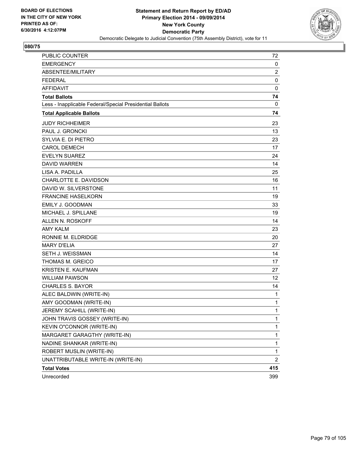

| <b>PUBLIC COUNTER</b>                                    | 72             |
|----------------------------------------------------------|----------------|
| <b>EMERGENCY</b>                                         | 0              |
| ABSENTEE/MILITARY                                        | $\overline{2}$ |
| <b>FEDERAL</b>                                           | 0              |
| <b>AFFIDAVIT</b>                                         | $\mathbf 0$    |
| <b>Total Ballots</b>                                     | 74             |
| Less - Inapplicable Federal/Special Presidential Ballots | 0              |
| <b>Total Applicable Ballots</b>                          | 74             |
| <b>JUDY RICHHEIMER</b>                                   | 23             |
| PAUL J. GRONCKI                                          | 13             |
| SYLVIA E. DI PIETRO                                      | 23             |
| <b>CAROL DEMECH</b>                                      | 17             |
| <b>EVELYN SUAREZ</b>                                     | 24             |
| <b>DAVID WARREN</b>                                      | 14             |
| LISA A. PADILLA                                          | 25             |
| CHARLOTTE E. DAVIDSON                                    | 16             |
| DAVID W. SILVERSTONE                                     | 11             |
| <b>FRANCINE HASELKORN</b>                                | 19             |
| EMILY J. GOODMAN                                         | 33             |
| MICHAEL J. SPILLANE                                      | 19             |
| ALLEN N. ROSKOFF                                         | 14             |
| <b>AMY KALM</b>                                          | 23             |
| RONNIE M. ELDRIDGE                                       | 20             |
| <b>MARY D'ELIA</b>                                       | 27             |
| <b>SETH J. WEISSMAN</b>                                  | 14             |
| <b>THOMAS M. GREICO</b>                                  | 17             |
| KRISTEN E. KAUFMAN                                       | 27             |
| <b>WILLIAM PAWSON</b>                                    | 12             |
| <b>CHARLES S. BAYOR</b>                                  | 14             |
| ALEC BALDWIN (WRITE-IN)                                  | 1              |
| AMY GOODMAN (WRITE-IN)                                   | 1              |
| JEREMY SCAHILL (WRITE-IN)                                | 1              |
| JOHN TRAVIS GOSSEY (WRITE-IN)                            | 1              |
| KEVIN O"CONNOR (WRITE-IN)                                | 1              |
| MARGARET GARAGTHY (WRITE-IN)                             | 1              |
| NADINE SHANKAR (WRITE-IN)                                | 1              |
| ROBERT MUSLIN (WRITE-IN)                                 | 1              |
| UNATTRIBUTABLE WRITE-IN (WRITE-IN)                       | 2              |
| <b>Total Votes</b>                                       | 415            |
| Unrecorded                                               | 399            |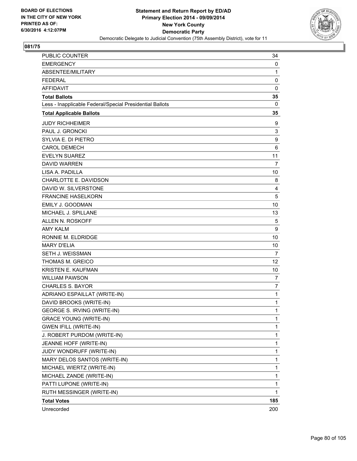

| PUBLIC COUNTER                                           | 34             |
|----------------------------------------------------------|----------------|
| <b>EMERGENCY</b>                                         | 0              |
| ABSENTEE/MILITARY                                        | 1              |
| <b>FEDERAL</b>                                           | 0              |
| <b>AFFIDAVIT</b>                                         | 0              |
| <b>Total Ballots</b>                                     | 35             |
| Less - Inapplicable Federal/Special Presidential Ballots | 0              |
| <b>Total Applicable Ballots</b>                          | 35             |
| <b>JUDY RICHHEIMER</b>                                   | 9              |
| PAUL J. GRONCKI                                          | 3              |
| SYLVIA E. DI PIETRO                                      | 9              |
| <b>CAROL DEMECH</b>                                      | 6              |
| <b>EVELYN SUAREZ</b>                                     | 11             |
| <b>DAVID WARREN</b>                                      | 7              |
| LISA A. PADILLA                                          | 10             |
| CHARLOTTE E. DAVIDSON                                    | 8              |
| DAVID W. SILVERSTONE                                     | 4              |
| <b>FRANCINE HASELKORN</b>                                | 5              |
| <b>EMILY J. GOODMAN</b>                                  | 10             |
| MICHAEL J. SPILLANE                                      | 13             |
| ALLEN N. ROSKOFF                                         | 5              |
| <b>AMY KALM</b>                                          | 9              |
| RONNIE M. ELDRIDGE                                       | 10             |
| <b>MARY D'ELIA</b>                                       | 10             |
| SETH J. WEISSMAN                                         | $\overline{7}$ |
| THOMAS M. GREICO                                         | 12             |
| KRISTEN E. KAUFMAN                                       | 10             |
| <b>WILLIAM PAWSON</b>                                    | 7              |
| <b>CHARLES S. BAYOR</b>                                  | 7              |
| ADRIANO ESPAILLAT (WRITE-IN)                             | 1              |
| DAVID BROOKS (WRITE-IN)                                  | 1              |
| GEORGE S. IRVING (WRITE-IN)                              | 1              |
| <b>GRACE YOUNG (WRITE-IN)</b>                            | 1              |
| <b>GWEN IFILL (WRITE-IN)</b>                             | 1              |
| J. ROBERT PURDOM (WRITE-IN)                              | 1              |
| JEANNE HOFF (WRITE-IN)                                   | $\mathbf{1}$   |
| JUDY WONDRUFF (WRITE-IN)                                 | 1              |
| MARY DELOS SANTOS (WRITE-IN)                             | 1              |
| MICHAEL WIERTZ (WRITE-IN)                                | $\mathbf{1}$   |
| MICHAEL ZANDE (WRITE-IN)                                 | 1              |
| PATTI LUPONE (WRITE-IN)                                  | 1              |
| RUTH MESSINGER (WRITE-IN)                                | $\mathbf{1}$   |
| <b>Total Votes</b>                                       | 185            |
| Unrecorded                                               | 200            |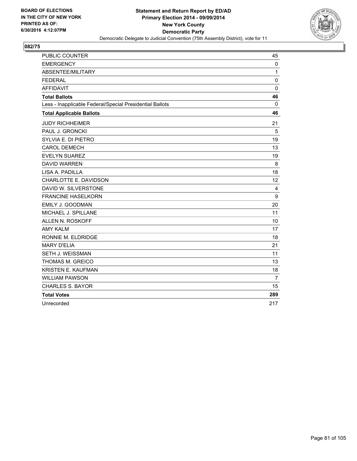

| <b>PUBLIC COUNTER</b>                                    | 45          |
|----------------------------------------------------------|-------------|
| <b>EMERGENCY</b>                                         | 0           |
| ABSENTEE/MILITARY                                        | 1           |
| <b>FEDERAL</b>                                           | 0           |
| <b>AFFIDAVIT</b>                                         | $\mathbf 0$ |
| <b>Total Ballots</b>                                     | 46          |
| Less - Inapplicable Federal/Special Presidential Ballots | $\Omega$    |
| <b>Total Applicable Ballots</b>                          | 46          |
| <b>JUDY RICHHEIMER</b>                                   | 21          |
| PAUL J. GRONCKI                                          | 5           |
| SYLVIA E. DI PIETRO                                      | 19          |
| <b>CAROL DEMECH</b>                                      | 13          |
| <b>EVELYN SUAREZ</b>                                     | 19          |
| <b>DAVID WARREN</b>                                      | 8           |
| LISA A. PADILLA                                          | 18          |
| CHARLOTTE E. DAVIDSON                                    | 12          |
| DAVID W. SILVERSTONE                                     | 4           |
| <b>FRANCINE HASELKORN</b>                                | 9           |
| EMILY J. GOODMAN                                         | 20          |
| MICHAEL J. SPILLANE                                      | 11          |
| ALLEN N. ROSKOFF                                         | 10          |
| <b>AMY KALM</b>                                          | 17          |
| RONNIE M. ELDRIDGE                                       | 18          |
| <b>MARY D'ELIA</b>                                       | 21          |
| <b>SETH J. WEISSMAN</b>                                  | 11          |
| <b>THOMAS M. GREICO</b>                                  | 13          |
| KRISTEN E. KAUFMAN                                       | 18          |
| <b>WILLIAM PAWSON</b>                                    | 7           |
| <b>CHARLES S. BAYOR</b>                                  | 15          |
| <b>Total Votes</b>                                       | 289         |
| Unrecorded                                               | 217         |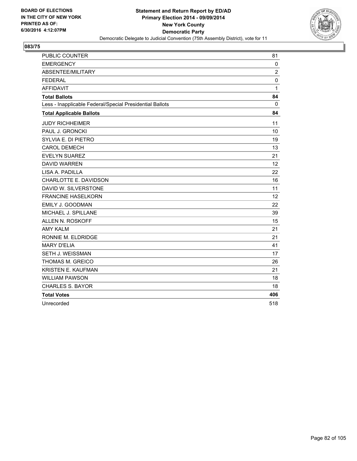

| <b>PUBLIC COUNTER</b>                                    | 81             |
|----------------------------------------------------------|----------------|
| <b>EMERGENCY</b>                                         | 0              |
| ABSENTEE/MILITARY                                        | $\overline{2}$ |
| <b>FEDERAL</b>                                           | 0              |
| <b>AFFIDAVIT</b>                                         | 1              |
| <b>Total Ballots</b>                                     | 84             |
| Less - Inapplicable Federal/Special Presidential Ballots | $\Omega$       |
| <b>Total Applicable Ballots</b>                          | 84             |
| <b>JUDY RICHHEIMER</b>                                   | 11             |
| PAUL J. GRONCKI                                          | 10             |
| SYLVIA E. DI PIETRO                                      | 19             |
| <b>CAROL DEMECH</b>                                      | 13             |
| <b>EVELYN SUAREZ</b>                                     | 21             |
| <b>DAVID WARREN</b>                                      | 12             |
| LISA A. PADILLA                                          | 22             |
| CHARLOTTE E. DAVIDSON                                    | 16             |
| DAVID W. SILVERSTONE                                     | 11             |
| <b>FRANCINE HASELKORN</b>                                | 12             |
| EMILY J. GOODMAN                                         | 22             |
| MICHAEL J. SPILLANE                                      | 39             |
| ALLEN N. ROSKOFF                                         | 15             |
| <b>AMY KALM</b>                                          | 21             |
| RONNIE M. ELDRIDGE                                       | 21             |
| <b>MARY D'ELIA</b>                                       | 41             |
| <b>SETH J. WEISSMAN</b>                                  | 17             |
| <b>THOMAS M. GREICO</b>                                  | 26             |
| KRISTEN E. KAUFMAN                                       | 21             |
| <b>WILLIAM PAWSON</b>                                    | 18             |
| <b>CHARLES S. BAYOR</b>                                  | 18             |
| <b>Total Votes</b>                                       | 406            |
| Unrecorded                                               | 518            |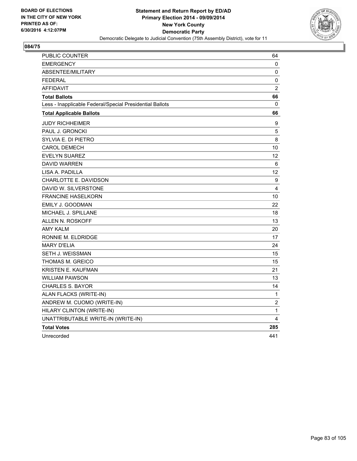

| PUBLIC COUNTER                                           | 64             |
|----------------------------------------------------------|----------------|
| <b>EMERGENCY</b>                                         | 0              |
| <b>ABSENTEE/MILITARY</b>                                 | 0              |
| <b>FEDERAL</b>                                           | $\pmb{0}$      |
| <b>AFFIDAVIT</b>                                         | $\overline{2}$ |
| <b>Total Ballots</b>                                     | 66             |
| Less - Inapplicable Federal/Special Presidential Ballots | 0              |
| <b>Total Applicable Ballots</b>                          | 66             |
| <b>JUDY RICHHEIMER</b>                                   | 9              |
| PAUL J. GRONCKI                                          | 5              |
| SYLVIA E. DI PIETRO                                      | 8              |
| CAROL DEMECH                                             | 10             |
| <b>EVELYN SUAREZ</b>                                     | 12             |
| <b>DAVID WARREN</b>                                      | 6              |
| LISA A. PADILLA                                          | 12             |
| CHARLOTTE E. DAVIDSON                                    | 9              |
| DAVID W. SILVERSTONE                                     | 4              |
| <b>FRANCINE HASELKORN</b>                                | 10             |
| EMILY J. GOODMAN                                         | 22             |
| MICHAEL J. SPILLANE                                      | 18             |
| <b>ALLEN N. ROSKOFF</b>                                  | 13             |
| AMY KALM                                                 | 20             |
| RONNIE M. ELDRIDGE                                       | 17             |
| <b>MARY D'ELIA</b>                                       | 24             |
| SETH J. WEISSMAN                                         | 15             |
| THOMAS M. GREICO                                         | 15             |
| <b>KRISTEN E. KAUFMAN</b>                                | 21             |
| <b>WILLIAM PAWSON</b>                                    | 13             |
| <b>CHARLES S. BAYOR</b>                                  | 14             |
| ALAN FLACKS (WRITE-IN)                                   | 1              |
| ANDREW M. CUOMO (WRITE-IN)                               | $\overline{2}$ |
| HILARY CLINTON (WRITE-IN)                                | 1              |
| UNATTRIBUTABLE WRITE-IN (WRITE-IN)                       | 4              |
| <b>Total Votes</b>                                       | 285            |
| Unrecorded                                               | 441            |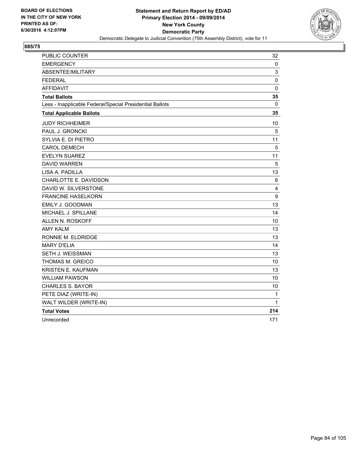

| PUBLIC COUNTER                                           | 32          |
|----------------------------------------------------------|-------------|
| <b>EMERGENCY</b>                                         | 0           |
| ABSENTEE/MILITARY                                        | 3           |
| <b>FEDERAL</b>                                           | 0           |
| <b>AFFIDAVIT</b>                                         | $\mathbf 0$ |
| <b>Total Ballots</b>                                     | 35          |
| Less - Inapplicable Federal/Special Presidential Ballots | 0           |
| <b>Total Applicable Ballots</b>                          | 35          |
| <b>JUDY RICHHEIMER</b>                                   | 10          |
| PAUL J. GRONCKI                                          | 5           |
| SYLVIA E. DI PIETRO                                      | 11          |
| <b>CAROL DEMECH</b>                                      | 5           |
| <b>EVELYN SUAREZ</b>                                     | 11          |
| <b>DAVID WARREN</b>                                      | 5           |
| LISA A. PADILLA                                          | 13          |
| CHARLOTTE E. DAVIDSON                                    | 6           |
| DAVID W. SILVERSTONE                                     | 4           |
| <b>FRANCINE HASELKORN</b>                                | 9           |
| EMILY J. GOODMAN                                         | 13          |
| MICHAEL J. SPILLANE                                      | 14          |
| ALLEN N. ROSKOFF                                         | 10          |
| <b>AMY KALM</b>                                          | 13          |
| RONNIE M. ELDRIDGE                                       | 13          |
| <b>MARY D'ELIA</b>                                       | 14          |
| SETH J. WEISSMAN                                         | 13          |
| THOMAS M. GREICO                                         | 10          |
| <b>KRISTEN E. KAUFMAN</b>                                | 13          |
| <b>WILLIAM PAWSON</b>                                    | 10          |
| <b>CHARLES S. BAYOR</b>                                  | 10          |
| PETE DIAZ (WRITE-IN)                                     | 1           |
| WALT WILDER (WRITE-IN)                                   | 1           |
| <b>Total Votes</b>                                       | 214         |
| Unrecorded                                               | 171         |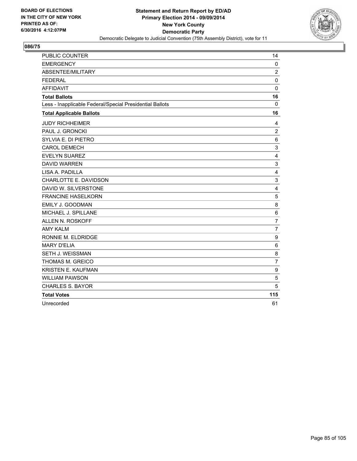

| PUBLIC COUNTER                                           | 14             |
|----------------------------------------------------------|----------------|
| <b>EMERGENCY</b>                                         | $\mathbf 0$    |
| ABSENTEE/MILITARY                                        | $\overline{c}$ |
| <b>FEDERAL</b>                                           | 0              |
| <b>AFFIDAVIT</b>                                         | $\mathbf 0$    |
| <b>Total Ballots</b>                                     | 16             |
| Less - Inapplicable Federal/Special Presidential Ballots | 0              |
| <b>Total Applicable Ballots</b>                          | 16             |
| <b>JUDY RICHHEIMER</b>                                   | 4              |
| PAUL J. GRONCKI                                          | $\overline{c}$ |
| SYLVIA E. DI PIETRO                                      | 6              |
| <b>CAROL DEMECH</b>                                      | 3              |
| <b>EVELYN SUAREZ</b>                                     | 4              |
| <b>DAVID WARREN</b>                                      | 3              |
| LISA A. PADILLA                                          | 4              |
| CHARLOTTE E. DAVIDSON                                    | 3              |
| DAVID W. SILVERSTONE                                     | 4              |
| <b>FRANCINE HASELKORN</b>                                | 5              |
| EMILY J. GOODMAN                                         | 8              |
| MICHAEL J. SPILLANE                                      | 6              |
| ALLEN N. ROSKOFF                                         | $\overline{7}$ |
| <b>AMY KALM</b>                                          | $\overline{7}$ |
| RONNIE M. ELDRIDGE                                       | 9              |
| <b>MARY D'ELIA</b>                                       | 6              |
| SETH J. WEISSMAN                                         | 8              |
| THOMAS M. GREICO                                         | $\overline{7}$ |
| <b>KRISTEN E. KAUFMAN</b>                                | 9              |
| <b>WILLIAM PAWSON</b>                                    | 5              |
| <b>CHARLES S. BAYOR</b>                                  | 5              |
| <b>Total Votes</b>                                       | 115            |
| Unrecorded                                               | 61             |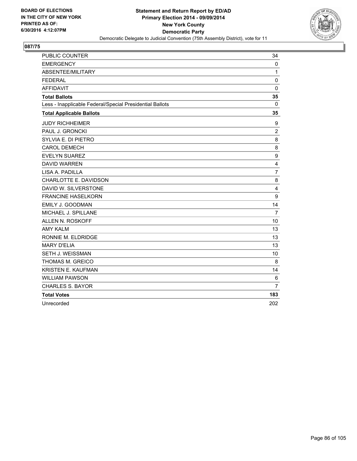

| PUBLIC COUNTER                                           | 34             |
|----------------------------------------------------------|----------------|
| <b>EMERGENCY</b>                                         | $\mathbf{0}$   |
| ABSENTEE/MILITARY                                        | 1              |
| <b>FEDERAL</b>                                           | 0              |
| <b>AFFIDAVIT</b>                                         | $\mathbf 0$    |
| <b>Total Ballots</b>                                     | 35             |
| Less - Inapplicable Federal/Special Presidential Ballots | 0              |
| <b>Total Applicable Ballots</b>                          | 35             |
| <b>JUDY RICHHEIMER</b>                                   | 9              |
| PAUL J. GRONCKI                                          | $\overline{2}$ |
| SYLVIA E. DI PIETRO                                      | 8              |
| <b>CAROL DEMECH</b>                                      | 8              |
| <b>EVELYN SUAREZ</b>                                     | 9              |
| <b>DAVID WARREN</b>                                      | 4              |
| LISA A. PADILLA                                          | $\overline{7}$ |
| CHARLOTTE E. DAVIDSON                                    | 8              |
| DAVID W. SILVERSTONE                                     | 4              |
| <b>FRANCINE HASELKORN</b>                                | 9              |
| EMILY J. GOODMAN                                         | 14             |
| MICHAEL J. SPILLANE                                      | 7              |
| ALLEN N. ROSKOFF                                         | 10             |
| <b>AMY KALM</b>                                          | 13             |
| RONNIE M. ELDRIDGE                                       | 13             |
| <b>MARY D'ELIA</b>                                       | 13             |
| SETH J. WEISSMAN                                         | 10             |
| THOMAS M. GREICO                                         | 8              |
| <b>KRISTEN E. KAUFMAN</b>                                | 14             |
| <b>WILLIAM PAWSON</b>                                    | 6              |
| <b>CHARLES S. BAYOR</b>                                  | $\overline{7}$ |
| <b>Total Votes</b>                                       | 183            |
| Unrecorded                                               | 202            |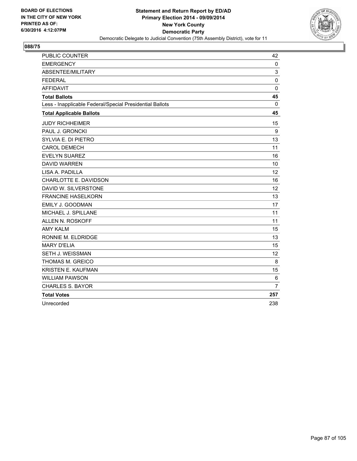

| PUBLIC COUNTER                                           | 42             |
|----------------------------------------------------------|----------------|
| <b>EMERGENCY</b>                                         | 0              |
| ABSENTEE/MILITARY                                        | 3              |
| <b>FEDERAL</b>                                           | 0              |
| <b>AFFIDAVIT</b>                                         | $\mathbf 0$    |
| <b>Total Ballots</b>                                     | 45             |
| Less - Inapplicable Federal/Special Presidential Ballots | 0              |
| <b>Total Applicable Ballots</b>                          | 45             |
| <b>JUDY RICHHEIMER</b>                                   | 15             |
| PAUL J. GRONCKI                                          | 9              |
| SYLVIA E. DI PIETRO                                      | 13             |
| <b>CAROL DEMECH</b>                                      | 11             |
| <b>EVELYN SUAREZ</b>                                     | 16             |
| <b>DAVID WARREN</b>                                      | 10             |
| LISA A. PADILLA                                          | 12             |
| CHARLOTTE E. DAVIDSON                                    | 16             |
| DAVID W. SILVERSTONE                                     | 12             |
| <b>FRANCINE HASELKORN</b>                                | 13             |
| EMILY J. GOODMAN                                         | 17             |
| MICHAEL J. SPILLANE                                      | 11             |
| <b>ALLEN N. ROSKOFF</b>                                  | 11             |
| <b>AMY KALM</b>                                          | 15             |
| RONNIE M. ELDRIDGE                                       | 13             |
| <b>MARY D'ELIA</b>                                       | 15             |
| SETH J. WEISSMAN                                         | 12             |
| THOMAS M. GREICO                                         | 8              |
| KRISTEN E. KAUFMAN                                       | 15             |
| <b>WILLIAM PAWSON</b>                                    | 6              |
| <b>CHARLES S. BAYOR</b>                                  | $\overline{7}$ |
| <b>Total Votes</b>                                       | 257            |
| Unrecorded                                               | 238            |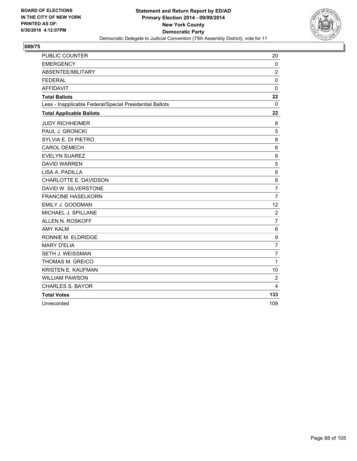

| PUBLIC COUNTER                                           | 20             |
|----------------------------------------------------------|----------------|
| <b>EMERGENCY</b>                                         | $\mathbf 0$    |
| ABSENTEE/MILITARY                                        | $\overline{c}$ |
| <b>FEDERAL</b>                                           | $\mathbf 0$    |
| <b>AFFIDAVIT</b>                                         | $\mathbf 0$    |
| <b>Total Ballots</b>                                     | 22             |
| Less - Inapplicable Federal/Special Presidential Ballots | 0              |
| <b>Total Applicable Ballots</b>                          | 22             |
| <b>JUDY RICHHEIMER</b>                                   | 8              |
| PAUL J. GRONCKI                                          | 5              |
| SYLVIA E. DI PIETRO                                      | 8              |
| <b>CAROL DEMECH</b>                                      | $\,6$          |
| <b>EVELYN SUAREZ</b>                                     | 6              |
| <b>DAVID WARREN</b>                                      | 5              |
| LISA A. PADILLA                                          | 6              |
| CHARLOTTE E. DAVIDSON                                    | 8              |
| DAVID W. SILVERSTONE                                     | $\overline{7}$ |
| <b>FRANCINE HASELKORN</b>                                | $\overline{7}$ |
| <b>EMILY J. GOODMAN</b>                                  | 12             |
| MICHAEL J. SPILLANE                                      | $\overline{c}$ |
| ALLEN N. ROSKOFF                                         | $\overline{7}$ |
| <b>AMY KALM</b>                                          | 6              |
| RONNIE M. ELDRIDGE                                       | 9              |
| <b>MARY D'ELIA</b>                                       | $\overline{7}$ |
| SETH J. WEISSMAN                                         | $\overline{7}$ |
| THOMAS M. GREICO                                         | $\mathbf{1}$   |
| <b>KRISTEN E. KAUFMAN</b>                                | 10             |
| <b>WILLIAM PAWSON</b>                                    | $\overline{2}$ |
| <b>CHARLES S. BAYOR</b>                                  | 4              |
| <b>Total Votes</b>                                       | 133            |
| Unrecorded                                               | 109            |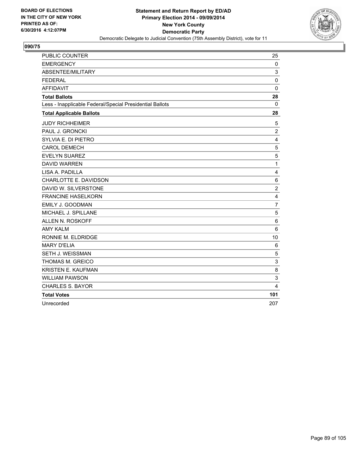

| PUBLIC COUNTER                                           | 25                      |
|----------------------------------------------------------|-------------------------|
| <b>EMERGENCY</b>                                         | 0                       |
| ABSENTEE/MILITARY                                        | 3                       |
| <b>FEDERAL</b>                                           | 0                       |
| <b>AFFIDAVIT</b>                                         | $\mathbf 0$             |
| <b>Total Ballots</b>                                     | 28                      |
| Less - Inapplicable Federal/Special Presidential Ballots | 0                       |
| <b>Total Applicable Ballots</b>                          | 28                      |
| <b>JUDY RICHHEIMER</b>                                   | 5                       |
| PAUL J. GRONCKI                                          | $\overline{c}$          |
| SYLVIA E. DI PIETRO                                      | 4                       |
| <b>CAROL DEMECH</b>                                      | 5                       |
| <b>EVELYN SUAREZ</b>                                     | 5                       |
| <b>DAVID WARREN</b>                                      | $\mathbf 1$             |
| LISA A. PADILLA                                          | 4                       |
| CHARLOTTE E. DAVIDSON                                    | 6                       |
| DAVID W. SILVERSTONE                                     | $\overline{2}$          |
| <b>FRANCINE HASELKORN</b>                                | 4                       |
| EMILY J. GOODMAN                                         | $\overline{7}$          |
| MICHAEL J. SPILLANE                                      | 5                       |
| <b>ALLEN N. ROSKOFF</b>                                  | 6                       |
| <b>AMY KALM</b>                                          | 6                       |
| RONNIE M. ELDRIDGE                                       | 10                      |
| <b>MARY D'ELIA</b>                                       | 6                       |
| SETH J. WEISSMAN                                         | 5                       |
| THOMAS M. GREICO                                         | 3                       |
| KRISTEN E. KAUFMAN                                       | 8                       |
| <b>WILLIAM PAWSON</b>                                    | 3                       |
| <b>CHARLES S. BAYOR</b>                                  | $\overline{\mathbf{4}}$ |
| <b>Total Votes</b>                                       | 101                     |
| Unrecorded                                               | 207                     |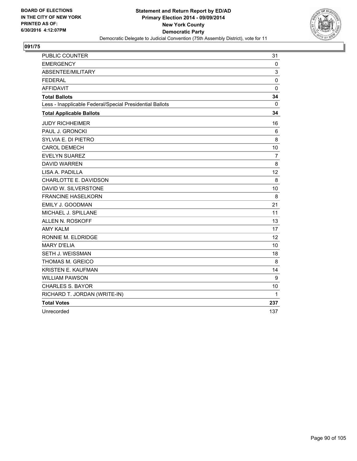

| PUBLIC COUNTER                                           | 31             |
|----------------------------------------------------------|----------------|
| <b>EMERGENCY</b>                                         | 0              |
| ABSENTEE/MILITARY                                        | 3              |
| <b>FEDERAL</b>                                           | $\mathbf 0$    |
| <b>AFFIDAVIT</b>                                         | 0              |
| <b>Total Ballots</b>                                     | 34             |
| Less - Inapplicable Federal/Special Presidential Ballots | $\mathbf{0}$   |
| <b>Total Applicable Ballots</b>                          | 34             |
| <b>JUDY RICHHEIMER</b>                                   | 16             |
| PAUL J. GRONCKI                                          | 6              |
| SYLVIA E. DI PIETRO                                      | 8              |
| <b>CAROL DEMECH</b>                                      | 10             |
| EVELYN SUAREZ                                            | $\overline{7}$ |
| <b>DAVID WARREN</b>                                      | 8              |
| LISA A. PADILLA                                          | 12             |
| CHARLOTTE E. DAVIDSON                                    | 8              |
| DAVID W. SILVERSTONE                                     | 10             |
| <b>FRANCINE HASELKORN</b>                                | 8              |
| <b>EMILY J. GOODMAN</b>                                  | 21             |
| MICHAEL J. SPILLANE                                      | 11             |
| ALLEN N. ROSKOFF                                         | 13             |
| <b>AMY KALM</b>                                          | 17             |
| RONNIE M. ELDRIDGE                                       | 12             |
| <b>MARY D'ELIA</b>                                       | 10             |
| SETH J. WEISSMAN                                         | 18             |
| THOMAS M. GREICO                                         | 8              |
| <b>KRISTEN E. KAUFMAN</b>                                | 14             |
| <b>WILLIAM PAWSON</b>                                    | 9              |
| <b>CHARLES S. BAYOR</b>                                  | 10             |
| RICHARD T. JORDAN (WRITE-IN)                             | 1              |
| <b>Total Votes</b>                                       | 237            |
| Unrecorded                                               | 137            |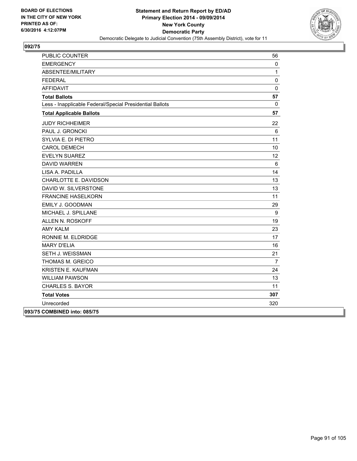

| PUBLIC COUNTER                                           | 56             |
|----------------------------------------------------------|----------------|
| <b>EMERGENCY</b>                                         | 0              |
| ABSENTEE/MILITARY                                        | $\mathbf{1}$   |
| <b>FEDERAL</b>                                           | 0              |
| <b>AFFIDAVIT</b>                                         | 0              |
| <b>Total Ballots</b>                                     | 57             |
| Less - Inapplicable Federal/Special Presidential Ballots | $\mathbf 0$    |
| <b>Total Applicable Ballots</b>                          | 57             |
| <b>JUDY RICHHEIMER</b>                                   | 22             |
| PAUL J. GRONCKI                                          | 6              |
| SYLVIA E. DI PIETRO                                      | 11             |
| <b>CAROL DEMECH</b>                                      | 10             |
| <b>EVELYN SUAREZ</b>                                     | 12             |
| <b>DAVID WARREN</b>                                      | 6              |
| LISA A. PADILLA                                          | 14             |
| CHARLOTTE E. DAVIDSON                                    | 13             |
| DAVID W. SILVERSTONE                                     | 13             |
| <b>FRANCINE HASELKORN</b>                                | 11             |
| EMILY J. GOODMAN                                         | 29             |
| MICHAEL J. SPILLANE                                      | 9              |
| ALLEN N. ROSKOFF                                         | 19             |
| <b>AMY KALM</b>                                          | 23             |
| RONNIE M. ELDRIDGE                                       | 17             |
| <b>MARY D'ELIA</b>                                       | 16             |
| SETH J. WEISSMAN                                         | 21             |
| THOMAS M. GREICO                                         | $\overline{7}$ |
| <b>KRISTEN E. KAUFMAN</b>                                | 24             |
| <b>WILLIAM PAWSON</b>                                    | 13             |
| <b>CHARLES S. BAYOR</b>                                  | 11             |
| <b>Total Votes</b>                                       | 307            |
| Unrecorded                                               | 320            |
| 093/75 COMBINED into: 085/75                             |                |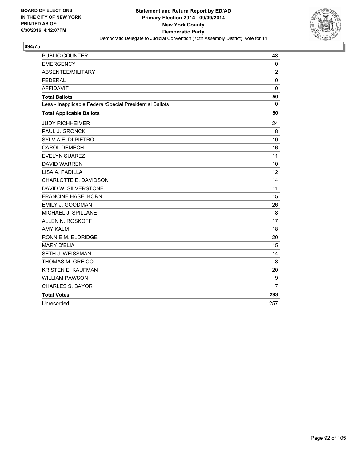

| PUBLIC COUNTER                                           | 48             |
|----------------------------------------------------------|----------------|
| <b>EMERGENCY</b>                                         | $\mathbf 0$    |
| ABSENTEE/MILITARY                                        | 2              |
| <b>FEDERAL</b>                                           | 0              |
| <b>AFFIDAVIT</b>                                         | $\Omega$       |
| <b>Total Ballots</b>                                     | 50             |
| Less - Inapplicable Federal/Special Presidential Ballots | 0              |
| <b>Total Applicable Ballots</b>                          | 50             |
| <b>JUDY RICHHEIMER</b>                                   | 24             |
| PAUL J. GRONCKI                                          | 8              |
| SYLVIA E. DI PIETRO                                      | 10             |
| <b>CAROL DEMECH</b>                                      | 16             |
| <b>EVELYN SUAREZ</b>                                     | 11             |
| <b>DAVID WARREN</b>                                      | 10             |
| LISA A. PADILLA                                          | 12             |
| CHARLOTTE E. DAVIDSON                                    | 14             |
| DAVID W. SILVERSTONE                                     | 11             |
| <b>FRANCINE HASELKORN</b>                                | 15             |
| EMILY J. GOODMAN                                         | 26             |
| MICHAEL J. SPILLANE                                      | 8              |
| <b>ALLEN N. ROSKOFF</b>                                  | 17             |
| <b>AMY KALM</b>                                          | 18             |
| RONNIE M. ELDRIDGE                                       | 20             |
| <b>MARY D'ELIA</b>                                       | 15             |
| SETH J. WEISSMAN                                         | 14             |
| <b>THOMAS M. GREICO</b>                                  | 8              |
| KRISTEN E. KAUFMAN                                       | 20             |
| <b>WILLIAM PAWSON</b>                                    | 9              |
| <b>CHARLES S. BAYOR</b>                                  | $\overline{7}$ |
| <b>Total Votes</b>                                       | 293            |
| Unrecorded                                               | 257            |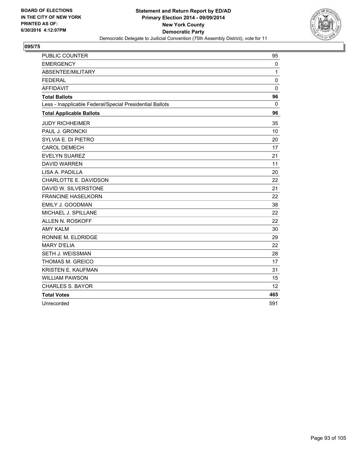

| PUBLIC COUNTER                                           | 95           |
|----------------------------------------------------------|--------------|
| <b>EMERGENCY</b>                                         | $\mathbf{0}$ |
| ABSENTEE/MILITARY                                        | 1            |
| <b>FEDERAL</b>                                           | 0            |
| <b>AFFIDAVIT</b>                                         | $\mathbf 0$  |
| <b>Total Ballots</b>                                     | 96           |
| Less - Inapplicable Federal/Special Presidential Ballots | 0            |
| <b>Total Applicable Ballots</b>                          | 96           |
| <b>JUDY RICHHEIMER</b>                                   | 35           |
| <b>PAUL J. GRONCKI</b>                                   | 10           |
| SYLVIA E. DI PIETRO                                      | 20           |
| <b>CAROL DEMECH</b>                                      | 17           |
| <b>EVELYN SUAREZ</b>                                     | 21           |
| <b>DAVID WARREN</b>                                      | 11           |
| LISA A. PADILLA                                          | 20           |
| CHARLOTTE E. DAVIDSON                                    | 22           |
| DAVID W. SILVERSTONE                                     | 21           |
| <b>FRANCINE HASELKORN</b>                                | 22           |
| EMILY J. GOODMAN                                         | 38           |
| MICHAEL J. SPILLANE                                      | 22           |
| ALLEN N. ROSKOFF                                         | 22           |
| <b>AMY KALM</b>                                          | 30           |
| RONNIE M. ELDRIDGE                                       | 29           |
| <b>MARY D'ELIA</b>                                       | 22           |
| <b>SETH J. WEISSMAN</b>                                  | 28           |
| THOMAS M. GREICO                                         | 17           |
| <b>KRISTEN E. KAUFMAN</b>                                | 31           |
| <b>WILLIAM PAWSON</b>                                    | 15           |
| <b>CHARLES S. BAYOR</b>                                  | 12           |
| <b>Total Votes</b>                                       | 465          |
| Unrecorded                                               | 591          |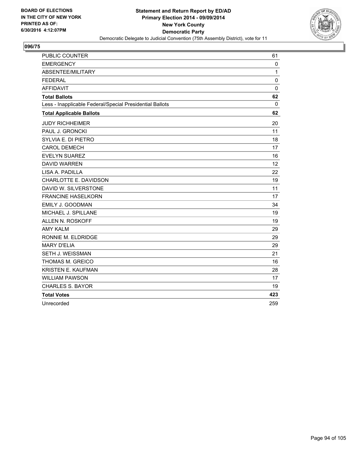

| PUBLIC COUNTER                                           | 61           |
|----------------------------------------------------------|--------------|
| <b>EMERGENCY</b>                                         | $\mathbf{0}$ |
| ABSENTEE/MILITARY                                        | 1            |
| <b>FEDERAL</b>                                           | 0            |
| <b>AFFIDAVIT</b>                                         | $\mathbf 0$  |
| <b>Total Ballots</b>                                     | 62           |
| Less - Inapplicable Federal/Special Presidential Ballots | 0            |
| <b>Total Applicable Ballots</b>                          | 62           |
| <b>JUDY RICHHEIMER</b>                                   | 20           |
| <b>PAUL J. GRONCKI</b>                                   | 11           |
| SYLVIA E. DI PIETRO                                      | 18           |
| <b>CAROL DEMECH</b>                                      | 17           |
| <b>EVELYN SUAREZ</b>                                     | 16           |
| <b>DAVID WARREN</b>                                      | 12           |
| LISA A. PADILLA                                          | 22           |
| CHARLOTTE E. DAVIDSON                                    | 19           |
| DAVID W. SILVERSTONE                                     | 11           |
| <b>FRANCINE HASELKORN</b>                                | 17           |
| EMILY J. GOODMAN                                         | 34           |
| MICHAEL J. SPILLANE                                      | 19           |
| ALLEN N. ROSKOFF                                         | 19           |
| <b>AMY KALM</b>                                          | 29           |
| RONNIE M. ELDRIDGE                                       | 29           |
| <b>MARY D'ELIA</b>                                       | 29           |
| <b>SETH J. WEISSMAN</b>                                  | 21           |
| THOMAS M. GREICO                                         | 16           |
| <b>KRISTEN E. KAUFMAN</b>                                | 28           |
| <b>WILLIAM PAWSON</b>                                    | 17           |
| <b>CHARLES S. BAYOR</b>                                  | 19           |
| <b>Total Votes</b>                                       | 423          |
| Unrecorded                                               | 259          |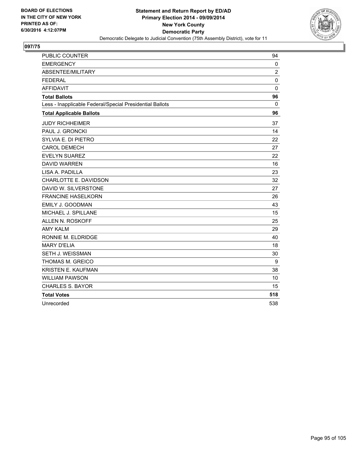

| PUBLIC COUNTER                                           | 94             |
|----------------------------------------------------------|----------------|
| <b>EMERGENCY</b>                                         | $\mathbf{0}$   |
| ABSENTEE/MILITARY                                        | $\overline{2}$ |
| <b>FEDERAL</b>                                           | 0              |
| <b>AFFIDAVIT</b>                                         | $\mathbf 0$    |
| <b>Total Ballots</b>                                     | 96             |
| Less - Inapplicable Federal/Special Presidential Ballots | 0              |
| <b>Total Applicable Ballots</b>                          | 96             |
| <b>JUDY RICHHEIMER</b>                                   | 37             |
| PAUL J. GRONCKI                                          | 14             |
| SYLVIA E. DI PIETRO                                      | 22             |
| <b>CAROL DEMECH</b>                                      | 27             |
| <b>EVELYN SUAREZ</b>                                     | 22             |
| <b>DAVID WARREN</b>                                      | 16             |
| LISA A. PADILLA                                          | 23             |
| CHARLOTTE E. DAVIDSON                                    | 32             |
| DAVID W. SILVERSTONE                                     | 27             |
| <b>FRANCINE HASELKORN</b>                                | 26             |
| EMILY J. GOODMAN                                         | 43             |
| MICHAEL J. SPILLANE                                      | 15             |
| ALLEN N. ROSKOFF                                         | 25             |
| <b>AMY KALM</b>                                          | 29             |
| RONNIE M. ELDRIDGE                                       | 40             |
| <b>MARY D'ELIA</b>                                       | 18             |
| SETH J. WEISSMAN                                         | 30             |
| THOMAS M. GREICO                                         | 9              |
| <b>KRISTEN E. KAUFMAN</b>                                | 38             |
| <b>WILLIAM PAWSON</b>                                    | 10             |
| <b>CHARLES S. BAYOR</b>                                  | 15             |
| <b>Total Votes</b>                                       | 518            |
| Unrecorded                                               | 538            |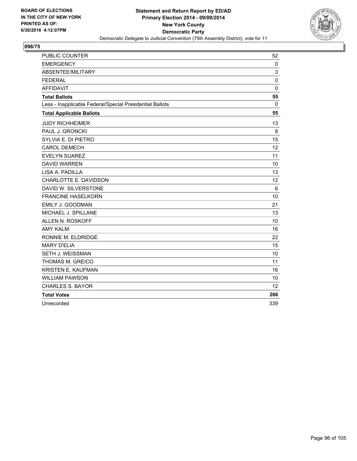

| PUBLIC COUNTER                                           | 52          |
|----------------------------------------------------------|-------------|
| <b>EMERGENCY</b>                                         | 0           |
| ABSENTEE/MILITARY                                        | 3           |
| <b>FEDERAL</b>                                           | 0           |
| <b>AFFIDAVIT</b>                                         | $\mathbf 0$ |
| <b>Total Ballots</b>                                     | 55          |
| Less - Inapplicable Federal/Special Presidential Ballots | 0           |
| <b>Total Applicable Ballots</b>                          | 55          |
| <b>JUDY RICHHEIMER</b>                                   | 13          |
| PAUL J. GRONCKI                                          | 8           |
| SYLVIA E. DI PIETRO                                      | 15          |
| <b>CAROL DEMECH</b>                                      | 12          |
| <b>EVELYN SUAREZ</b>                                     | 11          |
| <b>DAVID WARREN</b>                                      | 10          |
| LISA A. PADILLA                                          | 13          |
| CHARLOTTE E. DAVIDSON                                    | 12          |
| DAVID W. SILVERSTONE                                     | 6           |
| <b>FRANCINE HASELKORN</b>                                | 10          |
| EMILY J. GOODMAN                                         | 21          |
| MICHAEL J. SPILLANE                                      | 13          |
| <b>ALLEN N. ROSKOFF</b>                                  | 10          |
| <b>AMY KALM</b>                                          | 16          |
| RONNIE M. ELDRIDGE                                       | 22          |
| <b>MARY D'ELIA</b>                                       | 15          |
| SETH J. WEISSMAN                                         | 10          |
| THOMAS M. GREICO                                         | 11          |
| KRISTEN E. KAUFMAN                                       | 16          |
| <b>WILLIAM PAWSON</b>                                    | 10          |
| <b>CHARLES S. BAYOR</b>                                  | 12          |
| <b>Total Votes</b>                                       | 266         |
| Unrecorded                                               | 339         |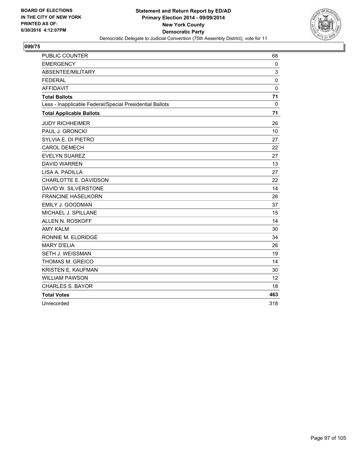

| <b>PUBLIC COUNTER</b>                                    | 68          |
|----------------------------------------------------------|-------------|
| <b>EMERGENCY</b>                                         | 0           |
| ABSENTEE/MILITARY                                        | 3           |
| <b>FEDERAL</b>                                           | 0           |
| <b>AFFIDAVIT</b>                                         | $\mathbf 0$ |
| <b>Total Ballots</b>                                     | 71          |
| Less - Inapplicable Federal/Special Presidential Ballots | $\Omega$    |
| <b>Total Applicable Ballots</b>                          | 71          |
| <b>JUDY RICHHEIMER</b>                                   | 26          |
| PAUL J. GRONCKI                                          | 10          |
| SYLVIA E. DI PIETRO                                      | 27          |
| <b>CAROL DEMECH</b>                                      | 22          |
| <b>EVELYN SUAREZ</b>                                     | 27          |
| <b>DAVID WARREN</b>                                      | 13          |
| LISA A. PADILLA                                          | 27          |
| CHARLOTTE E. DAVIDSON                                    | 22          |
| DAVID W. SILVERSTONE                                     | 14          |
| <b>FRANCINE HASELKORN</b>                                | 26          |
| EMILY J. GOODMAN                                         | 37          |
| MICHAEL J. SPILLANE                                      | 15          |
| <b>ALLEN N. ROSKOFF</b>                                  | 14          |
| <b>AMY KALM</b>                                          | 30          |
| RONNIE M. ELDRIDGE                                       | 34          |
| <b>MARY D'ELIA</b>                                       | 26          |
| <b>SETH J. WEISSMAN</b>                                  | 19          |
| <b>THOMAS M. GREICO</b>                                  | 14          |
| KRISTEN E. KAUFMAN                                       | 30          |
| <b>WILLIAM PAWSON</b>                                    | 12          |
| <b>CHARLES S. BAYOR</b>                                  | 18          |
| <b>Total Votes</b>                                       | 463         |
| Unrecorded                                               | 318         |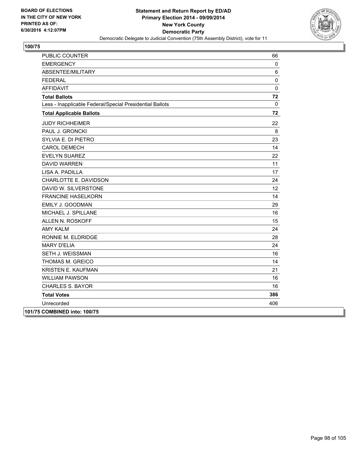

| <b>PUBLIC COUNTER</b>                                    | 66              |
|----------------------------------------------------------|-----------------|
| <b>EMERGENCY</b>                                         | 0               |
| ABSENTEE/MILITARY                                        | 6               |
| <b>FEDERAL</b>                                           | $\pmb{0}$       |
| <b>AFFIDAVIT</b>                                         | $\pmb{0}$       |
| <b>Total Ballots</b>                                     | 72              |
| Less - Inapplicable Federal/Special Presidential Ballots | 0               |
| <b>Total Applicable Ballots</b>                          | 72              |
| <b>JUDY RICHHEIMER</b>                                   | 22              |
| PAUL J. GRONCKI                                          | 8               |
| SYLVIA E. DI PIETRO                                      | 23              |
| <b>CAROL DEMECH</b>                                      | 14              |
| <b>EVELYN SUAREZ</b>                                     | 22              |
| <b>DAVID WARREN</b>                                      | 11              |
| LISA A. PADILLA                                          | 17              |
| CHARLOTTE E. DAVIDSON                                    | 24              |
| DAVID W. SILVERSTONE                                     | 12 <sup>°</sup> |
| <b>FRANCINE HASELKORN</b>                                | 14              |
| EMILY J. GOODMAN                                         | 29              |
| MICHAEL J. SPILLANE                                      | 16              |
| ALLEN N. ROSKOFF                                         | 15              |
| <b>AMY KALM</b>                                          | 24              |
| RONNIE M. ELDRIDGE                                       | 28              |
| <b>MARY D'ELIA</b>                                       | 24              |
| SETH J. WEISSMAN                                         | 16              |
| THOMAS M. GREICO                                         | 14              |
| <b>KRISTEN E. KAUFMAN</b>                                | 21              |
| <b>WILLIAM PAWSON</b>                                    | 16              |
| <b>CHARLES S. BAYOR</b>                                  | 16              |
| <b>Total Votes</b>                                       | 386             |
| Unrecorded                                               | 406             |
| 101/75 COMBINED into: 100/75                             |                 |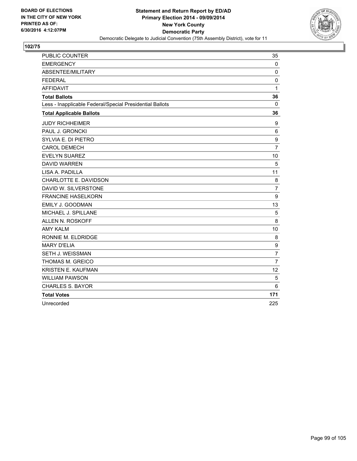

| PUBLIC COUNTER                                           | 35               |
|----------------------------------------------------------|------------------|
| <b>EMERGENCY</b>                                         | $\mathbf{0}$     |
| ABSENTEE/MILITARY                                        | $\mathbf 0$      |
| <b>FEDERAL</b>                                           | 0                |
| <b>AFFIDAVIT</b>                                         | 1                |
| <b>Total Ballots</b>                                     | 36               |
| Less - Inapplicable Federal/Special Presidential Ballots | 0                |
| <b>Total Applicable Ballots</b>                          | 36               |
| <b>JUDY RICHHEIMER</b>                                   | 9                |
| PAUL J. GRONCKI                                          | 6                |
| SYLVIA E. DI PIETRO                                      | 9                |
| <b>CAROL DEMECH</b>                                      | $\overline{7}$   |
| <b>EVELYN SUAREZ</b>                                     | 10               |
| <b>DAVID WARREN</b>                                      | 5                |
| LISA A. PADILLA                                          | 11               |
| CHARLOTTE E. DAVIDSON                                    | 8                |
| DAVID W. SILVERSTONE                                     | $\overline{7}$   |
| <b>FRANCINE HASELKORN</b>                                | $\boldsymbol{9}$ |
| EMILY J. GOODMAN                                         | 13               |
| MICHAEL J. SPILLANE                                      | 5                |
| <b>ALLEN N. ROSKOFF</b>                                  | 8                |
| <b>AMY KALM</b>                                          | 10               |
| RONNIE M. ELDRIDGE                                       | 8                |
| <b>MARY D'ELIA</b>                                       | 9                |
| SETH J. WEISSMAN                                         | $\overline{7}$   |
| THOMAS M. GREICO                                         | $\overline{7}$   |
| KRISTEN E. KAUFMAN                                       | 12               |
| <b>WILLIAM PAWSON</b>                                    | 5                |
| <b>CHARLES S. BAYOR</b>                                  | 6                |
| <b>Total Votes</b>                                       | 171              |
| Unrecorded                                               | 225              |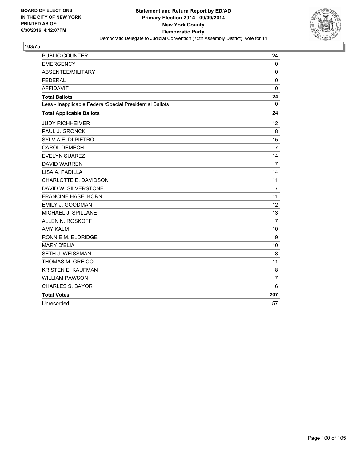

| PUBLIC COUNTER                                           | 24             |
|----------------------------------------------------------|----------------|
| <b>EMERGENCY</b>                                         | $\mathbf{0}$   |
| ABSENTEE/MILITARY                                        | $\mathbf 0$    |
| <b>FEDERAL</b>                                           | $\mathbf 0$    |
| <b>AFFIDAVIT</b>                                         | $\mathbf 0$    |
| <b>Total Ballots</b>                                     | 24             |
| Less - Inapplicable Federal/Special Presidential Ballots | 0              |
| <b>Total Applicable Ballots</b>                          | 24             |
| <b>JUDY RICHHEIMER</b>                                   | 12             |
| PAUL J. GRONCKI                                          | 8              |
| SYLVIA E. DI PIETRO                                      | 15             |
| <b>CAROL DEMECH</b>                                      | 7              |
| <b>EVELYN SUAREZ</b>                                     | 14             |
| <b>DAVID WARREN</b>                                      | $\overline{7}$ |
| LISA A. PADILLA                                          | 14             |
| CHARLOTTE E. DAVIDSON                                    | 11             |
| DAVID W. SILVERSTONE                                     | $\overline{7}$ |
| <b>FRANCINE HASELKORN</b>                                | 11             |
| EMILY J. GOODMAN                                         | 12             |
| MICHAEL J. SPILLANE                                      | 13             |
| ALLEN N. ROSKOFF                                         | $\overline{7}$ |
| <b>AMY KALM</b>                                          | 10             |
| RONNIE M. ELDRIDGE                                       | 9              |
| <b>MARY D'ELIA</b>                                       | 10             |
| SETH J. WEISSMAN                                         | 8              |
| THOMAS M. GREICO                                         | 11             |
| <b>KRISTEN E. KAUFMAN</b>                                | 8              |
| <b>WILLIAM PAWSON</b>                                    | 7              |
| <b>CHARLES S. BAYOR</b>                                  | 6              |
| <b>Total Votes</b>                                       | 207            |
| Unrecorded                                               | 57             |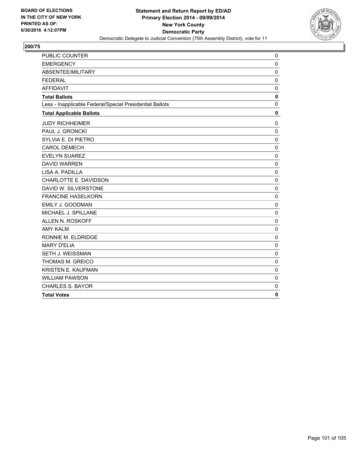

| <b>EMERGENCY</b><br>$\mathbf 0$<br>ABSENTEE/MILITARY<br>0<br>$\mathbf 0$<br><b>FEDERAL</b><br><b>AFFIDAVIT</b><br>$\mathbf 0$<br>$\mathbf 0$<br><b>Total Ballots</b><br>$\mathbf 0$<br>Less - Inapplicable Federal/Special Presidential Ballots<br>$\mathbf 0$<br><b>Total Applicable Ballots</b><br><b>JUDY RICHHEIMER</b><br>$\mathbf 0$<br>PAUL J. GRONCKI<br>$\Omega$<br>SYLVIA E. DI PIETRO<br>$\mathbf{0}$<br><b>CAROL DEMECH</b><br>$\mathbf 0$<br><b>EVELYN SUAREZ</b><br>$\mathbf 0$<br><b>DAVID WARREN</b><br>$\mathbf 0$<br>LISA A. PADILLA<br>$\mathbf 0$<br>CHARLOTTE E. DAVIDSON<br>$\mathbf 0$<br>DAVID W. SILVERSTONE<br>$\mathbf 0$<br><b>FRANCINE HASELKORN</b><br>$\mathbf 0$<br>EMILY J. GOODMAN<br>$\mathbf 0$<br>MICHAEL J. SPILLANE<br>$\mathbf 0$<br>ALLEN N. ROSKOFF<br>$\Omega$<br><b>AMY KALM</b><br>$\mathbf 0$<br>RONNIE M. ELDRIDGE<br>$\mathbf{0}$<br><b>MARY D'ELIA</b><br>$\mathbf 0$<br>SETH J. WEISSMAN<br>$\mathbf 0$<br>THOMAS M. GREICO<br>0<br>KRISTEN E. KAUFMAN<br>$\mathbf 0$<br><b>WILLIAM PAWSON</b><br>$\mathbf 0$<br><b>CHARLES S. BAYOR</b><br>$\mathbf 0$<br>$\mathbf{0}$<br><b>Total Votes</b> | <b>PUBLIC COUNTER</b> | $\mathbf 0$ |
|-------------------------------------------------------------------------------------------------------------------------------------------------------------------------------------------------------------------------------------------------------------------------------------------------------------------------------------------------------------------------------------------------------------------------------------------------------------------------------------------------------------------------------------------------------------------------------------------------------------------------------------------------------------------------------------------------------------------------------------------------------------------------------------------------------------------------------------------------------------------------------------------------------------------------------------------------------------------------------------------------------------------------------------------------------------------------------------------------------------------------------------------------|-----------------------|-------------|
|                                                                                                                                                                                                                                                                                                                                                                                                                                                                                                                                                                                                                                                                                                                                                                                                                                                                                                                                                                                                                                                                                                                                                 |                       |             |
|                                                                                                                                                                                                                                                                                                                                                                                                                                                                                                                                                                                                                                                                                                                                                                                                                                                                                                                                                                                                                                                                                                                                                 |                       |             |
|                                                                                                                                                                                                                                                                                                                                                                                                                                                                                                                                                                                                                                                                                                                                                                                                                                                                                                                                                                                                                                                                                                                                                 |                       |             |
|                                                                                                                                                                                                                                                                                                                                                                                                                                                                                                                                                                                                                                                                                                                                                                                                                                                                                                                                                                                                                                                                                                                                                 |                       |             |
|                                                                                                                                                                                                                                                                                                                                                                                                                                                                                                                                                                                                                                                                                                                                                                                                                                                                                                                                                                                                                                                                                                                                                 |                       |             |
|                                                                                                                                                                                                                                                                                                                                                                                                                                                                                                                                                                                                                                                                                                                                                                                                                                                                                                                                                                                                                                                                                                                                                 |                       |             |
|                                                                                                                                                                                                                                                                                                                                                                                                                                                                                                                                                                                                                                                                                                                                                                                                                                                                                                                                                                                                                                                                                                                                                 |                       |             |
|                                                                                                                                                                                                                                                                                                                                                                                                                                                                                                                                                                                                                                                                                                                                                                                                                                                                                                                                                                                                                                                                                                                                                 |                       |             |
|                                                                                                                                                                                                                                                                                                                                                                                                                                                                                                                                                                                                                                                                                                                                                                                                                                                                                                                                                                                                                                                                                                                                                 |                       |             |
|                                                                                                                                                                                                                                                                                                                                                                                                                                                                                                                                                                                                                                                                                                                                                                                                                                                                                                                                                                                                                                                                                                                                                 |                       |             |
|                                                                                                                                                                                                                                                                                                                                                                                                                                                                                                                                                                                                                                                                                                                                                                                                                                                                                                                                                                                                                                                                                                                                                 |                       |             |
|                                                                                                                                                                                                                                                                                                                                                                                                                                                                                                                                                                                                                                                                                                                                                                                                                                                                                                                                                                                                                                                                                                                                                 |                       |             |
|                                                                                                                                                                                                                                                                                                                                                                                                                                                                                                                                                                                                                                                                                                                                                                                                                                                                                                                                                                                                                                                                                                                                                 |                       |             |
|                                                                                                                                                                                                                                                                                                                                                                                                                                                                                                                                                                                                                                                                                                                                                                                                                                                                                                                                                                                                                                                                                                                                                 |                       |             |
|                                                                                                                                                                                                                                                                                                                                                                                                                                                                                                                                                                                                                                                                                                                                                                                                                                                                                                                                                                                                                                                                                                                                                 |                       |             |
|                                                                                                                                                                                                                                                                                                                                                                                                                                                                                                                                                                                                                                                                                                                                                                                                                                                                                                                                                                                                                                                                                                                                                 |                       |             |
|                                                                                                                                                                                                                                                                                                                                                                                                                                                                                                                                                                                                                                                                                                                                                                                                                                                                                                                                                                                                                                                                                                                                                 |                       |             |
|                                                                                                                                                                                                                                                                                                                                                                                                                                                                                                                                                                                                                                                                                                                                                                                                                                                                                                                                                                                                                                                                                                                                                 |                       |             |
|                                                                                                                                                                                                                                                                                                                                                                                                                                                                                                                                                                                                                                                                                                                                                                                                                                                                                                                                                                                                                                                                                                                                                 |                       |             |
|                                                                                                                                                                                                                                                                                                                                                                                                                                                                                                                                                                                                                                                                                                                                                                                                                                                                                                                                                                                                                                                                                                                                                 |                       |             |
|                                                                                                                                                                                                                                                                                                                                                                                                                                                                                                                                                                                                                                                                                                                                                                                                                                                                                                                                                                                                                                                                                                                                                 |                       |             |
|                                                                                                                                                                                                                                                                                                                                                                                                                                                                                                                                                                                                                                                                                                                                                                                                                                                                                                                                                                                                                                                                                                                                                 |                       |             |
|                                                                                                                                                                                                                                                                                                                                                                                                                                                                                                                                                                                                                                                                                                                                                                                                                                                                                                                                                                                                                                                                                                                                                 |                       |             |
|                                                                                                                                                                                                                                                                                                                                                                                                                                                                                                                                                                                                                                                                                                                                                                                                                                                                                                                                                                                                                                                                                                                                                 |                       |             |
|                                                                                                                                                                                                                                                                                                                                                                                                                                                                                                                                                                                                                                                                                                                                                                                                                                                                                                                                                                                                                                                                                                                                                 |                       |             |
|                                                                                                                                                                                                                                                                                                                                                                                                                                                                                                                                                                                                                                                                                                                                                                                                                                                                                                                                                                                                                                                                                                                                                 |                       |             |
|                                                                                                                                                                                                                                                                                                                                                                                                                                                                                                                                                                                                                                                                                                                                                                                                                                                                                                                                                                                                                                                                                                                                                 |                       |             |
|                                                                                                                                                                                                                                                                                                                                                                                                                                                                                                                                                                                                                                                                                                                                                                                                                                                                                                                                                                                                                                                                                                                                                 |                       |             |
|                                                                                                                                                                                                                                                                                                                                                                                                                                                                                                                                                                                                                                                                                                                                                                                                                                                                                                                                                                                                                                                                                                                                                 |                       |             |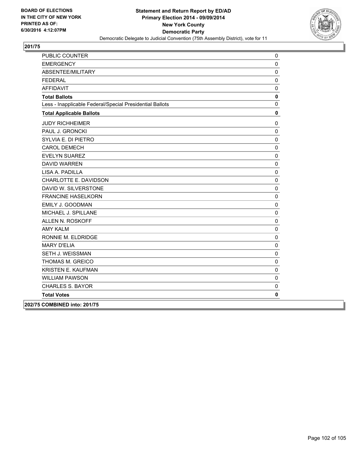

| PUBLIC COUNTER                                           | 0            |
|----------------------------------------------------------|--------------|
| <b>EMERGENCY</b>                                         | $\mathbf 0$  |
| ABSENTEE/MILITARY                                        | $\pmb{0}$    |
| <b>FEDERAL</b>                                           | $\pmb{0}$    |
| <b>AFFIDAVIT</b>                                         | $\mathbf 0$  |
| <b>Total Ballots</b>                                     | $\pmb{0}$    |
| Less - Inapplicable Federal/Special Presidential Ballots | $\mathbf 0$  |
| <b>Total Applicable Ballots</b>                          | $\pmb{0}$    |
| <b>JUDY RICHHEIMER</b>                                   | $\mathbf 0$  |
| PAUL J. GRONCKI                                          | $\mathbf 0$  |
| SYLVIA E. DI PIETRO                                      | $\pmb{0}$    |
| <b>CAROL DEMECH</b>                                      | $\pmb{0}$    |
| <b>EVELYN SUAREZ</b>                                     | $\mathbf 0$  |
| <b>DAVID WARREN</b>                                      | $\pmb{0}$    |
| LISA A. PADILLA                                          | $\pmb{0}$    |
| CHARLOTTE E. DAVIDSON                                    | $\mathbf 0$  |
| DAVID W. SILVERSTONE                                     | $\pmb{0}$    |
| <b>FRANCINE HASELKORN</b>                                | $\pmb{0}$    |
| EMILY J. GOODMAN                                         | $\pmb{0}$    |
| MICHAEL J. SPILLANE                                      | $\mathbf 0$  |
| ALLEN N. ROSKOFF                                         | $\mathbf 0$  |
| <b>AMY KALM</b>                                          | $\pmb{0}$    |
| RONNIE M. ELDRIDGE                                       | $\pmb{0}$    |
| <b>MARY D'ELIA</b>                                       | $\mathbf 0$  |
| SETH J. WEISSMAN                                         | $\pmb{0}$    |
| THOMAS M. GREICO                                         | $\pmb{0}$    |
| <b>KRISTEN E. KAUFMAN</b>                                | $\mathbf 0$  |
| <b>WILLIAM PAWSON</b>                                    | $\pmb{0}$    |
| <b>CHARLES S. BAYOR</b>                                  | $\pmb{0}$    |
| <b>Total Votes</b>                                       | $\mathbf{0}$ |
| 202/75 COMBINED into: 201/75                             |              |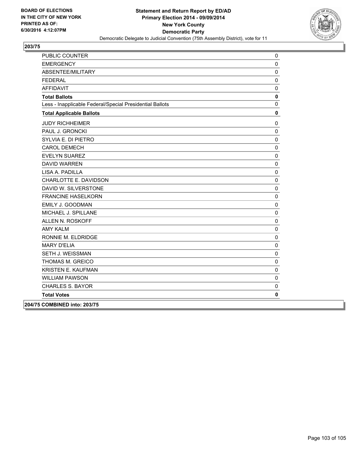

| PUBLIC COUNTER                                           | 0           |
|----------------------------------------------------------|-------------|
| <b>EMERGENCY</b>                                         | $\mathbf 0$ |
| ABSENTEE/MILITARY                                        | 0           |
| <b>FEDERAL</b>                                           | $\mathbf 0$ |
| <b>AFFIDAVIT</b>                                         | $\mathbf 0$ |
| <b>Total Ballots</b>                                     | $\mathbf 0$ |
| Less - Inapplicable Federal/Special Presidential Ballots | $\pmb{0}$   |
| <b>Total Applicable Ballots</b>                          | $\mathbf 0$ |
| <b>JUDY RICHHEIMER</b>                                   | 0           |
| PAUL J. GRONCKI                                          | 0           |
| SYLVIA E. DI PIETRO                                      | $\pmb{0}$   |
| <b>CAROL DEMECH</b>                                      | $\pmb{0}$   |
| <b>EVELYN SUAREZ</b>                                     | $\pmb{0}$   |
| <b>DAVID WARREN</b>                                      | $\mathbf 0$ |
| LISA A. PADILLA                                          | $\mathbf 0$ |
| CHARLOTTE E. DAVIDSON                                    | $\pmb{0}$   |
| DAVID W. SILVERSTONE                                     | $\mathbf 0$ |
| <b>FRANCINE HASELKORN</b>                                | $\pmb{0}$   |
| EMILY J. GOODMAN                                         | $\pmb{0}$   |
| MICHAEL J. SPILLANE                                      | $\pmb{0}$   |
| ALLEN N. ROSKOFF                                         | $\pmb{0}$   |
| <b>AMY KALM</b>                                          | $\pmb{0}$   |
| RONNIE M. ELDRIDGE                                       | $\pmb{0}$   |
| <b>MARY D'ELIA</b>                                       | $\pmb{0}$   |
| SETH J. WEISSMAN                                         | $\pmb{0}$   |
| THOMAS M. GREICO                                         | $\pmb{0}$   |
| <b>KRISTEN E. KAUFMAN</b>                                | $\pmb{0}$   |
| <b>WILLIAM PAWSON</b>                                    | $\mathbf 0$ |
| CHARLES S. BAYOR                                         | $\pmb{0}$   |
| <b>Total Votes</b>                                       | 0           |
| 204/75 COMBINED into: 203/75                             |             |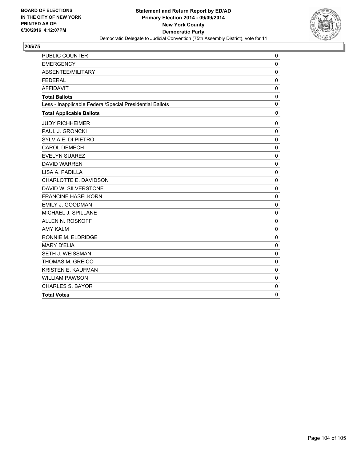

| <b>PUBLIC COUNTER</b>                                    | 0            |
|----------------------------------------------------------|--------------|
| <b>EMERGENCY</b>                                         | $\mathbf 0$  |
| ABSENTEE/MILITARY                                        | $\mathbf 0$  |
| <b>FEDERAL</b>                                           | 0            |
| <b>AFFIDAVIT</b>                                         | 0            |
| <b>Total Ballots</b>                                     | $\mathbf 0$  |
| Less - Inapplicable Federal/Special Presidential Ballots | $\mathbf 0$  |
| <b>Total Applicable Ballots</b>                          | $\mathbf 0$  |
| <b>JUDY RICHHEIMER</b>                                   | 0            |
| PAUL J. GRONCKI                                          | $\mathbf 0$  |
| SYLVIA E. DI PIETRO                                      | $\mathbf 0$  |
| <b>CAROL DEMECH</b>                                      | $\mathbf 0$  |
| <b>EVELYN SUAREZ</b>                                     | $\mathbf 0$  |
| <b>DAVID WARREN</b>                                      | $\mathbf 0$  |
| LISA A. PADILLA                                          | $\mathbf 0$  |
| CHARLOTTE E. DAVIDSON                                    | $\mathbf 0$  |
| DAVID W. SILVERSTONE                                     | $\mathbf 0$  |
| <b>FRANCINE HASELKORN</b>                                | $\mathbf 0$  |
| EMILY J. GOODMAN                                         | $\mathbf 0$  |
| MICHAEL J. SPILLANE                                      | $\mathbf 0$  |
| ALLEN N. ROSKOFF                                         | $\mathbf 0$  |
| <b>AMY KALM</b>                                          | $\mathbf 0$  |
| RONNIE M. ELDRIDGE                                       | $\mathbf 0$  |
| <b>MARY D'ELIA</b>                                       | $\mathbf 0$  |
| SETH J. WEISSMAN                                         | $\mathbf 0$  |
| THOMAS M. GREICO                                         | $\mathbf 0$  |
| <b>KRISTEN E. KAUFMAN</b>                                | $\mathbf 0$  |
| <b>WILLIAM PAWSON</b>                                    | $\mathbf 0$  |
| <b>CHARLES S. BAYOR</b>                                  | $\mathbf 0$  |
| <b>Total Votes</b>                                       | $\mathbf{0}$ |